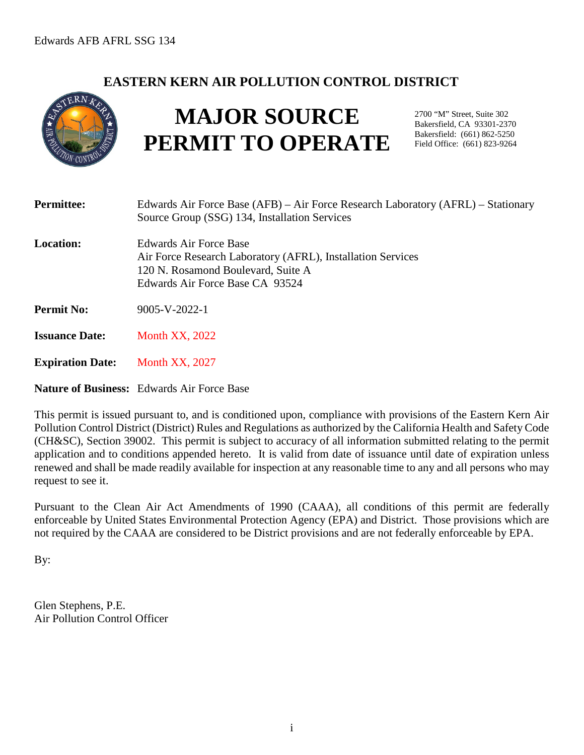## **EASTERN KERN AIR POLLUTION CONTROL DISTRICT**



# **MAJOR SOURCE PERMIT TO OPERATE**

2700 "M" Street, Suite 302 Bakersfield, CA 93301-2370 Bakersfield: (661) 862-5250 Field Office: (661) 823-9264

| <b>Permittee:</b>       | Edwards Air Force Base (AFB) – Air Force Research Laboratory (AFRL) – Stationary<br>Source Group (SSG) 134, Installation Services                              |
|-------------------------|----------------------------------------------------------------------------------------------------------------------------------------------------------------|
| <b>Location:</b>        | Edwards Air Force Base<br>Air Force Research Laboratory (AFRL), Installation Services<br>120 N. Rosamond Boulevard, Suite A<br>Edwards Air Force Base CA 93524 |
| <b>Permit No:</b>       | $9005 - V - 2022 - 1$                                                                                                                                          |
| <b>Issuance Date:</b>   | <b>Month XX, 2022</b>                                                                                                                                          |
| <b>Expiration Date:</b> | <b>Month XX, 2027</b>                                                                                                                                          |
|                         | <b>Nature of Business:</b> Edwards Air Force Base                                                                                                              |

This permit is issued pursuant to, and is conditioned upon, compliance with provisions of the Eastern Kern Air Pollution Control District (District) Rules and Regulations as authorized by the California Health and Safety Code (CH&SC), Section 39002. This permit is subject to accuracy of all information submitted relating to the permit application and to conditions appended hereto. It is valid from date of issuance until date of expiration unless renewed and shall be made readily available for inspection at any reasonable time to any and all persons who may request to see it.

Pursuant to the Clean Air Act Amendments of 1990 (CAAA), all conditions of this permit are federally enforceable by United States Environmental Protection Agency (EPA) and District. Those provisions which are not required by the CAAA are considered to be District provisions and are not federally enforceable by EPA.

By:

Glen Stephens, P.E. Air Pollution Control Officer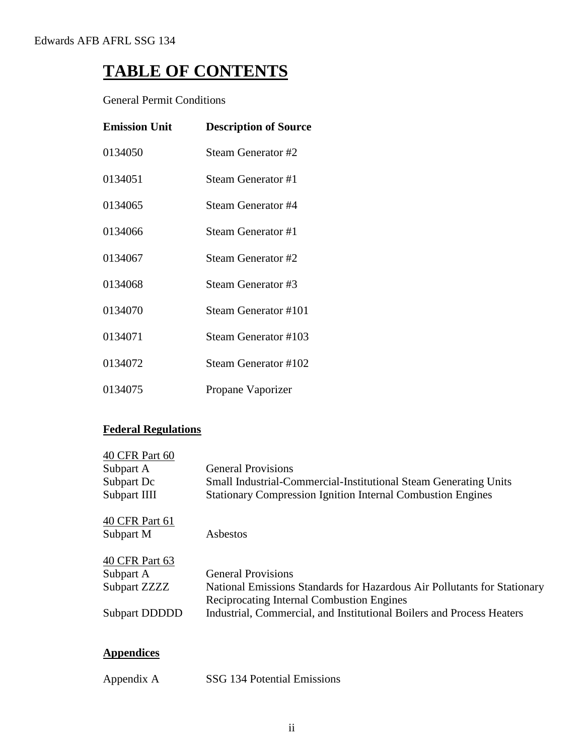## **TABLE OF CONTENTS**

General Permit Conditions

| <b>Emission Unit</b> | <b>Description of Source</b> |
|----------------------|------------------------------|
| 0134050              | <b>Steam Generator #2</b>    |
| 0134051              | Steam Generator #1           |
| 0134065              | Steam Generator #4           |
| 0134066              | Steam Generator #1           |
| 0134067              | Steam Generator #2           |
| 0134068              | Steam Generator #3           |
| 0134070              | Steam Generator #101         |
| 0134071              | <b>Steam Generator #103</b>  |
| 0134072              | Steam Generator #102         |
| 0134075              | Propane Vaporizer            |

## **Federal Regulations**

| <b>General Provisions</b>                                                                                                    |
|------------------------------------------------------------------------------------------------------------------------------|
| <b>Small Industrial-Commercial-Institutional Steam Generating Units</b>                                                      |
| <b>Stationary Compression Ignition Internal Combustion Engines</b>                                                           |
|                                                                                                                              |
| Asbestos                                                                                                                     |
|                                                                                                                              |
| <b>General Provisions</b>                                                                                                    |
| National Emissions Standards for Hazardous Air Pollutants for Stationary<br><b>Reciprocating Internal Combustion Engines</b> |
| Industrial, Commercial, and Institutional Boilers and Process Heaters                                                        |
|                                                                                                                              |
|                                                                                                                              |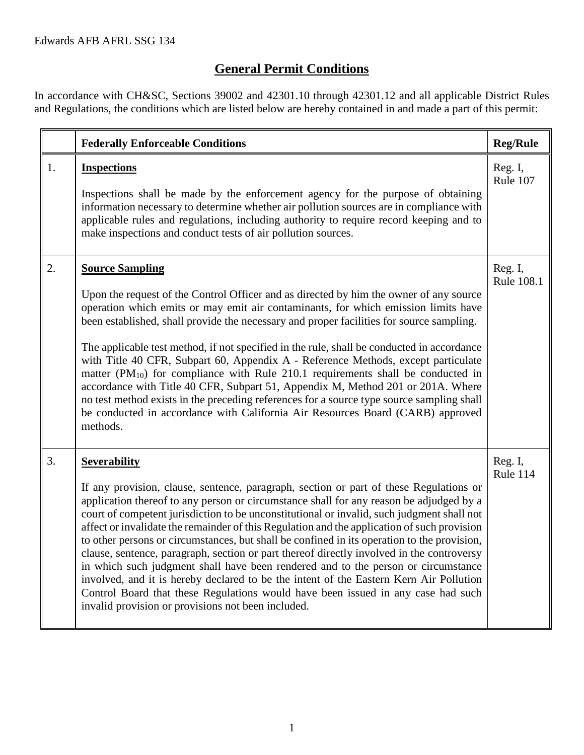## **General Permit Conditions**

In accordance with CH&SC, Sections 39002 and 42301.10 through 42301.12 and all applicable District Rules and Regulations, the conditions which are listed below are hereby contained in and made a part of this permit:

|    | <b>Federally Enforceable Conditions</b>                                                                                                                                                                                                                                                                                                                                                                                                                                                                                                                                                                                                                                                                                                                                                                                                                                                                                    | <b>Reg/Rule</b>       |
|----|----------------------------------------------------------------------------------------------------------------------------------------------------------------------------------------------------------------------------------------------------------------------------------------------------------------------------------------------------------------------------------------------------------------------------------------------------------------------------------------------------------------------------------------------------------------------------------------------------------------------------------------------------------------------------------------------------------------------------------------------------------------------------------------------------------------------------------------------------------------------------------------------------------------------------|-----------------------|
| 1. | <b>Inspections</b><br>Inspections shall be made by the enforcement agency for the purpose of obtaining<br>information necessary to determine whether air pollution sources are in compliance with<br>applicable rules and regulations, including authority to require record keeping and to<br>make inspections and conduct tests of air pollution sources.                                                                                                                                                                                                                                                                                                                                                                                                                                                                                                                                                                | Reg. I,<br>Rule 107   |
| 2. | <b>Source Sampling</b><br>Upon the request of the Control Officer and as directed by him the owner of any source<br>operation which emits or may emit air contaminants, for which emission limits have<br>been established, shall provide the necessary and proper facilities for source sampling.<br>The applicable test method, if not specified in the rule, shall be conducted in accordance<br>with Title 40 CFR, Subpart 60, Appendix A - Reference Methods, except particulate<br>matter $(PM_{10})$ for compliance with Rule 210.1 requirements shall be conducted in<br>accordance with Title 40 CFR, Subpart 51, Appendix M, Method 201 or 201A. Where<br>no test method exists in the preceding references for a source type source sampling shall<br>be conducted in accordance with California Air Resources Board (CARB) approved<br>methods.                                                                | Reg. I,<br>Rule 108.1 |
| 3. | <b>Severability</b><br>If any provision, clause, sentence, paragraph, section or part of these Regulations or<br>application thereof to any person or circumstance shall for any reason be adjudged by a<br>court of competent jurisdiction to be unconstitutional or invalid, such judgment shall not<br>affect or invalidate the remainder of this Regulation and the application of such provision<br>to other persons or circumstances, but shall be confined in its operation to the provision,<br>clause, sentence, paragraph, section or part thereof directly involved in the controversy<br>in which such judgment shall have been rendered and to the person or circumstance<br>involved, and it is hereby declared to be the intent of the Eastern Kern Air Pollution<br>Control Board that these Regulations would have been issued in any case had such<br>invalid provision or provisions not been included. | Reg. I,<br>Rule 114   |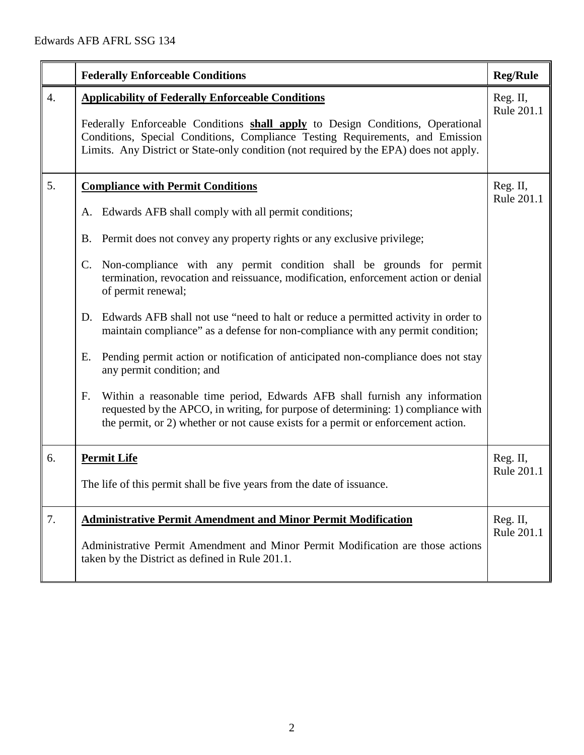|                  | <b>Federally Enforceable Conditions</b>                                                                                                                                                                                                                                                                                                                                                                                                                                                                                                                                                                                                                                                                                                                                                                                                                                                                                                                     | <b>Reg/Rule</b>        |
|------------------|-------------------------------------------------------------------------------------------------------------------------------------------------------------------------------------------------------------------------------------------------------------------------------------------------------------------------------------------------------------------------------------------------------------------------------------------------------------------------------------------------------------------------------------------------------------------------------------------------------------------------------------------------------------------------------------------------------------------------------------------------------------------------------------------------------------------------------------------------------------------------------------------------------------------------------------------------------------|------------------------|
| $\overline{4}$ . | <b>Applicability of Federally Enforceable Conditions</b><br>Federally Enforceable Conditions shall apply to Design Conditions, Operational<br>Conditions, Special Conditions, Compliance Testing Requirements, and Emission<br>Limits. Any District or State-only condition (not required by the EPA) does not apply.                                                                                                                                                                                                                                                                                                                                                                                                                                                                                                                                                                                                                                       | Reg. II,<br>Rule 201.1 |
| 5.               | <b>Compliance with Permit Conditions</b><br>A. Edwards AFB shall comply with all permit conditions;<br>Permit does not convey any property rights or any exclusive privilege;<br>B.<br>Non-compliance with any permit condition shall be grounds for permit<br>$C_{\cdot}$<br>termination, revocation and reissuance, modification, enforcement action or denial<br>of permit renewal;<br>Edwards AFB shall not use "need to halt or reduce a permitted activity in order to<br>D.<br>maintain compliance" as a defense for non-compliance with any permit condition;<br>Pending permit action or notification of anticipated non-compliance does not stay<br>Ε.<br>any permit condition; and<br>Within a reasonable time period, Edwards AFB shall furnish any information<br>F.<br>requested by the APCO, in writing, for purpose of determining: 1) compliance with<br>the permit, or 2) whether or not cause exists for a permit or enforcement action. | Reg. II,<br>Rule 201.1 |
| 6.               | <b>Permit Life</b><br>The life of this permit shall be five years from the date of issuance.                                                                                                                                                                                                                                                                                                                                                                                                                                                                                                                                                                                                                                                                                                                                                                                                                                                                | Reg. II,<br>Rule 201.1 |
| 7.               | <b>Administrative Permit Amendment and Minor Permit Modification</b><br>Administrative Permit Amendment and Minor Permit Modification are those actions<br>taken by the District as defined in Rule 201.1.                                                                                                                                                                                                                                                                                                                                                                                                                                                                                                                                                                                                                                                                                                                                                  | Reg. II,<br>Rule 201.1 |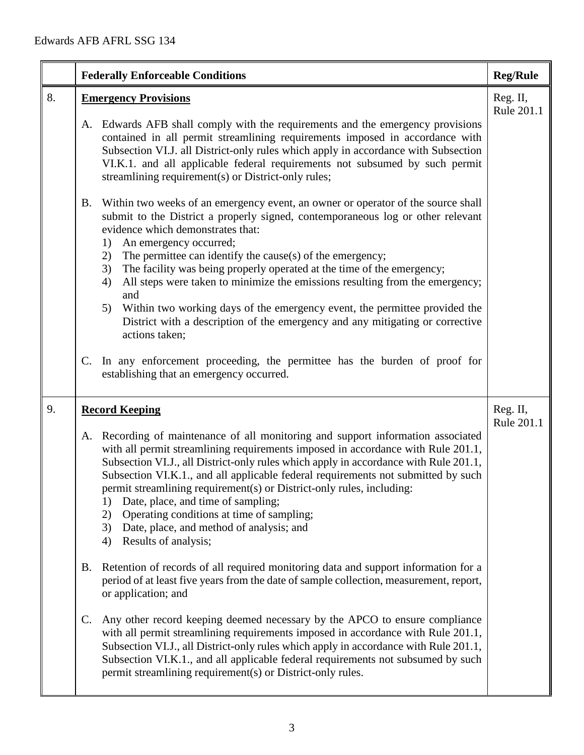|    | <b>Federally Enforceable Conditions</b>                                                                                                                                                                                                                                                                                                                                                                                                                                                                                                                                                                                                                                                                                                                                                                                                                                                                                                                                                                                                                                                                                                                                                                        | <b>Reg/Rule</b>        |
|----|----------------------------------------------------------------------------------------------------------------------------------------------------------------------------------------------------------------------------------------------------------------------------------------------------------------------------------------------------------------------------------------------------------------------------------------------------------------------------------------------------------------------------------------------------------------------------------------------------------------------------------------------------------------------------------------------------------------------------------------------------------------------------------------------------------------------------------------------------------------------------------------------------------------------------------------------------------------------------------------------------------------------------------------------------------------------------------------------------------------------------------------------------------------------------------------------------------------|------------------------|
| 8. | <b>Emergency Provisions</b><br>Edwards AFB shall comply with the requirements and the emergency provisions<br>A.<br>contained in all permit streamlining requirements imposed in accordance with<br>Subsection VI.J. all District-only rules which apply in accordance with Subsection<br>VI.K.1. and all applicable federal requirements not subsumed by such permit<br>streamlining requirement(s) or District-only rules;<br>Within two weeks of an emergency event, an owner or operator of the source shall<br><b>B.</b><br>submit to the District a properly signed, contemporaneous log or other relevant<br>evidence which demonstrates that:<br>An emergency occurred;<br>1)<br>The permittee can identify the cause(s) of the emergency;<br>2)<br>The facility was being properly operated at the time of the emergency;<br>3)<br>All steps were taken to minimize the emissions resulting from the emergency;<br>4)<br>and<br>Within two working days of the emergency event, the permittee provided the<br>5)<br>District with a description of the emergency and any mitigating or corrective<br>actions taken;<br>In any enforcement proceeding, the permittee has the burden of proof for<br>C. | Reg. II,<br>Rule 201.1 |
| 9. | establishing that an emergency occurred.                                                                                                                                                                                                                                                                                                                                                                                                                                                                                                                                                                                                                                                                                                                                                                                                                                                                                                                                                                                                                                                                                                                                                                       |                        |
|    | <b>Record Keeping</b><br>A. Recording of maintenance of all monitoring and support information associated<br>with all permit streamlining requirements imposed in accordance with Rule 201.1,<br>Subsection VI.J., all District-only rules which apply in accordance with Rule 201.1,<br>Subsection VI.K.1., and all applicable federal requirements not submitted by such<br>permit streamlining requirement(s) or District-only rules, including:<br>Date, place, and time of sampling;<br>1)<br>Operating conditions at time of sampling;<br>2)<br>Date, place, and method of analysis; and<br>3)<br>Results of analysis;<br>4)                                                                                                                                                                                                                                                                                                                                                                                                                                                                                                                                                                             | Reg. II,<br>Rule 201.1 |
|    | Retention of records of all required monitoring data and support information for a<br><b>B.</b><br>period of at least five years from the date of sample collection, measurement, report,<br>or application; and                                                                                                                                                                                                                                                                                                                                                                                                                                                                                                                                                                                                                                                                                                                                                                                                                                                                                                                                                                                               |                        |
|    | C.<br>Any other record keeping deemed necessary by the APCO to ensure compliance<br>with all permit streamlining requirements imposed in accordance with Rule 201.1,<br>Subsection VI.J., all District-only rules which apply in accordance with Rule 201.1,<br>Subsection VI.K.1., and all applicable federal requirements not subsumed by such<br>permit streamlining requirement(s) or District-only rules.                                                                                                                                                                                                                                                                                                                                                                                                                                                                                                                                                                                                                                                                                                                                                                                                 |                        |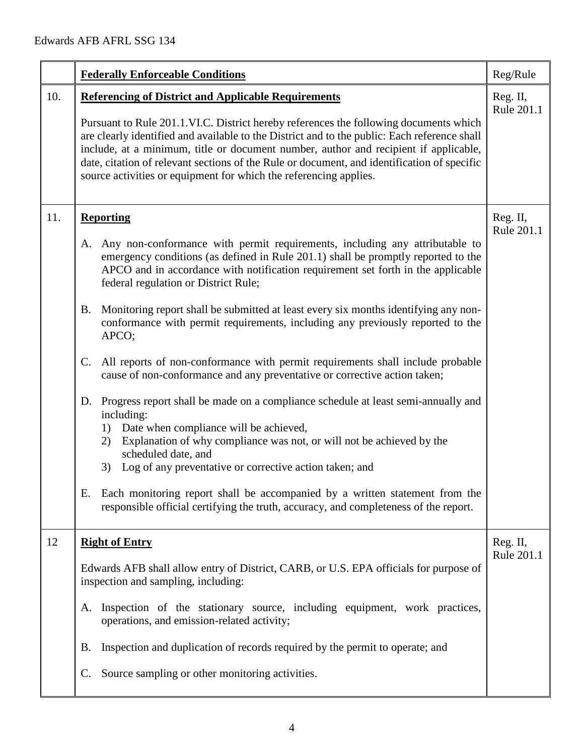|     | <b>Federally Enforceable Conditions</b>                                                                                                                                                                                                                                                                                                                                                                                                                                                                                                                                                                                                                                                                                                                                                                                                                                                                                                                                                                                                                                                                                                                                                          | Reg/Rule               |
|-----|--------------------------------------------------------------------------------------------------------------------------------------------------------------------------------------------------------------------------------------------------------------------------------------------------------------------------------------------------------------------------------------------------------------------------------------------------------------------------------------------------------------------------------------------------------------------------------------------------------------------------------------------------------------------------------------------------------------------------------------------------------------------------------------------------------------------------------------------------------------------------------------------------------------------------------------------------------------------------------------------------------------------------------------------------------------------------------------------------------------------------------------------------------------------------------------------------|------------------------|
| 10. | <b>Referencing of District and Applicable Requirements</b><br>Pursuant to Rule 201.1.VI.C. District hereby references the following documents which<br>are clearly identified and available to the District and to the public: Each reference shall<br>include, at a minimum, title or document number, author and recipient if applicable,<br>date, citation of relevant sections of the Rule or document, and identification of specific<br>source activities or equipment for which the referencing applies.                                                                                                                                                                                                                                                                                                                                                                                                                                                                                                                                                                                                                                                                                  | Reg. II,<br>Rule 201.1 |
| 11. | <b>Reporting</b><br>Any non-conformance with permit requirements, including any attributable to<br>A.<br>emergency conditions (as defined in Rule 201.1) shall be promptly reported to the<br>APCO and in accordance with notification requirement set forth in the applicable<br>federal regulation or District Rule;<br>Monitoring report shall be submitted at least every six months identifying any non-<br>B.<br>conformance with permit requirements, including any previously reported to the<br>APCO;<br>All reports of non-conformance with permit requirements shall include probable<br>C.<br>cause of non-conformance and any preventative or corrective action taken;<br>Progress report shall be made on a compliance schedule at least semi-annually and<br>D.<br>including:<br>Date when compliance will be achieved,<br>1)<br>Explanation of why compliance was not, or will not be achieved by the<br>2)<br>scheduled date, and<br>Log of any preventative or corrective action taken; and<br>3)<br>Each monitoring report shall be accompanied by a written statement from the<br>Ε.<br>responsible official certifying the truth, accuracy, and completeness of the report. | Reg. II,<br>Rule 201.1 |
| 12  | <b>Right of Entry</b><br>Edwards AFB shall allow entry of District, CARB, or U.S. EPA officials for purpose of<br>inspection and sampling, including:<br>Inspection of the stationary source, including equipment, work practices,<br>A.<br>operations, and emission-related activity;<br>Inspection and duplication of records required by the permit to operate; and<br>Β.<br>Source sampling or other monitoring activities.<br>C.                                                                                                                                                                                                                                                                                                                                                                                                                                                                                                                                                                                                                                                                                                                                                            | Reg. II,<br>Rule 201.1 |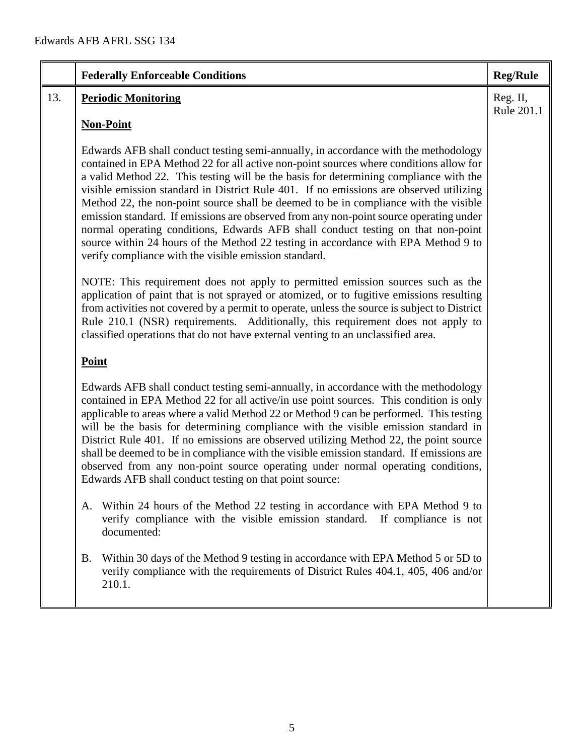|     | <b>Federally Enforceable Conditions</b>                                                                                                                                                                                                                                                                                                                                                                                                                                                                                                                                                                                                                                                                                                                                               | <b>Reg/Rule</b>        |
|-----|---------------------------------------------------------------------------------------------------------------------------------------------------------------------------------------------------------------------------------------------------------------------------------------------------------------------------------------------------------------------------------------------------------------------------------------------------------------------------------------------------------------------------------------------------------------------------------------------------------------------------------------------------------------------------------------------------------------------------------------------------------------------------------------|------------------------|
| 13. | <b>Periodic Monitoring</b>                                                                                                                                                                                                                                                                                                                                                                                                                                                                                                                                                                                                                                                                                                                                                            | Reg. II,<br>Rule 201.1 |
|     | <b>Non-Point</b>                                                                                                                                                                                                                                                                                                                                                                                                                                                                                                                                                                                                                                                                                                                                                                      |                        |
|     | Edwards AFB shall conduct testing semi-annually, in accordance with the methodology<br>contained in EPA Method 22 for all active non-point sources where conditions allow for<br>a valid Method 22. This testing will be the basis for determining compliance with the<br>visible emission standard in District Rule 401. If no emissions are observed utilizing<br>Method 22, the non-point source shall be deemed to be in compliance with the visible<br>emission standard. If emissions are observed from any non-point source operating under<br>normal operating conditions, Edwards AFB shall conduct testing on that non-point<br>source within 24 hours of the Method 22 testing in accordance with EPA Method 9 to<br>verify compliance with the visible emission standard. |                        |
|     | NOTE: This requirement does not apply to permitted emission sources such as the<br>application of paint that is not sprayed or atomized, or to fugitive emissions resulting<br>from activities not covered by a permit to operate, unless the source is subject to District<br>Rule 210.1 (NSR) requirements. Additionally, this requirement does not apply to<br>classified operations that do not have external venting to an unclassified area.                                                                                                                                                                                                                                                                                                                                    |                        |
|     | Point                                                                                                                                                                                                                                                                                                                                                                                                                                                                                                                                                                                                                                                                                                                                                                                 |                        |
|     | Edwards AFB shall conduct testing semi-annually, in accordance with the methodology<br>contained in EPA Method 22 for all active/in use point sources. This condition is only<br>applicable to areas where a valid Method 22 or Method 9 can be performed. This testing<br>will be the basis for determining compliance with the visible emission standard in<br>District Rule 401. If no emissions are observed utilizing Method 22, the point source<br>shall be deemed to be in compliance with the visible emission standard. If emissions are<br>observed from any non-point source operating under normal operating conditions,<br>Edwards AFB shall conduct testing on that point source:                                                                                      |                        |
|     | Within 24 hours of the Method 22 testing in accordance with EPA Method 9 to<br>A.<br>verify compliance with the visible emission standard.<br>If compliance is not<br>documented:                                                                                                                                                                                                                                                                                                                                                                                                                                                                                                                                                                                                     |                        |
|     | Within 30 days of the Method 9 testing in accordance with EPA Method 5 or 5D to<br><b>B.</b><br>verify compliance with the requirements of District Rules 404.1, 405, 406 and/or<br>210.1.                                                                                                                                                                                                                                                                                                                                                                                                                                                                                                                                                                                            |                        |
|     |                                                                                                                                                                                                                                                                                                                                                                                                                                                                                                                                                                                                                                                                                                                                                                                       |                        |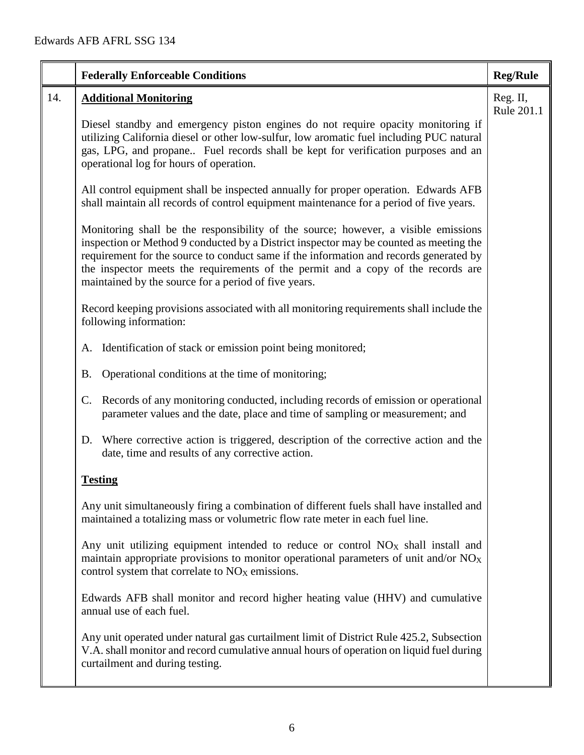|     | <b>Federally Enforceable Conditions</b>                                                                                                                                                                                                                                                                                                                                                                            | <b>Reg/Rule</b> |
|-----|--------------------------------------------------------------------------------------------------------------------------------------------------------------------------------------------------------------------------------------------------------------------------------------------------------------------------------------------------------------------------------------------------------------------|-----------------|
| 14. | <b>Additional Monitoring</b>                                                                                                                                                                                                                                                                                                                                                                                       | Reg. II,        |
|     | Diesel standby and emergency piston engines do not require opacity monitoring if<br>utilizing California diesel or other low-sulfur, low aromatic fuel including PUC natural<br>gas, LPG, and propane Fuel records shall be kept for verification purposes and an<br>operational log for hours of operation.                                                                                                       | Rule 201.1      |
|     | All control equipment shall be inspected annually for proper operation. Edwards AFB<br>shall maintain all records of control equipment maintenance for a period of five years.                                                                                                                                                                                                                                     |                 |
|     | Monitoring shall be the responsibility of the source; however, a visible emissions<br>inspection or Method 9 conducted by a District inspector may be counted as meeting the<br>requirement for the source to conduct same if the information and records generated by<br>the inspector meets the requirements of the permit and a copy of the records are<br>maintained by the source for a period of five years. |                 |
|     | Record keeping provisions associated with all monitoring requirements shall include the<br>following information:                                                                                                                                                                                                                                                                                                  |                 |
|     | Identification of stack or emission point being monitored;<br>A.                                                                                                                                                                                                                                                                                                                                                   |                 |
|     | Operational conditions at the time of monitoring;<br><b>B.</b>                                                                                                                                                                                                                                                                                                                                                     |                 |
|     | Records of any monitoring conducted, including records of emission or operational<br>$\mathbb{C}$ .<br>parameter values and the date, place and time of sampling or measurement; and                                                                                                                                                                                                                               |                 |
|     | Where corrective action is triggered, description of the corrective action and the<br>D.<br>date, time and results of any corrective action.                                                                                                                                                                                                                                                                       |                 |
|     | <b>Testing</b>                                                                                                                                                                                                                                                                                                                                                                                                     |                 |
|     | Any unit simultaneously firing a combination of different fuels shall have installed and<br>maintained a totalizing mass or volumetric flow rate meter in each fuel line.                                                                                                                                                                                                                                          |                 |
|     | Any unit utilizing equipment intended to reduce or control $NOX$ shall install and<br>maintain appropriate provisions to monitor operational parameters of unit and/or $NOX$<br>control system that correlate to $NOX$ emissions.                                                                                                                                                                                  |                 |
|     | Edwards AFB shall monitor and record higher heating value (HHV) and cumulative<br>annual use of each fuel.                                                                                                                                                                                                                                                                                                         |                 |
|     | Any unit operated under natural gas curtailment limit of District Rule 425.2, Subsection<br>V.A. shall monitor and record cumulative annual hours of operation on liquid fuel during<br>curtailment and during testing.                                                                                                                                                                                            |                 |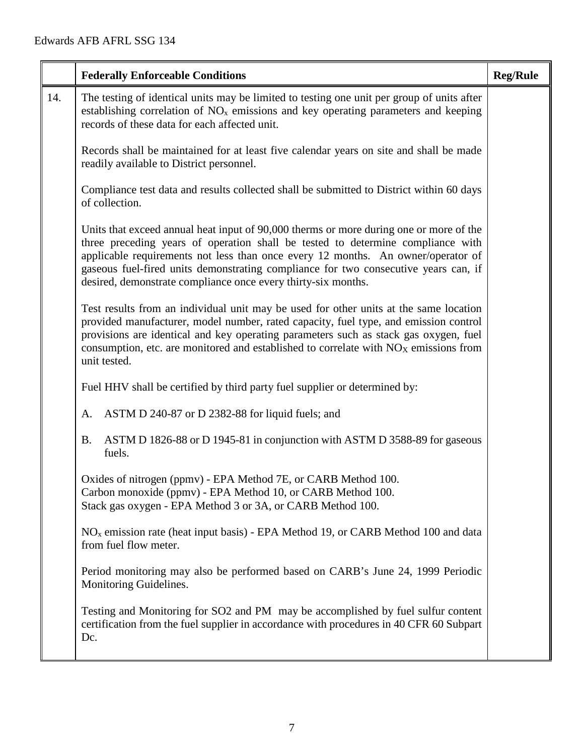|     | <b>Federally Enforceable Conditions</b>                                                                                                                                                                                                                                                                                                                                                                               | <b>Reg/Rule</b> |
|-----|-----------------------------------------------------------------------------------------------------------------------------------------------------------------------------------------------------------------------------------------------------------------------------------------------------------------------------------------------------------------------------------------------------------------------|-----------------|
| 14. | The testing of identical units may be limited to testing one unit per group of units after<br>establishing correlation of NO <sub>x</sub> emissions and key operating parameters and keeping<br>records of these data for each affected unit.                                                                                                                                                                         |                 |
|     | Records shall be maintained for at least five calendar years on site and shall be made<br>readily available to District personnel.                                                                                                                                                                                                                                                                                    |                 |
|     | Compliance test data and results collected shall be submitted to District within 60 days<br>of collection.                                                                                                                                                                                                                                                                                                            |                 |
|     | Units that exceed annual heat input of 90,000 therms or more during one or more of the<br>three preceding years of operation shall be tested to determine compliance with<br>applicable requirements not less than once every 12 months. An owner/operator of<br>gaseous fuel-fired units demonstrating compliance for two consecutive years can, if<br>desired, demonstrate compliance once every thirty-six months. |                 |
|     | Test results from an individual unit may be used for other units at the same location<br>provided manufacturer, model number, rated capacity, fuel type, and emission control<br>provisions are identical and key operating parameters such as stack gas oxygen, fuel<br>consumption, etc. are monitored and established to correlate with $NOX$ emissions from<br>unit tested.                                       |                 |
|     | Fuel HHV shall be certified by third party fuel supplier or determined by:                                                                                                                                                                                                                                                                                                                                            |                 |
|     | ASTM D 240-87 or D 2382-88 for liquid fuels; and<br>A.                                                                                                                                                                                                                                                                                                                                                                |                 |
|     | ASTM D 1826-88 or D 1945-81 in conjunction with ASTM D 3588-89 for gaseous<br><b>B.</b><br>fuels.                                                                                                                                                                                                                                                                                                                     |                 |
|     | Oxides of nitrogen (ppmv) - EPA Method 7E, or CARB Method 100.<br>Carbon monoxide (ppmv) - EPA Method 10, or CARB Method 100.<br>Stack gas oxygen - EPA Method 3 or 3A, or CARB Method 100.                                                                                                                                                                                                                           |                 |
|     | $NOx$ emission rate (heat input basis) - EPA Method 19, or CARB Method 100 and data<br>from fuel flow meter.                                                                                                                                                                                                                                                                                                          |                 |
|     | Period monitoring may also be performed based on CARB's June 24, 1999 Periodic<br>Monitoring Guidelines.                                                                                                                                                                                                                                                                                                              |                 |
|     | Testing and Monitoring for SO2 and PM may be accomplished by fuel sulfur content<br>certification from the fuel supplier in accordance with procedures in 40 CFR 60 Subpart<br>Dc.                                                                                                                                                                                                                                    |                 |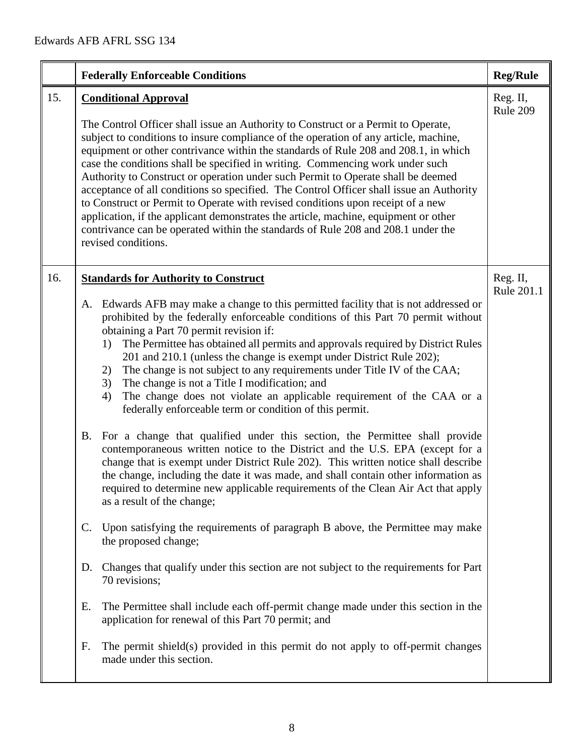|     | <b>Federally Enforceable Conditions</b>                                                                                                                                                                                                                                                                                                                                                                                                                                                                                                                                                                                                                                                                                                                                                                                                              | <b>Reg/Rule</b>        |
|-----|------------------------------------------------------------------------------------------------------------------------------------------------------------------------------------------------------------------------------------------------------------------------------------------------------------------------------------------------------------------------------------------------------------------------------------------------------------------------------------------------------------------------------------------------------------------------------------------------------------------------------------------------------------------------------------------------------------------------------------------------------------------------------------------------------------------------------------------------------|------------------------|
| 15. | <b>Conditional Approval</b><br>The Control Officer shall issue an Authority to Construct or a Permit to Operate,<br>subject to conditions to insure compliance of the operation of any article, machine,<br>equipment or other contrivance within the standards of Rule 208 and 208.1, in which<br>case the conditions shall be specified in writing. Commencing work under such<br>Authority to Construct or operation under such Permit to Operate shall be deemed<br>acceptance of all conditions so specified. The Control Officer shall issue an Authority<br>to Construct or Permit to Operate with revised conditions upon receipt of a new<br>application, if the applicant demonstrates the article, machine, equipment or other<br>contrivance can be operated within the standards of Rule 208 and 208.1 under the<br>revised conditions. | Reg. II,<br>Rule 209   |
| 16. | <b>Standards for Authority to Construct</b><br>A. Edwards AFB may make a change to this permitted facility that is not addressed or<br>prohibited by the federally enforceable conditions of this Part 70 permit without<br>obtaining a Part 70 permit revision if:<br>The Permittee has obtained all permits and approvals required by District Rules<br>1)<br>201 and 210.1 (unless the change is exempt under District Rule 202);<br>The change is not subject to any requirements under Title IV of the CAA;<br>2)<br>The change is not a Title I modification; and<br>3)<br>The change does not violate an applicable requirement of the CAA or a<br>4)<br>federally enforceable term or condition of this permit.<br>For a change that qualified under this section, the Permittee shall provide<br><b>B.</b>                                  | Reg. II,<br>Rule 201.1 |
|     | contemporaneous written notice to the District and the U.S. EPA (except for a<br>change that is exempt under District Rule 202). This written notice shall describe<br>the change, including the date it was made, and shall contain other information as<br>required to determine new applicable requirements of the Clean Air Act that apply<br>as a result of the change;<br>Upon satisfying the requirements of paragraph B above, the Permittee may make<br>$\mathbf{C}$ .<br>the proposed change;<br>Changes that qualify under this section are not subject to the requirements for Part<br>D.<br>70 revisions;<br>The Permittee shall include each off-permit change made under this section in the<br>Е.<br>application for renewal of this Part 70 permit; and                                                                             |                        |
|     | F.<br>The permit shield(s) provided in this permit do not apply to off-permit changes<br>made under this section.                                                                                                                                                                                                                                                                                                                                                                                                                                                                                                                                                                                                                                                                                                                                    |                        |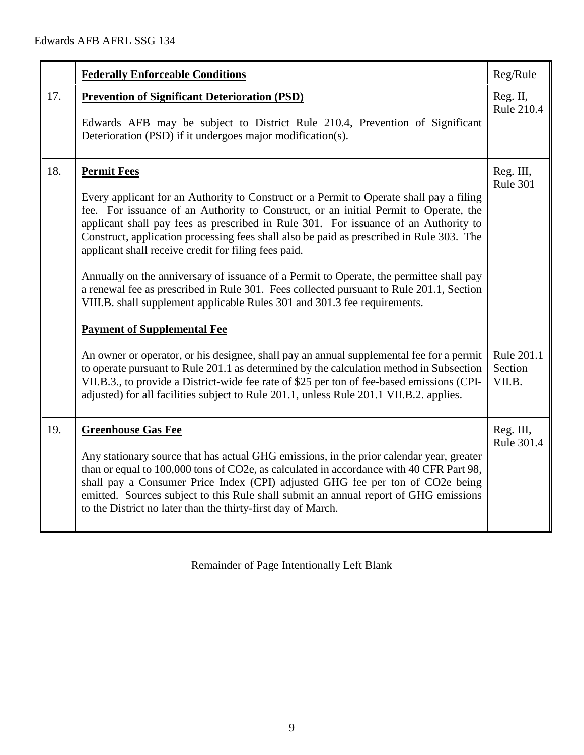|     | <b>Federally Enforceable Conditions</b>                                                                                                                                                                                                                                                                                                                                                                                                                                                                                                                                                                                                                                                                                                                   | Reg/Rule                        |
|-----|-----------------------------------------------------------------------------------------------------------------------------------------------------------------------------------------------------------------------------------------------------------------------------------------------------------------------------------------------------------------------------------------------------------------------------------------------------------------------------------------------------------------------------------------------------------------------------------------------------------------------------------------------------------------------------------------------------------------------------------------------------------|---------------------------------|
| 17. | <b>Prevention of Significant Deterioration (PSD)</b><br>Edwards AFB may be subject to District Rule 210.4, Prevention of Significant<br>Deterioration (PSD) if it undergoes major modification(s).                                                                                                                                                                                                                                                                                                                                                                                                                                                                                                                                                        | Reg. II,<br>Rule 210.4          |
| 18. | <b>Permit Fees</b><br>Every applicant for an Authority to Construct or a Permit to Operate shall pay a filing<br>fee. For issuance of an Authority to Construct, or an initial Permit to Operate, the<br>applicant shall pay fees as prescribed in Rule 301. For issuance of an Authority to<br>Construct, application processing fees shall also be paid as prescribed in Rule 303. The<br>applicant shall receive credit for filing fees paid.<br>Annually on the anniversary of issuance of a Permit to Operate, the permittee shall pay<br>a renewal fee as prescribed in Rule 301. Fees collected pursuant to Rule 201.1, Section<br>VIII.B. shall supplement applicable Rules 301 and 301.3 fee requirements.<br><b>Payment of Supplemental Fee</b> | Reg. III,<br>Rule 301           |
|     | An owner or operator, or his designee, shall pay an annual supplemental fee for a permit<br>to operate pursuant to Rule 201.1 as determined by the calculation method in Subsection<br>VII.B.3., to provide a District-wide fee rate of \$25 per ton of fee-based emissions (CPI-<br>adjusted) for all facilities subject to Rule 201.1, unless Rule 201.1 VII.B.2. applies.                                                                                                                                                                                                                                                                                                                                                                              | Rule 201.1<br>Section<br>VII.B. |
| 19. | <b>Greenhouse Gas Fee</b><br>Any stationary source that has actual GHG emissions, in the prior calendar year, greater<br>than or equal to 100,000 tons of CO2e, as calculated in accordance with 40 CFR Part 98,<br>shall pay a Consumer Price Index (CPI) adjusted GHG fee per ton of CO2e being<br>emitted. Sources subject to this Rule shall submit an annual report of GHG emissions<br>to the District no later than the thirty-first day of March.                                                                                                                                                                                                                                                                                                 | Reg. III,<br>Rule 301.4         |

Remainder of Page Intentionally Left Blank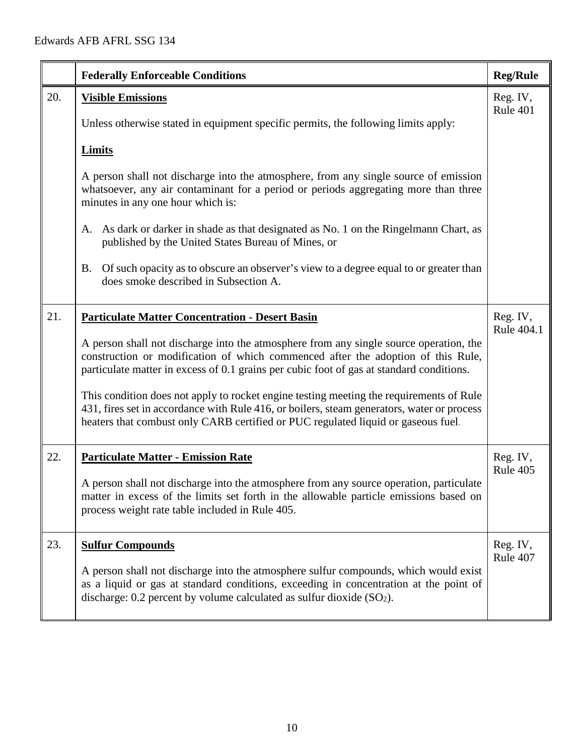|     | <b>Federally Enforceable Conditions</b>                                                                                                                                                                                                                                    | <b>Reg/Rule</b>        |
|-----|----------------------------------------------------------------------------------------------------------------------------------------------------------------------------------------------------------------------------------------------------------------------------|------------------------|
| 20. | <b>Visible Emissions</b><br>Unless otherwise stated in equipment specific permits, the following limits apply:                                                                                                                                                             | Reg. IV,<br>Rule 401   |
|     |                                                                                                                                                                                                                                                                            |                        |
|     | <b>Limits</b>                                                                                                                                                                                                                                                              |                        |
|     | A person shall not discharge into the atmosphere, from any single source of emission<br>whatsoever, any air contaminant for a period or periods aggregating more than three<br>minutes in any one hour which is:                                                           |                        |
|     | As dark or darker in shade as that designated as No. 1 on the Ringelmann Chart, as<br>А.<br>published by the United States Bureau of Mines, or                                                                                                                             |                        |
|     | Of such opacity as to obscure an observer's view to a degree equal to or greater than<br>B.<br>does smoke described in Subsection A.                                                                                                                                       |                        |
| 21. | <b>Particulate Matter Concentration - Desert Basin</b>                                                                                                                                                                                                                     | Reg. IV,<br>Rule 404.1 |
|     | A person shall not discharge into the atmosphere from any single source operation, the<br>construction or modification of which commenced after the adoption of this Rule,<br>particulate matter in excess of 0.1 grains per cubic foot of gas at standard conditions.     |                        |
|     | This condition does not apply to rocket engine testing meeting the requirements of Rule<br>431, fires set in accordance with Rule 416, or boilers, steam generators, water or process<br>heaters that combust only CARB certified or PUC regulated liquid or gaseous fuel. |                        |
| 22. | <b>Particulate Matter - Emission Rate</b>                                                                                                                                                                                                                                  | Reg. IV,<br>Rule 405   |
|     | A person shall not discharge into the atmosphere from any source operation, particulate<br>matter in excess of the limits set forth in the allowable particle emissions based on<br>process weight rate table included in Rule 405.                                        |                        |
| 23. | <b>Sulfur Compounds</b>                                                                                                                                                                                                                                                    | Reg. IV,<br>Rule 407   |
|     | A person shall not discharge into the atmosphere sulfur compounds, which would exist<br>as a liquid or gas at standard conditions, exceeding in concentration at the point of<br>discharge: $0.2$ percent by volume calculated as sulfur dioxide $(SO2)$ .                 |                        |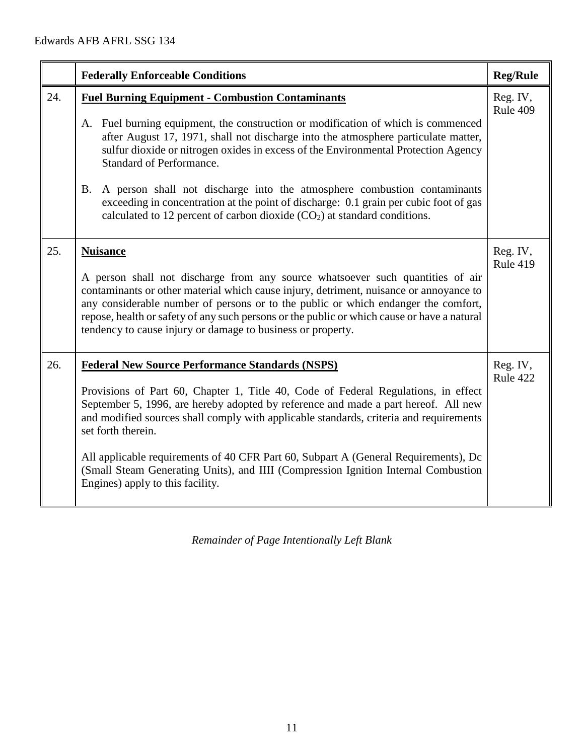|     | <b>Federally Enforceable Conditions</b>                                                                                                                                                                                                                                                                                                                                                                                                                                                                                                                                                                                                | <b>Reg/Rule</b>             |
|-----|----------------------------------------------------------------------------------------------------------------------------------------------------------------------------------------------------------------------------------------------------------------------------------------------------------------------------------------------------------------------------------------------------------------------------------------------------------------------------------------------------------------------------------------------------------------------------------------------------------------------------------------|-----------------------------|
| 24. | <b>Fuel Burning Equipment - Combustion Contaminants</b><br>A. Fuel burning equipment, the construction or modification of which is commenced<br>after August 17, 1971, shall not discharge into the atmosphere particulate matter,<br>sulfur dioxide or nitrogen oxides in excess of the Environmental Protection Agency<br><b>Standard of Performance.</b><br><b>B.</b><br>A person shall not discharge into the atmosphere combustion contaminants<br>exceeding in concentration at the point of discharge: 0.1 grain per cubic foot of gas<br>calculated to 12 percent of carbon dioxide (CO <sub>2</sub> ) at standard conditions. | Reg. IV,<br>Rule 409        |
| 25. | <b>Nuisance</b><br>A person shall not discharge from any source whatsoever such quantities of air<br>contaminants or other material which cause injury, detriment, nuisance or annoyance to<br>any considerable number of persons or to the public or which endanger the comfort,<br>repose, health or safety of any such persons or the public or which cause or have a natural<br>tendency to cause injury or damage to business or property.                                                                                                                                                                                        | Reg. IV,<br><b>Rule 419</b> |
| 26. | <b>Federal New Source Performance Standards (NSPS)</b><br>Provisions of Part 60, Chapter 1, Title 40, Code of Federal Regulations, in effect<br>September 5, 1996, are hereby adopted by reference and made a part hereof. All new<br>and modified sources shall comply with applicable standards, criteria and requirements<br>set forth therein.<br>All applicable requirements of 40 CFR Part 60, Subpart A (General Requirements), Dc<br>(Small Steam Generating Units), and IIII (Compression Ignition Internal Combustion<br>Engines) apply to this facility.                                                                    | Reg. IV,<br>Rule 422        |

*Remainder of Page Intentionally Left Blank*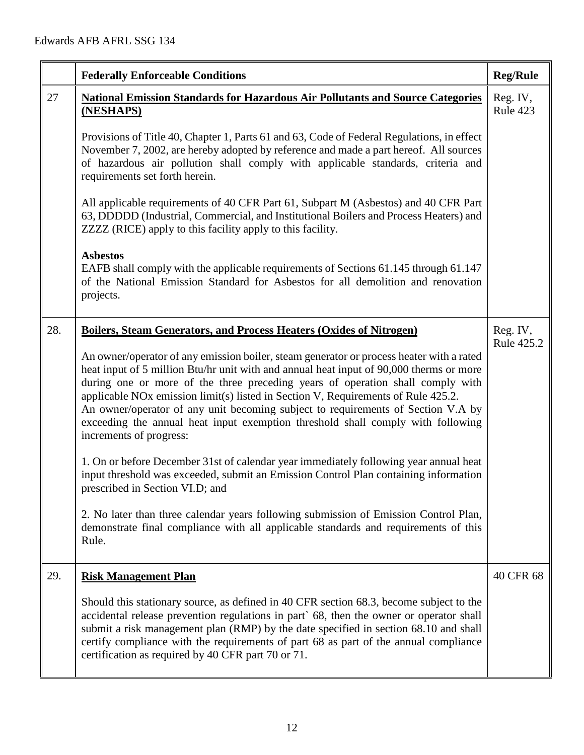|     | <b>Federally Enforceable Conditions</b>                                                                                                                                                                                                                                                                                                                                                                                                                                                                                                                                  | <b>Reg/Rule</b>        |
|-----|--------------------------------------------------------------------------------------------------------------------------------------------------------------------------------------------------------------------------------------------------------------------------------------------------------------------------------------------------------------------------------------------------------------------------------------------------------------------------------------------------------------------------------------------------------------------------|------------------------|
| 27  | <b>National Emission Standards for Hazardous Air Pollutants and Source Categories</b><br>(NESHAPS)                                                                                                                                                                                                                                                                                                                                                                                                                                                                       | Reg. IV,<br>Rule 423   |
|     | Provisions of Title 40, Chapter 1, Parts 61 and 63, Code of Federal Regulations, in effect<br>November 7, 2002, are hereby adopted by reference and made a part hereof. All sources<br>of hazardous air pollution shall comply with applicable standards, criteria and<br>requirements set forth herein.                                                                                                                                                                                                                                                                 |                        |
|     | All applicable requirements of 40 CFR Part 61, Subpart M (Asbestos) and 40 CFR Part<br>63, DDDDD (Industrial, Commercial, and Institutional Boilers and Process Heaters) and<br>ZZZZ (RICE) apply to this facility apply to this facility.                                                                                                                                                                                                                                                                                                                               |                        |
|     | <b>Asbestos</b><br>EAFB shall comply with the applicable requirements of Sections 61.145 through 61.147<br>of the National Emission Standard for Asbestos for all demolition and renovation<br>projects.                                                                                                                                                                                                                                                                                                                                                                 |                        |
| 28. | Boilers, Steam Generators, and Process Heaters (Oxides of Nitrogen)                                                                                                                                                                                                                                                                                                                                                                                                                                                                                                      | Reg. IV,<br>Rule 425.2 |
|     | An owner/operator of any emission boiler, steam generator or process heater with a rated<br>heat input of 5 million Btu/hr unit with and annual heat input of 90,000 therms or more<br>during one or more of the three preceding years of operation shall comply with<br>applicable NO <sub>x</sub> emission limit(s) listed in Section V, Requirements of Rule 425.2.<br>An owner/operator of any unit becoming subject to requirements of Section V.A by<br>exceeding the annual heat input exemption threshold shall comply with following<br>increments of progress: |                        |
|     | 1. On or before December 31st of calendar year immediately following year annual heat<br>input threshold was exceeded, submit an Emission Control Plan containing information<br>prescribed in Section VI.D; and                                                                                                                                                                                                                                                                                                                                                         |                        |
|     | 2. No later than three calendar years following submission of Emission Control Plan,<br>demonstrate final compliance with all applicable standards and requirements of this<br>Rule.                                                                                                                                                                                                                                                                                                                                                                                     |                        |
| 29. | <b>Risk Management Plan</b>                                                                                                                                                                                                                                                                                                                                                                                                                                                                                                                                              | 40 CFR 68              |
|     | Should this stationary source, as defined in 40 CFR section 68.3, become subject to the<br>accidental release prevention regulations in part` 68, then the owner or operator shall<br>submit a risk management plan (RMP) by the date specified in section 68.10 and shall<br>certify compliance with the requirements of part 68 as part of the annual compliance<br>certification as required by 40 CFR part 70 or 71.                                                                                                                                                 |                        |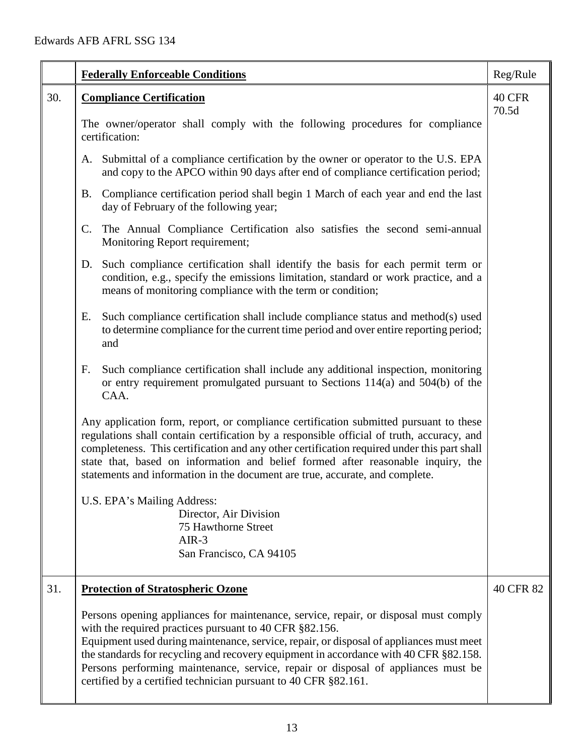|     | <b>Federally Enforceable Conditions</b>                                                                                                                                                                                                                                                                                                                                                                                                                                                     | Reg/Rule  |  |  |
|-----|---------------------------------------------------------------------------------------------------------------------------------------------------------------------------------------------------------------------------------------------------------------------------------------------------------------------------------------------------------------------------------------------------------------------------------------------------------------------------------------------|-----------|--|--|
| 30. | 40 CFR<br><b>Compliance Certification</b>                                                                                                                                                                                                                                                                                                                                                                                                                                                   |           |  |  |
|     | The owner/operator shall comply with the following procedures for compliance<br>certification:                                                                                                                                                                                                                                                                                                                                                                                              |           |  |  |
|     | A. Submittal of a compliance certification by the owner or operator to the U.S. EPA<br>and copy to the APCO within 90 days after end of compliance certification period;                                                                                                                                                                                                                                                                                                                    |           |  |  |
|     | Compliance certification period shall begin 1 March of each year and end the last<br><b>B.</b><br>day of February of the following year;                                                                                                                                                                                                                                                                                                                                                    |           |  |  |
|     | The Annual Compliance Certification also satisfies the second semi-annual<br>C.<br>Monitoring Report requirement;                                                                                                                                                                                                                                                                                                                                                                           |           |  |  |
|     | Such compliance certification shall identify the basis for each permit term or<br>D.<br>condition, e.g., specify the emissions limitation, standard or work practice, and a<br>means of monitoring compliance with the term or condition;                                                                                                                                                                                                                                                   |           |  |  |
|     | Such compliance certification shall include compliance status and method(s) used<br>Ε.<br>to determine compliance for the current time period and over entire reporting period;<br>and                                                                                                                                                                                                                                                                                                      |           |  |  |
|     | Such compliance certification shall include any additional inspection, monitoring<br>F.<br>or entry requirement promulgated pursuant to Sections 114(a) and 504(b) of the<br>CAA.                                                                                                                                                                                                                                                                                                           |           |  |  |
|     | Any application form, report, or compliance certification submitted pursuant to these<br>regulations shall contain certification by a responsible official of truth, accuracy, and<br>completeness. This certification and any other certification required under this part shall<br>state that, based on information and belief formed after reasonable inquiry, the<br>statements and information in the document are true, accurate, and complete.                                       |           |  |  |
|     | U.S. EPA's Mailing Address:                                                                                                                                                                                                                                                                                                                                                                                                                                                                 |           |  |  |
|     | Director, Air Division<br>75 Hawthorne Street                                                                                                                                                                                                                                                                                                                                                                                                                                               |           |  |  |
|     | $AIR-3$                                                                                                                                                                                                                                                                                                                                                                                                                                                                                     |           |  |  |
|     | San Francisco, CA 94105                                                                                                                                                                                                                                                                                                                                                                                                                                                                     |           |  |  |
| 31. | <b>Protection of Stratospheric Ozone</b>                                                                                                                                                                                                                                                                                                                                                                                                                                                    | 40 CFR 82 |  |  |
|     | Persons opening appliances for maintenance, service, repair, or disposal must comply<br>with the required practices pursuant to 40 CFR §82.156.<br>Equipment used during maintenance, service, repair, or disposal of appliances must meet<br>the standards for recycling and recovery equipment in accordance with 40 CFR §82.158.<br>Persons performing maintenance, service, repair or disposal of appliances must be<br>certified by a certified technician pursuant to 40 CFR §82.161. |           |  |  |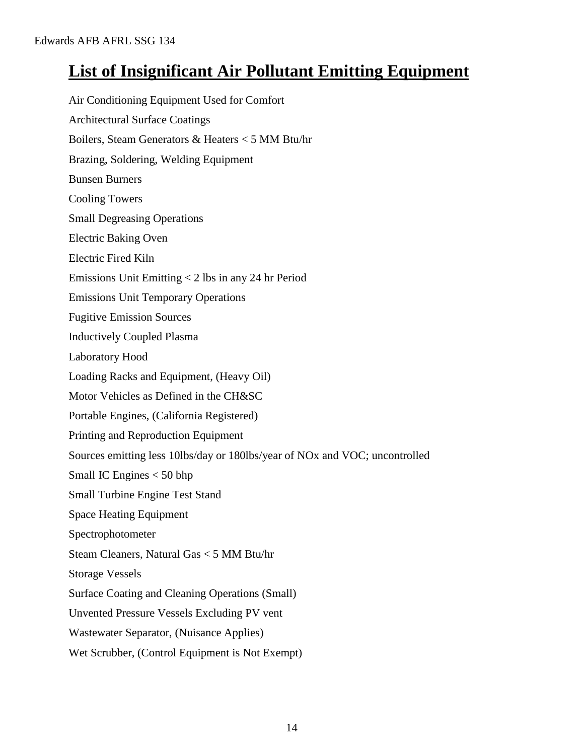## **List of Insignificant Air Pollutant Emitting Equipment**

Air Conditioning Equipment Used for Comfort Architectural Surface Coatings Boilers, Steam Generators & Heaters < 5 MM Btu/hr Brazing, Soldering, Welding Equipment Bunsen Burners Cooling Towers Small Degreasing Operations Electric Baking Oven Electric Fired Kiln Emissions Unit Emitting < 2 lbs in any 24 hr Period Emissions Unit Temporary Operations Fugitive Emission Sources Inductively Coupled Plasma Laboratory Hood Loading Racks and Equipment, (Heavy Oil) Motor Vehicles as Defined in the CH&SC Portable Engines, (California Registered) Printing and Reproduction Equipment Sources emitting less 10lbs/day or 180lbs/year of NOx and VOC; uncontrolled Small IC Engines < 50 bhp Small Turbine Engine Test Stand Space Heating Equipment Spectrophotometer Steam Cleaners, Natural Gas < 5 MM Btu/hr Storage Vessels Surface Coating and Cleaning Operations (Small) Unvented Pressure Vessels Excluding PV vent Wastewater Separator, (Nuisance Applies) Wet Scrubber, (Control Equipment is Not Exempt)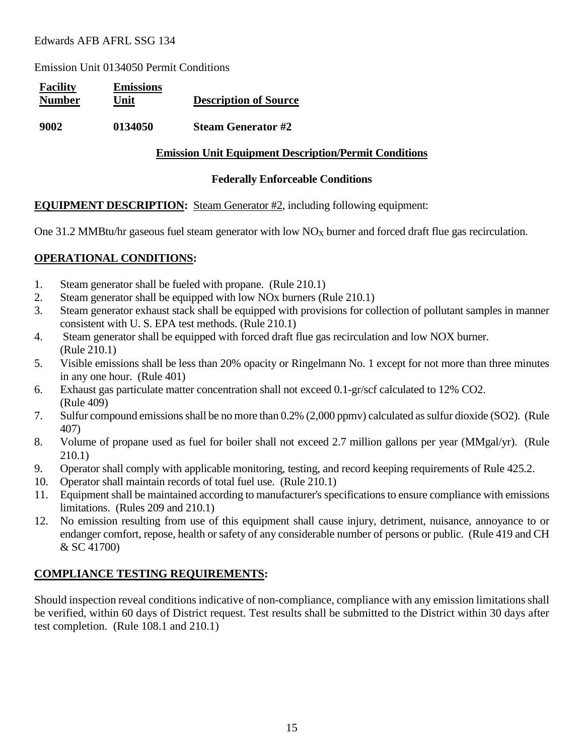Emission Unit 0134050 Permit Conditions

| <b>Facility</b><br><b>Number</b> | <b>Emissions</b><br>Unit | <b>Description of Source</b> |
|----------------------------------|--------------------------|------------------------------|
| 9002                             | 0134050                  | <b>Steam Generator #2</b>    |

#### **Emission Unit Equipment Description/Permit Conditions**

#### **Federally Enforceable Conditions**

#### **EQUIPMENT DESCRIPTION:** Steam Generator #2, including following equipment:

One 31.2 MMBtu/hr gaseous fuel steam generator with low  $NO_X$  burner and forced draft flue gas recirculation.

#### **OPERATIONAL CONDITIONS:**

- 1. Steam generator shall be fueled with propane. (Rule 210.1)
- 2. Steam generator shall be equipped with low NOx burners (Rule 210.1)
- 3. Steam generator exhaust stack shall be equipped with provisions for collection of pollutant samples in manner consistent with U. S. EPA test methods. (Rule 210.1)
- 4. Steam generator shall be equipped with forced draft flue gas recirculation and low NOX burner. (Rule 210.1)
- 5. Visible emissions shall be less than 20% opacity or Ringelmann No. 1 except for not more than three minutes in any one hour. (Rule 401)
- 6. Exhaust gas particulate matter concentration shall not exceed 0.1-gr/scf calculated to 12% CO2. (Rule 409)
- 7. Sulfur compound emissions shall be no more than 0.2% (2,000 ppmv) calculated as sulfur dioxide (SO2). (Rule 407)
- 8. Volume of propane used as fuel for boiler shall not exceed 2.7 million gallons per year (MMgal/yr). (Rule 210.1)
- 9. Operator shall comply with applicable monitoring, testing, and record keeping requirements of Rule 425.2.
- 10. Operator shall maintain records of total fuel use. (Rule 210.1)
- 11. Equipment shall be maintained according to manufacturer's specifications to ensure compliance with emissions limitations. (Rules 209 and 210.1)
- 12. No emission resulting from use of this equipment shall cause injury, detriment, nuisance, annoyance to or endanger comfort, repose, health or safety of any considerable number of persons or public. (Rule 419 and CH & SC 41700)

### **COMPLIANCE TESTING REQUIREMENTS:**

Should inspection reveal conditions indicative of non-compliance, compliance with any emission limitations shall be verified, within 60 days of District request. Test results shall be submitted to the District within 30 days after test completion. (Rule 108.1 and 210.1)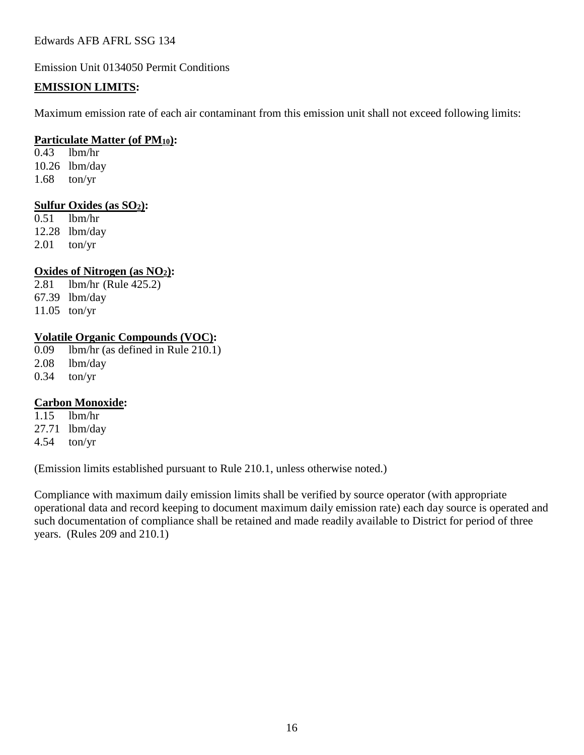Emission Unit 0134050 Permit Conditions

#### **EMISSION LIMITS:**

Maximum emission rate of each air contaminant from this emission unit shall not exceed following limits:

#### **Particulate Matter (of PM10):**

0.43 lbm/hr 10.26 lbm/day 1.68 ton/yr

#### **Sulfur Oxides (as SO2):**

0.51 lbm/hr 12.28 lbm/day 2.01 ton/yr

#### **Oxides of Nitrogen (as NO2):**

2.81 lbm/hr (Rule 425.2) 67.39 lbm/day 11.05 ton/yr

#### **Volatile Organic Compounds (VOC):**

0.09 lbm/hr (as defined in Rule 210.1) 2.08 lbm/day

0.34 ton/yr

#### **Carbon Monoxide:**

1.15 lbm/hr 27.71 lbm/day 4.54 ton/yr

(Emission limits established pursuant to Rule 210.1, unless otherwise noted.)

Compliance with maximum daily emission limits shall be verified by source operator (with appropriate operational data and record keeping to document maximum daily emission rate) each day source is operated and such documentation of compliance shall be retained and made readily available to District for period of three years. (Rules 209 and 210.1)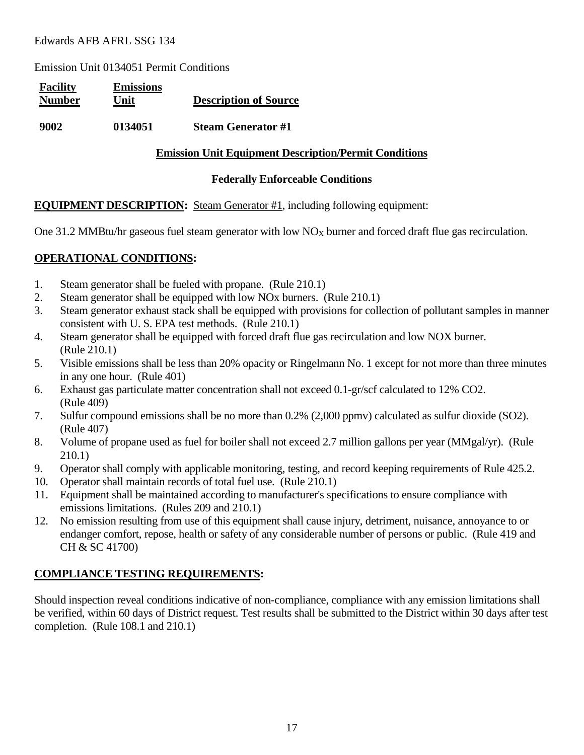Emission Unit 0134051 Permit Conditions

| <b>Facility</b><br><b>Number</b> | <b>Emissions</b><br>Unit | <b>Description of Source</b> |
|----------------------------------|--------------------------|------------------------------|
| 9002                             | 0134051                  | <b>Steam Generator #1</b>    |

#### **Emission Unit Equipment Description/Permit Conditions**

#### **Federally Enforceable Conditions**

#### **EQUIPMENT DESCRIPTION:** Steam Generator #1, including following equipment:

One 31.2 MMBtu/hr gaseous fuel steam generator with low  $NO_X$  burner and forced draft flue gas recirculation.

#### **OPERATIONAL CONDITIONS:**

- 1. Steam generator shall be fueled with propane. (Rule 210.1)
- 2. Steam generator shall be equipped with low NOx burners. (Rule 210.1)
- 3. Steam generator exhaust stack shall be equipped with provisions for collection of pollutant samples in manner consistent with U. S. EPA test methods. (Rule 210.1)
- 4. Steam generator shall be equipped with forced draft flue gas recirculation and low NOX burner. (Rule 210.1)
- 5. Visible emissions shall be less than 20% opacity or Ringelmann No. 1 except for not more than three minutes in any one hour. (Rule 401)
- 6. Exhaust gas particulate matter concentration shall not exceed 0.1-gr/scf calculated to 12% CO2. (Rule 409)
- 7. Sulfur compound emissions shall be no more than 0.2% (2,000 ppmv) calculated as sulfur dioxide (SO2). (Rule 407)
- 8. Volume of propane used as fuel for boiler shall not exceed 2.7 million gallons per year (MMgal/yr). (Rule 210.1)
- 9. Operator shall comply with applicable monitoring, testing, and record keeping requirements of Rule 425.2.
- 10. Operator shall maintain records of total fuel use. (Rule 210.1)
- 11. Equipment shall be maintained according to manufacturer's specifications to ensure compliance with emissions limitations. (Rules 209 and 210.1)
- 12. No emission resulting from use of this equipment shall cause injury, detriment, nuisance, annoyance to or endanger comfort, repose, health or safety of any considerable number of persons or public. (Rule 419 and CH & SC 41700)

### **COMPLIANCE TESTING REQUIREMENTS:**

Should inspection reveal conditions indicative of non-compliance, compliance with any emission limitations shall be verified, within 60 days of District request. Test results shall be submitted to the District within 30 days after test completion. (Rule 108.1 and 210.1)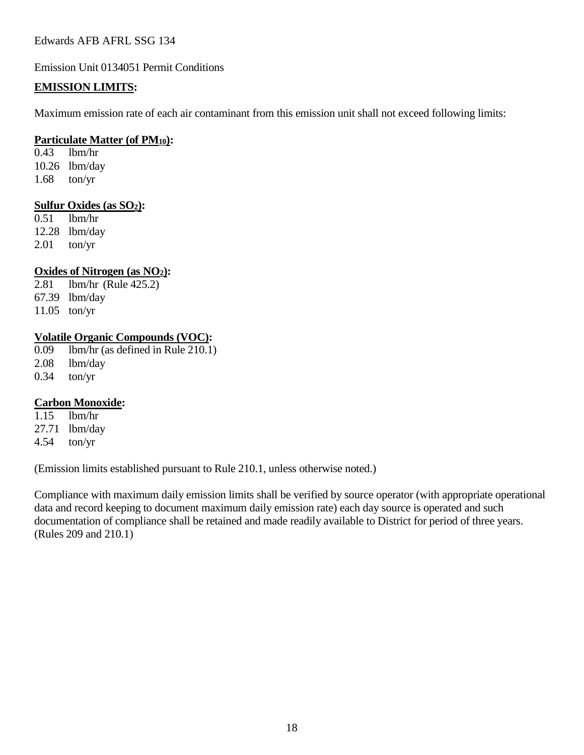Emission Unit 0134051 Permit Conditions

#### **EMISSION LIMITS:**

Maximum emission rate of each air contaminant from this emission unit shall not exceed following limits:

#### **Particulate Matter (of PM10):**

0.43 lbm/hr 10.26 lbm/day 1.68 ton/yr

#### **Sulfur Oxides (as SO2):**

0.51 lbm/hr 12.28 lbm/day 2.01 ton/yr

#### **Oxides of Nitrogen (as NO2):**

2.81 lbm/hr (Rule 425.2) 67.39 lbm/day 11.05 ton/yr

#### **Volatile Organic Compounds (VOC):**

0.09 lbm/hr (as defined in Rule 210.1) 2.08 lbm/day

0.34 ton/yr

#### **Carbon Monoxide:**

1.15 lbm/hr 27.71 lbm/day 4.54 ton/yr

(Emission limits established pursuant to Rule 210.1, unless otherwise noted.)

Compliance with maximum daily emission limits shall be verified by source operator (with appropriate operational data and record keeping to document maximum daily emission rate) each day source is operated and such documentation of compliance shall be retained and made readily available to District for period of three years. (Rules 209 and 210.1)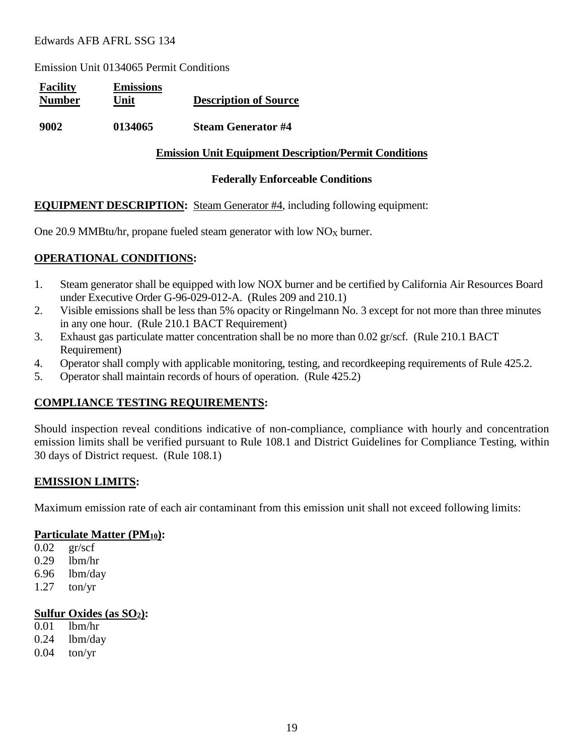Emission Unit 0134065 Permit Conditions

| <b>Facility</b><br><b>Number</b> | <b>Emissions</b><br>Unit | <b>Description of Source</b> |
|----------------------------------|--------------------------|------------------------------|
| 9002                             | 0134065                  | <b>Steam Generator #4</b>    |

#### **Emission Unit Equipment Description/Permit Conditions**

#### **Federally Enforceable Conditions**

#### **EQUIPMENT DESCRIPTION:** Steam Generator #4, including following equipment:

One 20.9 MMBtu/hr, propane fueled steam generator with low  $NO_X$  burner.

#### **OPERATIONAL CONDITIONS:**

- 1. Steam generator shall be equipped with low NOX burner and be certified by California Air Resources Board under Executive Order G-96-029-012-A. (Rules 209 and 210.1)
- 2. Visible emissions shall be less than 5% opacity or Ringelmann No. 3 except for not more than three minutes in any one hour. (Rule 210.1 BACT Requirement)
- 3. Exhaust gas particulate matter concentration shall be no more than 0.02 gr/scf. (Rule 210.1 BACT Requirement)
- 4. Operator shall comply with applicable monitoring, testing, and recordkeeping requirements of Rule 425.2.
- 5. Operator shall maintain records of hours of operation. (Rule 425.2)

#### **COMPLIANCE TESTING REQUIREMENTS:**

Should inspection reveal conditions indicative of non-compliance, compliance with hourly and concentration emission limits shall be verified pursuant to Rule 108.1 and District Guidelines for Compliance Testing, within 30 days of District request. (Rule 108.1)

#### **EMISSION LIMITS:**

Maximum emission rate of each air contaminant from this emission unit shall not exceed following limits:

#### **Particulate Matter (PM10):**

- 0.02 gr/scf
- 0.29 lbm/hr
- 6.96 lbm/day
- 1.27 ton/yr

#### **Sulfur Oxides (as SO2):**

- 0.01 lbm/hr
- 0.24 lbm/day
- $0.04$  ton/yr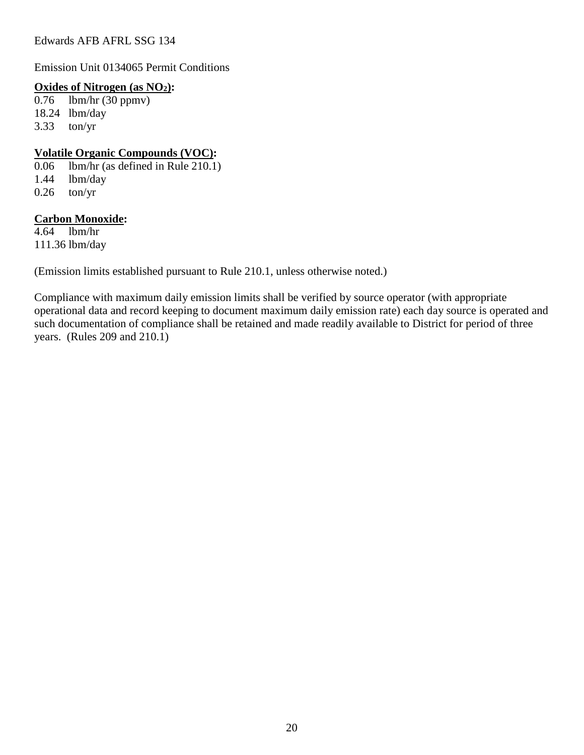Emission Unit 0134065 Permit Conditions

#### **Oxides of Nitrogen (as NO2):**

0.76 lbm/hr (30 ppmv) 18.24 lbm/day 3.33 ton/yr

#### **Volatile Organic Compounds (VOC):**

0.06 lbm/hr (as defined in Rule 210.1) 1.44 lbm/day  $0.26$  ton/yr

#### **Carbon Monoxide:**

 $4.64$  lbm/hr 111.36 lbm/day

(Emission limits established pursuant to Rule 210.1, unless otherwise noted.)

Compliance with maximum daily emission limits shall be verified by source operator (with appropriate operational data and record keeping to document maximum daily emission rate) each day source is operated and such documentation of compliance shall be retained and made readily available to District for period of three years. (Rules 209 and 210.1)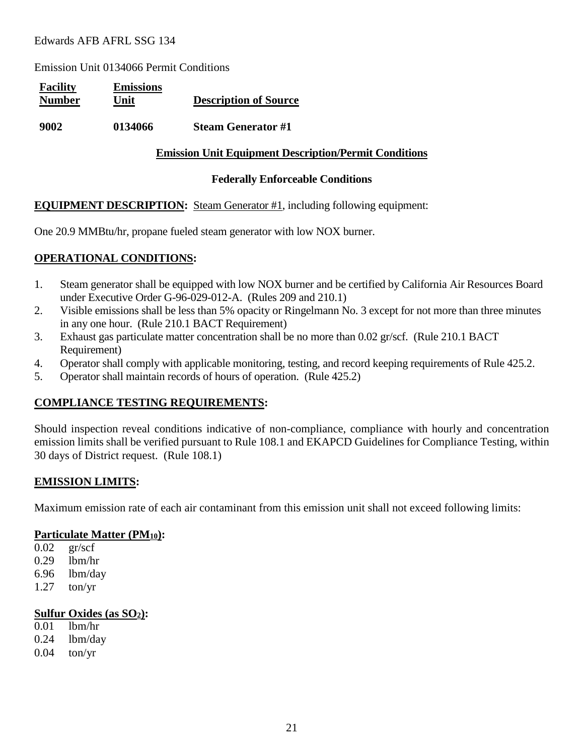Emission Unit 0134066 Permit Conditions

| <b>Facility</b><br><b>Number</b> | <b>Emissions</b><br>Unit | <b>Description of Source</b> |
|----------------------------------|--------------------------|------------------------------|
| 9002                             | 0134066                  | <b>Steam Generator #1</b>    |

#### **Emission Unit Equipment Description/Permit Conditions**

#### **Federally Enforceable Conditions**

#### **EQUIPMENT DESCRIPTION:** Steam Generator #1, including following equipment:

One 20.9 MMBtu/hr, propane fueled steam generator with low NOX burner.

#### **OPERATIONAL CONDITIONS:**

- 1. Steam generator shall be equipped with low NOX burner and be certified by California Air Resources Board under Executive Order G-96-029-012-A. (Rules 209 and 210.1)
- 2. Visible emissions shall be less than 5% opacity or Ringelmann No. 3 except for not more than three minutes in any one hour. (Rule 210.1 BACT Requirement)
- 3. Exhaust gas particulate matter concentration shall be no more than 0.02 gr/scf. (Rule 210.1 BACT Requirement)
- 4. Operator shall comply with applicable monitoring, testing, and record keeping requirements of Rule 425.2.
- 5. Operator shall maintain records of hours of operation. (Rule 425.2)

#### **COMPLIANCE TESTING REQUIREMENTS:**

Should inspection reveal conditions indicative of non-compliance, compliance with hourly and concentration emission limits shall be verified pursuant to Rule 108.1 and EKAPCD Guidelines for Compliance Testing, within 30 days of District request. (Rule 108.1)

#### **EMISSION LIMITS:**

Maximum emission rate of each air contaminant from this emission unit shall not exceed following limits:

#### **Particulate Matter (PM10):**

- 0.02 gr/scf
- 0.29 lbm/hr
- 6.96 lbm/day
- 1.27 ton/yr

#### **Sulfur Oxides (as SO2):**

- 0.01 lbm/hr
- 0.24 lbm/day
- $0.04$  ton/yr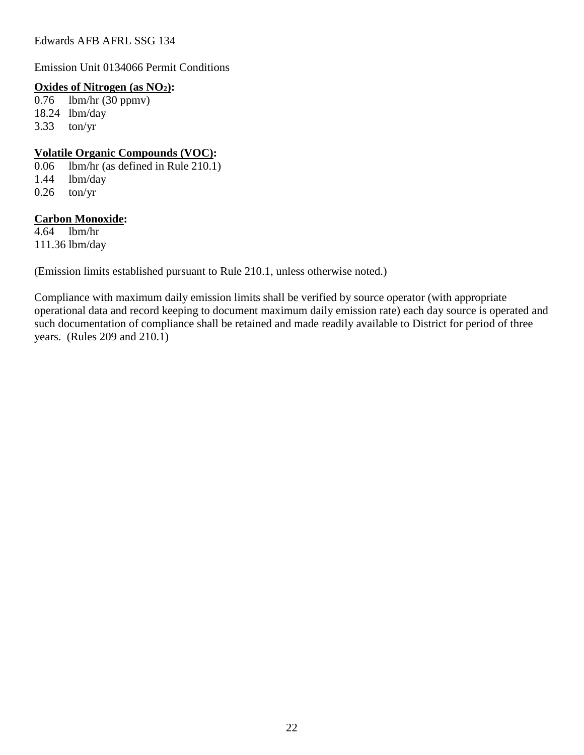Emission Unit 0134066 Permit Conditions

#### **Oxides of Nitrogen (as NO2):**

0.76 lbm/hr (30 ppmv) 18.24 lbm/day 3.33 ton/yr

#### **Volatile Organic Compounds (VOC):**

0.06 lbm/hr (as defined in Rule 210.1) 1.44 lbm/day  $0.26$  ton/yr

#### **Carbon Monoxide:**

 $4.64$  lbm/hr 111.36 lbm/day

(Emission limits established pursuant to Rule 210.1, unless otherwise noted.)

Compliance with maximum daily emission limits shall be verified by source operator (with appropriate operational data and record keeping to document maximum daily emission rate) each day source is operated and such documentation of compliance shall be retained and made readily available to District for period of three years. (Rules 209 and 210.1)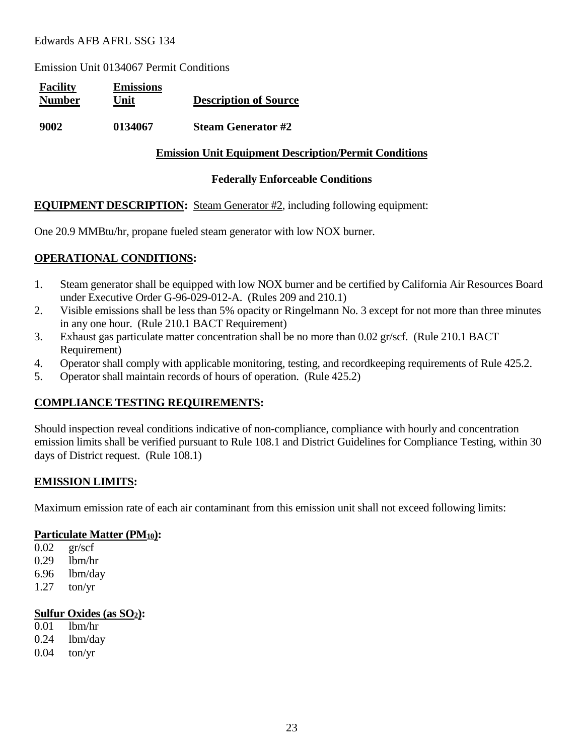Emission Unit 0134067 Permit Conditions

| <b>Facility</b><br><b>Number</b> | <b>Emissions</b><br>Unit | <b>Description of Source</b> |
|----------------------------------|--------------------------|------------------------------|
| 9002                             | 0134067                  | <b>Steam Generator #2</b>    |

#### **Emission Unit Equipment Description/Permit Conditions**

#### **Federally Enforceable Conditions**

#### **EQUIPMENT DESCRIPTION:** Steam Generator #2, including following equipment:

One 20.9 MMBtu/hr, propane fueled steam generator with low NOX burner.

#### **OPERATIONAL CONDITIONS:**

- 1. Steam generator shall be equipped with low NOX burner and be certified by California Air Resources Board under Executive Order G-96-029-012-A. (Rules 209 and 210.1)
- 2. Visible emissions shall be less than 5% opacity or Ringelmann No. 3 except for not more than three minutes in any one hour. (Rule 210.1 BACT Requirement)
- 3. Exhaust gas particulate matter concentration shall be no more than 0.02 gr/scf. (Rule 210.1 BACT Requirement)
- 4. Operator shall comply with applicable monitoring, testing, and recordkeeping requirements of Rule 425.2.
- 5. Operator shall maintain records of hours of operation. (Rule 425.2)

#### **COMPLIANCE TESTING REQUIREMENTS:**

Should inspection reveal conditions indicative of non-compliance, compliance with hourly and concentration emission limits shall be verified pursuant to Rule 108.1 and District Guidelines for Compliance Testing, within 30 days of District request. (Rule 108.1)

#### **EMISSION LIMITS:**

Maximum emission rate of each air contaminant from this emission unit shall not exceed following limits:

#### **Particulate Matter (PM10):**

- 0.02 gr/scf
- 0.29 lbm/hr
- 6.96 lbm/day
- 1.27 ton/yr

#### **Sulfur Oxides (as SO2):**

- 0.01 lbm/hr
- 0.24 lbm/day
- 0.04 ton/yr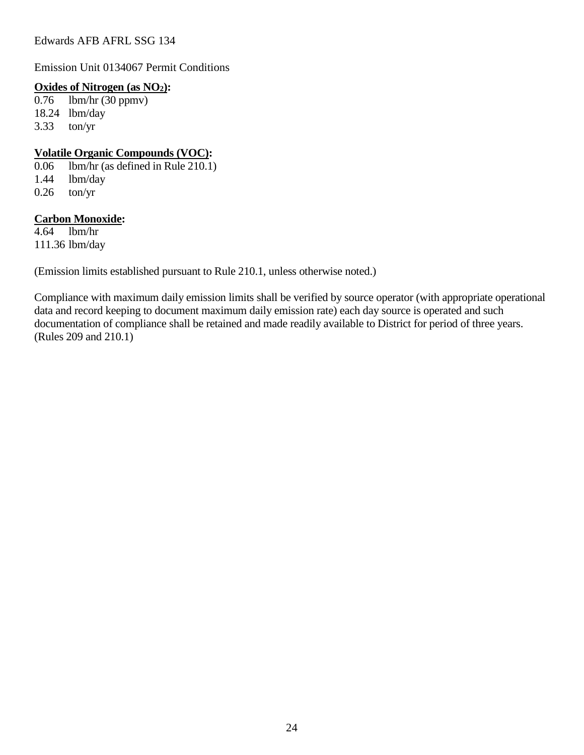Emission Unit 0134067 Permit Conditions

#### **Oxides of Nitrogen (as NO2):**

0.76 lbm/hr (30 ppmv) 18.24 lbm/day 3.33 ton/yr

#### **Volatile Organic Compounds (VOC):**

0.06 lbm/hr (as defined in Rule 210.1) 1.44 lbm/day  $0.26$  ton/yr

#### **Carbon Monoxide:**

 $4.64$  lbm/hr 111.36 lbm/day

(Emission limits established pursuant to Rule 210.1, unless otherwise noted.)

Compliance with maximum daily emission limits shall be verified by source operator (with appropriate operational data and record keeping to document maximum daily emission rate) each day source is operated and such documentation of compliance shall be retained and made readily available to District for period of three years. (Rules 209 and 210.1)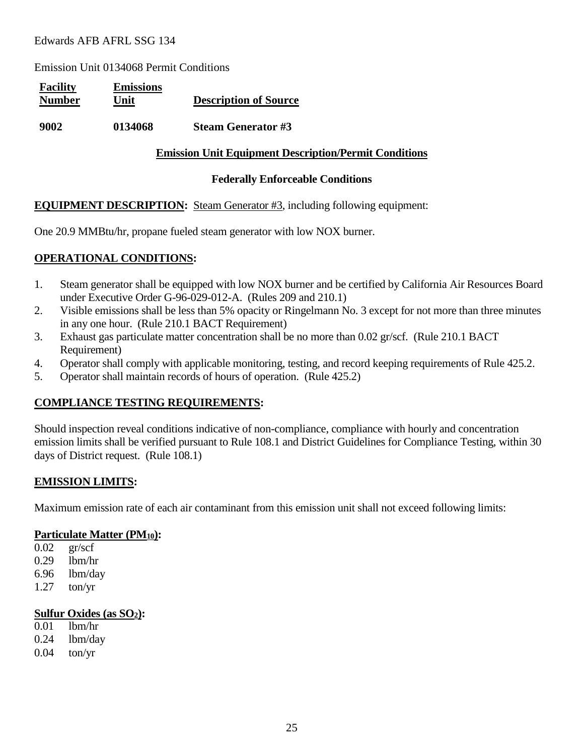Emission Unit 0134068 Permit Conditions

| <b>Facility</b><br><b>Number</b> | <b>Emissions</b><br>Unit | <b>Description of Source</b> |
|----------------------------------|--------------------------|------------------------------|
| 9002                             | 0134068                  | Steam Generator #3           |

#### **Emission Unit Equipment Description/Permit Conditions**

#### **Federally Enforceable Conditions**

#### **EQUIPMENT DESCRIPTION:** Steam Generator #3, including following equipment:

One 20.9 MMBtu/hr, propane fueled steam generator with low NOX burner.

#### **OPERATIONAL CONDITIONS:**

- 1. Steam generator shall be equipped with low NOX burner and be certified by California Air Resources Board under Executive Order G-96-029-012-A. (Rules 209 and 210.1)
- 2. Visible emissions shall be less than 5% opacity or Ringelmann No. 3 except for not more than three minutes in any one hour. (Rule 210.1 BACT Requirement)
- 3. Exhaust gas particulate matter concentration shall be no more than 0.02 gr/scf. (Rule 210.1 BACT Requirement)
- 4. Operator shall comply with applicable monitoring, testing, and record keeping requirements of Rule 425.2.
- 5. Operator shall maintain records of hours of operation. (Rule 425.2)

#### **COMPLIANCE TESTING REQUIREMENTS:**

Should inspection reveal conditions indicative of non-compliance, compliance with hourly and concentration emission limits shall be verified pursuant to Rule 108.1 and District Guidelines for Compliance Testing, within 30 days of District request. (Rule 108.1)

#### **EMISSION LIMITS:**

Maximum emission rate of each air contaminant from this emission unit shall not exceed following limits:

#### **Particulate Matter (PM10):**

- 0.02 gr/scf
- 0.29 lbm/hr
- 6.96 lbm/day
- 1.27 ton/yr

#### **Sulfur Oxides (as SO2):**

- 0.01 lbm/hr
- 0.24 lbm/day
- 0.04 ton/yr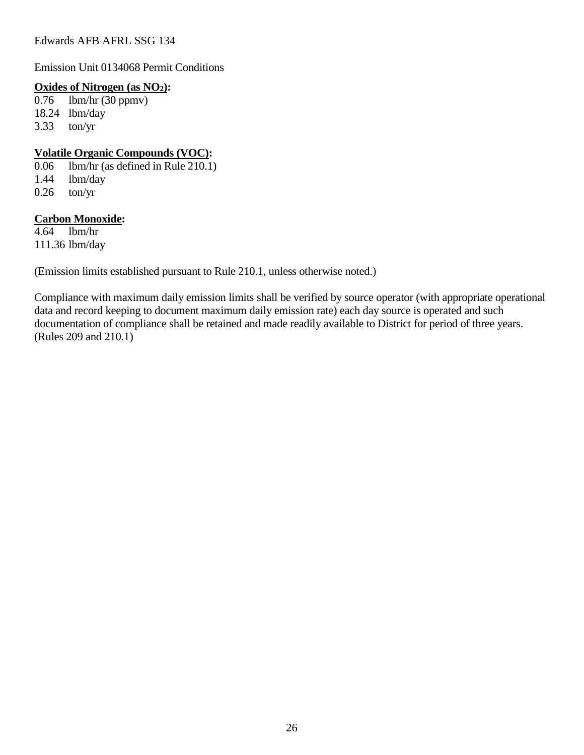Emission Unit 0134068 Permit Conditions

#### **Oxides of Nitrogen (as NO2):**

0.76 lbm/hr (30 ppmv) 18.24 lbm/day 3.33 ton/yr

#### **Volatile Organic Compounds (VOC):**

0.06 lbm/hr (as defined in Rule 210.1) 1.44 lbm/day  $0.26$  ton/yr

#### **Carbon Monoxide:**

 $4.64$  lbm/hr 111.36 lbm/day

(Emission limits established pursuant to Rule 210.1, unless otherwise noted.)

Compliance with maximum daily emission limits shall be verified by source operator (with appropriate operational data and record keeping to document maximum daily emission rate) each day source is operated and such documentation of compliance shall be retained and made readily available to District for period of three years. (Rules 209 and 210.1)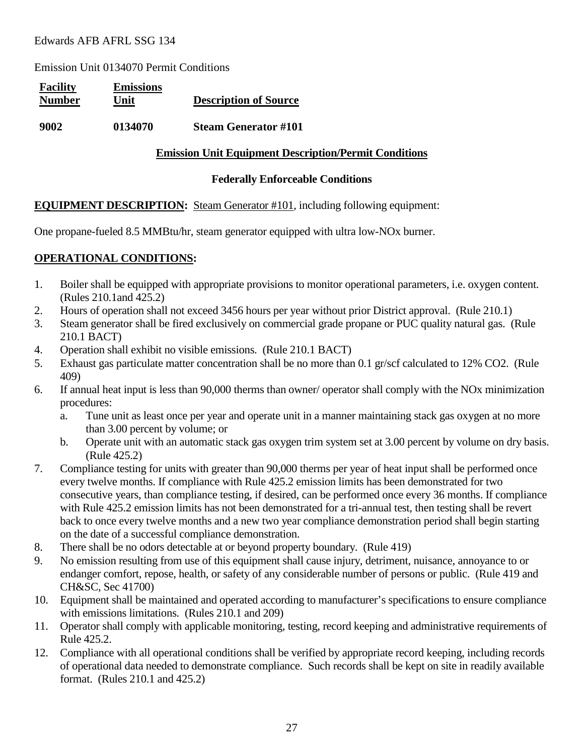Emission Unit 0134070 Permit Conditions

| <b>Facility</b><br><b>Number</b> | <b>Emissions</b><br>Unit | <b>Description of Source</b> |
|----------------------------------|--------------------------|------------------------------|
| 9002                             | 0134070                  | <b>Steam Generator #101</b>  |

#### **Emission Unit Equipment Description/Permit Conditions**

#### **Federally Enforceable Conditions**

#### **EQUIPMENT DESCRIPTION:** Steam Generator #101, including following equipment:

One propane-fueled 8.5 MMBtu/hr, steam generator equipped with ultra low-NOx burner.

#### **OPERATIONAL CONDITIONS:**

- 1. Boiler shall be equipped with appropriate provisions to monitor operational parameters, i.e. oxygen content. (Rules 210.1and 425.2)
- 2. Hours of operation shall not exceed 3456 hours per year without prior District approval. (Rule 210.1)
- 3. Steam generator shall be fired exclusively on commercial grade propane or PUC quality natural gas. (Rule 210.1 BACT)
- 4. Operation shall exhibit no visible emissions. (Rule 210.1 BACT)
- 5. Exhaust gas particulate matter concentration shall be no more than 0.1 gr/scf calculated to 12% CO2. (Rule 409)
- 6. If annual heat input is less than 90,000 therms than owner/ operator shall comply with the NOx minimization procedures:
	- a. Tune unit as least once per year and operate unit in a manner maintaining stack gas oxygen at no more than 3.00 percent by volume; or
	- b. Operate unit with an automatic stack gas oxygen trim system set at 3.00 percent by volume on dry basis. (Rule 425.2)
- 7. Compliance testing for units with greater than 90,000 therms per year of heat input shall be performed once every twelve months. If compliance with Rule 425.2 emission limits has been demonstrated for two consecutive years, than compliance testing, if desired, can be performed once every 36 months. If compliance with Rule 425.2 emission limits has not been demonstrated for a tri-annual test, then testing shall be revert back to once every twelve months and a new two year compliance demonstration period shall begin starting on the date of a successful compliance demonstration.
- 8. There shall be no odors detectable at or beyond property boundary. (Rule 419)
- 9. No emission resulting from use of this equipment shall cause injury, detriment, nuisance, annoyance to or endanger comfort, repose, health, or safety of any considerable number of persons or public. (Rule 419 and CH&SC, Sec 41700)
- 10. Equipment shall be maintained and operated according to manufacturer's specifications to ensure compliance with emissions limitations. (Rules 210.1 and 209)
- 11. Operator shall comply with applicable monitoring, testing, record keeping and administrative requirements of Rule 425.2.
- 12. Compliance with all operational conditions shall be verified by appropriate record keeping, including records of operational data needed to demonstrate compliance. Such records shall be kept on site in readily available format. (Rules 210.1 and 425.2)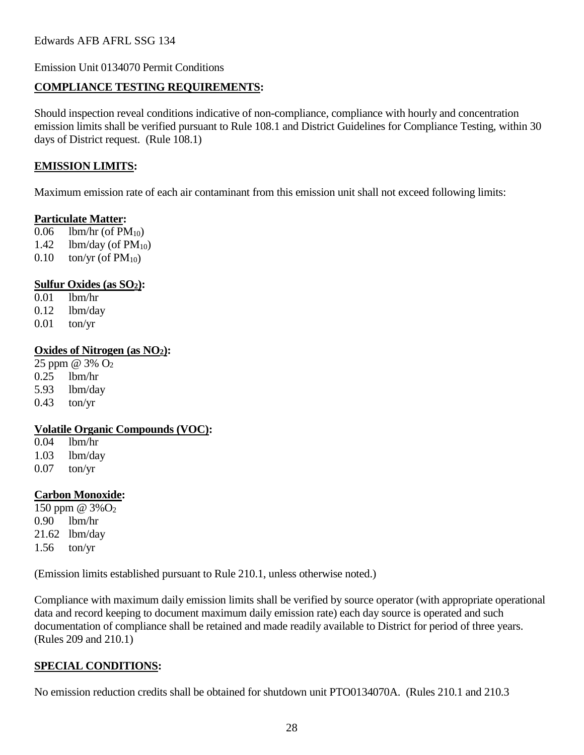Emission Unit 0134070 Permit Conditions

#### **COMPLIANCE TESTING REQUIREMENTS:**

Should inspection reveal conditions indicative of non-compliance, compliance with hourly and concentration emission limits shall be verified pursuant to Rule 108.1 and District Guidelines for Compliance Testing, within 30 days of District request. (Rule 108.1)

#### **EMISSION LIMITS:**

Maximum emission rate of each air contaminant from this emission unit shall not exceed following limits:

#### **Particulate Matter:**

- 0.06 lbm/hr (of  $PM_{10}$ ) 1.42 lbm/day (of  $PM_{10}$ ) 0.10 ton/yr (of  $PM_{10}$ )
- 

#### **Sulfur Oxides (as SO2):**

 $0.01$  lbm/hr 0.12 lbm/day 0.01 ton/yr

#### **Oxides of Nitrogen (as NO2):**

25 ppm @ 3% O2 0.25 lbm/hr 5.93 lbm/day 0.43 ton/yr

#### **Volatile Organic Compounds (VOC):**

0.04 lbm/hr 1.03 lbm/day 0.07 ton/yr

#### **Carbon Monoxide:**

150 ppm  $@3\%O_2$ 0.90 lbm/hr 21.62 lbm/day 1.56 ton/yr

(Emission limits established pursuant to Rule 210.1, unless otherwise noted.)

Compliance with maximum daily emission limits shall be verified by source operator (with appropriate operational data and record keeping to document maximum daily emission rate) each day source is operated and such documentation of compliance shall be retained and made readily available to District for period of three years. (Rules 209 and 210.1)

### **SPECIAL CONDITIONS:**

No emission reduction credits shall be obtained for shutdown unit PTO0134070A. (Rules 210.1 and 210.3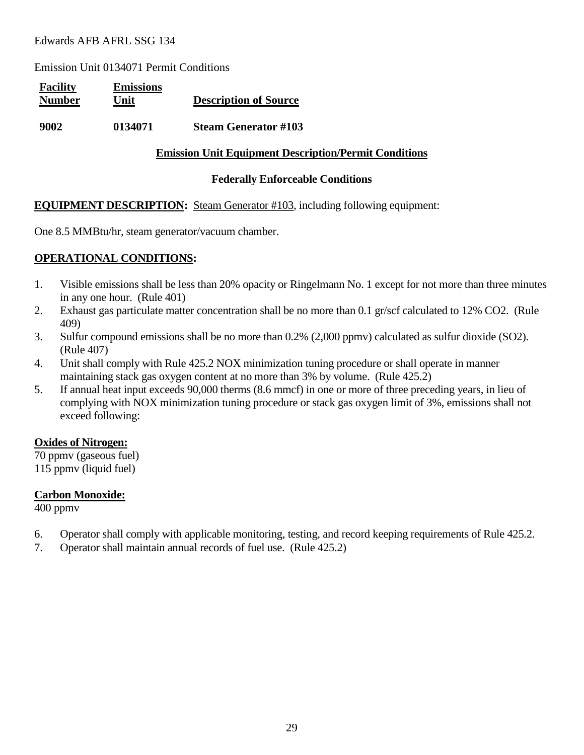Emission Unit 0134071 Permit Conditions

| <b>Facility</b><br><b>Number</b> | <b>Emissions</b><br>Unit | <b>Description of Source</b> |
|----------------------------------|--------------------------|------------------------------|
| 9002                             | 0134071                  | <b>Steam Generator #103</b>  |

#### **Emission Unit Equipment Description/Permit Conditions**

#### **Federally Enforceable Conditions**

#### **EQUIPMENT DESCRIPTION:** Steam Generator #103, including following equipment:

One 8.5 MMBtu/hr, steam generator/vacuum chamber.

#### **OPERATIONAL CONDITIONS:**

- 1. Visible emissions shall be less than 20% opacity or Ringelmann No. 1 except for not more than three minutes in any one hour. (Rule 401)
- 2. Exhaust gas particulate matter concentration shall be no more than 0.1 gr/scf calculated to 12% CO2. (Rule 409)
- 3. Sulfur compound emissions shall be no more than 0.2% (2,000 ppmv) calculated as sulfur dioxide (SO2). (Rule 407)
- 4. Unit shall comply with Rule 425.2 NOX minimization tuning procedure or shall operate in manner maintaining stack gas oxygen content at no more than 3% by volume. (Rule 425.2)
- 5. If annual heat input exceeds 90,000 therms (8.6 mmcf) in one or more of three preceding years, in lieu of complying with NOX minimization tuning procedure or stack gas oxygen limit of 3%, emissions shall not exceed following:

#### **Oxides of Nitrogen:**

70 ppmv (gaseous fuel) 115 ppmv (liquid fuel)

#### **Carbon Monoxide:**

400 ppmv

- 6. Operator shall comply with applicable monitoring, testing, and record keeping requirements of Rule 425.2.
- 7. Operator shall maintain annual records of fuel use. (Rule 425.2)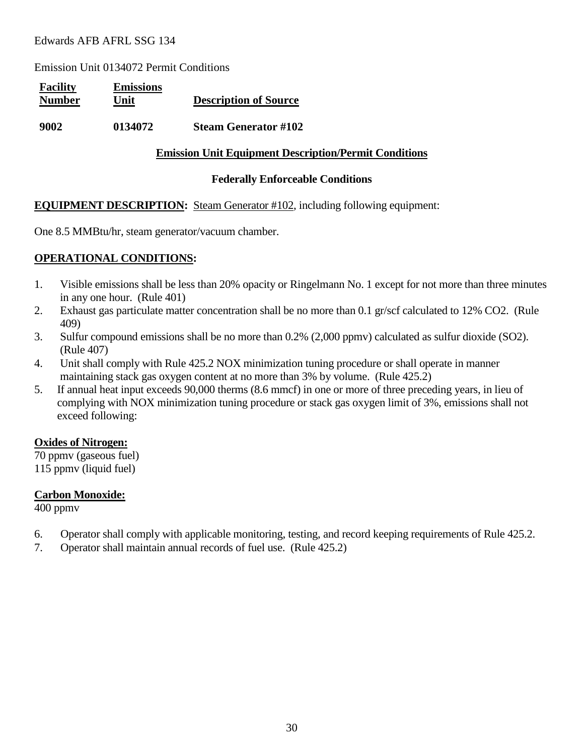Emission Unit 0134072 Permit Conditions

| <b>Facility</b><br><b>Number</b> | <b>Emissions</b><br>Unit | <b>Description of Source</b> |
|----------------------------------|--------------------------|------------------------------|
| 9002                             | 0134072                  | <b>Steam Generator #102</b>  |

#### **Emission Unit Equipment Description/Permit Conditions**

#### **Federally Enforceable Conditions**

#### **EQUIPMENT DESCRIPTION:** Steam Generator #102, including following equipment:

One 8.5 MMBtu/hr, steam generator/vacuum chamber.

#### **OPERATIONAL CONDITIONS:**

- 1. Visible emissions shall be less than 20% opacity or Ringelmann No. 1 except for not more than three minutes in any one hour. (Rule 401)
- 2. Exhaust gas particulate matter concentration shall be no more than 0.1 gr/scf calculated to 12% CO2. (Rule 409)
- 3. Sulfur compound emissions shall be no more than 0.2% (2,000 ppmv) calculated as sulfur dioxide (SO2). (Rule 407)
- 4. Unit shall comply with Rule 425.2 NOX minimization tuning procedure or shall operate in manner maintaining stack gas oxygen content at no more than 3% by volume. (Rule 425.2)
- 5. If annual heat input exceeds 90,000 therms (8.6 mmcf) in one or more of three preceding years, in lieu of complying with NOX minimization tuning procedure or stack gas oxygen limit of 3%, emissions shall not exceed following:

#### **Oxides of Nitrogen:**

70 ppmv (gaseous fuel) 115 ppmv (liquid fuel)

#### **Carbon Monoxide:**

400 ppmv

- 6. Operator shall comply with applicable monitoring, testing, and record keeping requirements of Rule 425.2.
- 7. Operator shall maintain annual records of fuel use. (Rule 425.2)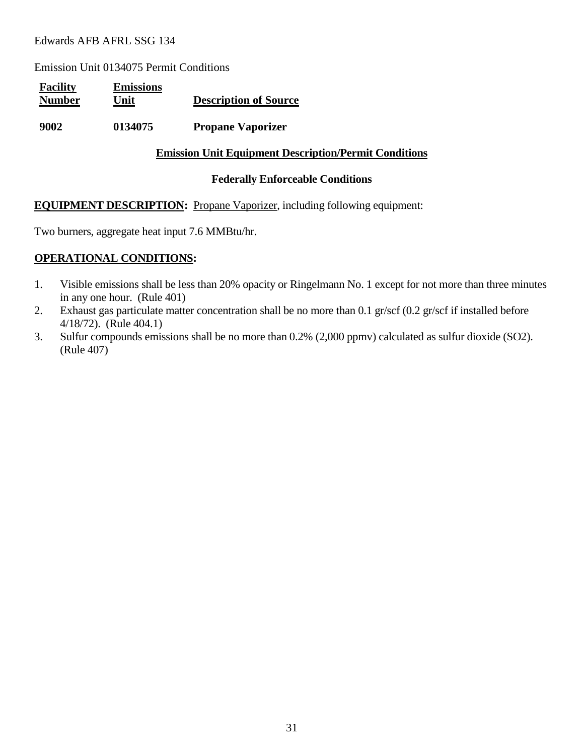Emission Unit 0134075 Permit Conditions

| <b>Facility</b><br><b>Number</b> | <b>Emissions</b><br>Unit | <b>Description of Source</b> |
|----------------------------------|--------------------------|------------------------------|
| 9002                             | 0134075                  | <b>Propane Vaporizer</b>     |

#### **Emission Unit Equipment Description/Permit Conditions**

#### **Federally Enforceable Conditions**

#### **EQUIPMENT DESCRIPTION:** Propane Vaporizer, including following equipment:

Two burners, aggregate heat input 7.6 MMBtu/hr.

#### **OPERATIONAL CONDITIONS:**

- 1. Visible emissions shall be less than 20% opacity or Ringelmann No. 1 except for not more than three minutes in any one hour. (Rule 401)
- 2. Exhaust gas particulate matter concentration shall be no more than 0.1 gr/scf (0.2 gr/scf if installed before 4/18/72). (Rule 404.1)
- 3. Sulfur compounds emissions shall be no more than 0.2% (2,000 ppmv) calculated as sulfur dioxide (SO2). (Rule 407)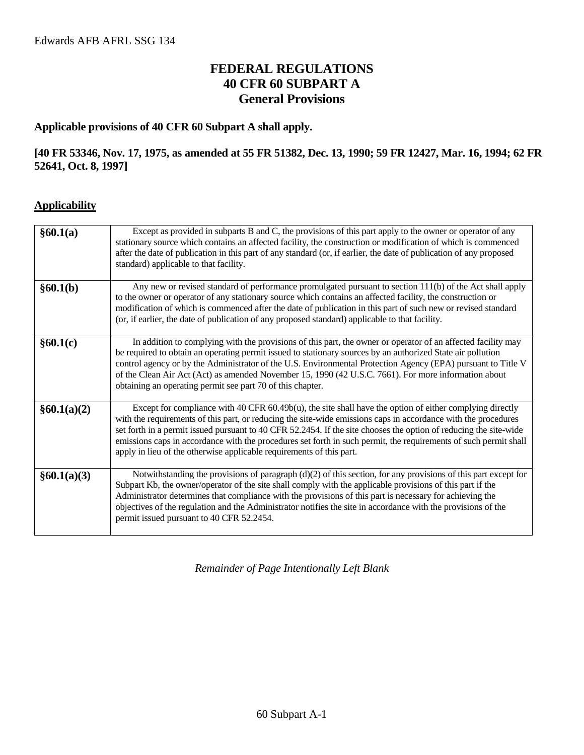## **FEDERAL REGULATIONS 40 CFR 60 SUBPART A General Provisions**

#### **Applicable provisions of 40 CFR 60 Subpart A shall apply.**

#### **[40 FR 53346, Nov. 17, 1975, as amended at 55 FR 51382, Dec. 13, 1990; 59 FR 12427, Mar. 16, 1994; 62 FR 52641, Oct. 8, 1997]**

#### **Applicability**

| §60.1(a)    | Except as provided in subparts B and C, the provisions of this part apply to the owner or operator of any<br>stationary source which contains an affected facility, the construction or modification of which is commenced<br>after the date of publication in this part of any standard (or, if earlier, the date of publication of any proposed<br>standard) applicable to that facility.                                                                                                                                                    |
|-------------|------------------------------------------------------------------------------------------------------------------------------------------------------------------------------------------------------------------------------------------------------------------------------------------------------------------------------------------------------------------------------------------------------------------------------------------------------------------------------------------------------------------------------------------------|
| §60.1(b)    | Any new or revised standard of performance promulgated pursuant to section 111(b) of the Act shall apply<br>to the owner or operator of any stationary source which contains an affected facility, the construction or<br>modification of which is commenced after the date of publication in this part of such new or revised standard<br>(or, if earlier, the date of publication of any proposed standard) applicable to that facility.                                                                                                     |
| §60.1(c)    | In addition to complying with the provisions of this part, the owner or operator of an affected facility may<br>be required to obtain an operating permit issued to stationary sources by an authorized State air pollution<br>control agency or by the Administrator of the U.S. Environmental Protection Agency (EPA) pursuant to Title V<br>of the Clean Air Act (Act) as amended November 15, 1990 (42 U.S.C. 7661). For more information about<br>obtaining an operating permit see part 70 of this chapter.                              |
| §60.1(a)(2) | Except for compliance with 40 CFR $60.49b(u)$ , the site shall have the option of either complying directly<br>with the requirements of this part, or reducing the site-wide emissions caps in accordance with the procedures<br>set forth in a permit issued pursuant to 40 CFR 52.2454. If the site chooses the option of reducing the site-wide<br>emissions caps in accordance with the procedures set forth in such permit, the requirements of such permit shall<br>apply in lieu of the otherwise applicable requirements of this part. |
| §60.1(a)(3) | Notwithstanding the provisions of paragraph (d)(2) of this section, for any provisions of this part except for<br>Subpart Kb, the owner/operator of the site shall comply with the applicable provisions of this part if the<br>Administrator determines that compliance with the provisions of this part is necessary for achieving the<br>objectives of the regulation and the Administrator notifies the site in accordance with the provisions of the<br>permit issued pursuant to 40 CFR 52.2454.                                         |

*Remainder of Page Intentionally Left Blank*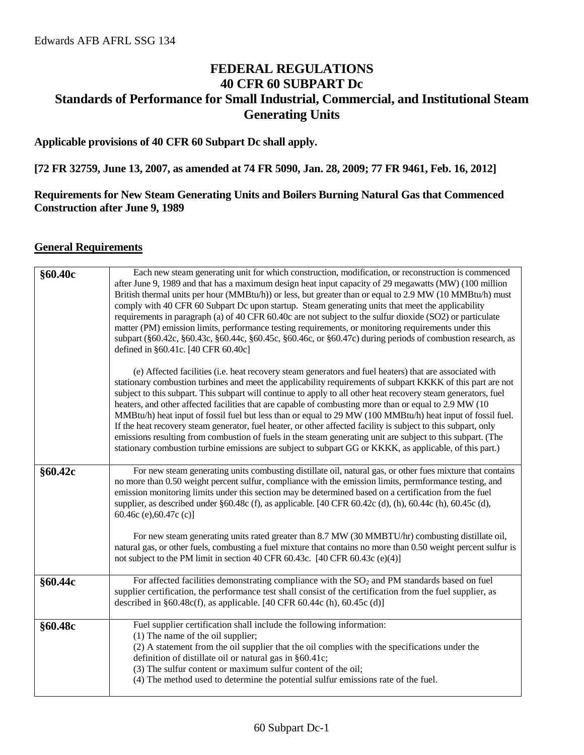## **FEDERAL REGULATIONS 40 CFR 60 SUBPART Dc Standards of Performance for Small Industrial, Commercial, and Institutional Steam Generating Units**

#### **Applicable provisions of 40 CFR 60 Subpart Dc shall apply.**

**[72 FR 32759, June 13, 2007, as amended at 74 FR 5090, Jan. 28, 2009; 77 FR 9461, Feb. 16, 2012]**

#### **Requirements for New Steam Generating Units and Boilers Burning Natural Gas that Commenced Construction after June 9, 1989**

#### **General Requirements**

| §60.40c | Each new steam generating unit for which construction, modification, or reconstruction is commenced<br>after June 9, 1989 and that has a maximum design heat input capacity of 29 megawatts (MW) (100 million<br>British thermal units per hour (MMBtu/h)) or less, but greater than or equal to 2.9 MW (10 MMBtu/h) must<br>comply with 40 CFR 60 Subpart Dc upon startup. Steam generating units that meet the applicability<br>requirements in paragraph (a) of 40 CFR 60.40c are not subject to the sulfur dioxide (SO2) or particulate<br>matter (PM) emission limits, performance testing requirements, or monitoring requirements under this<br>subpart (§60.42c, §60.43c, §60.44c, §60.45c, §60.46c, or §60.47c) during periods of combustion research, as<br>defined in §60.41c. [40 CFR 60.40c]                                                                                                       |
|---------|-----------------------------------------------------------------------------------------------------------------------------------------------------------------------------------------------------------------------------------------------------------------------------------------------------------------------------------------------------------------------------------------------------------------------------------------------------------------------------------------------------------------------------------------------------------------------------------------------------------------------------------------------------------------------------------------------------------------------------------------------------------------------------------------------------------------------------------------------------------------------------------------------------------------|
|         | (e) Affected facilities (i.e. heat recovery steam generators and fuel heaters) that are associated with<br>stationary combustion turbines and meet the applicability requirements of subpart KKKK of this part are not<br>subject to this subpart. This subpart will continue to apply to all other heat recovery steam generators, fuel<br>heaters, and other affected facilities that are capable of combusting more than or equal to 2.9 MW (10)<br>MMBtu/h) heat input of fossil fuel but less than or equal to 29 MW (100 MMBtu/h) heat input of fossil fuel.<br>If the heat recovery steam generator, fuel heater, or other affected facility is subject to this subpart, only<br>emissions resulting from combustion of fuels in the steam generating unit are subject to this subpart. (The<br>stationary combustion turbine emissions are subject to subpart GG or KKKK, as applicable, of this part.) |
| §60.42c | For new steam generating units combusting distillate oil, natural gas, or other fues mixture that contains<br>no more than 0.50 weight percent sulfur, compliance with the emission limits, permformance testing, and<br>emission monitoring limits under this section may be determined based on a certification from the fuel<br>supplier, as described under $\S 60.48c$ (f), as applicable. [40 CFR 60.42c (d), (h), 60.44c (h), 60.45c (d),<br>60.46c (e), $60.47c$ (c)]<br>For new steam generating units rated greater than 8.7 MW (30 MMBTU/hr) combusting distillate oil,<br>natural gas, or other fuels, combusting a fuel mixture that contains no more than 0.50 weight percent sulfur is                                                                                                                                                                                                           |
|         | not subject to the PM limit in section 40 CFR 60.43c. [40 CFR 60.43c (e)(4)]                                                                                                                                                                                                                                                                                                                                                                                                                                                                                                                                                                                                                                                                                                                                                                                                                                    |
| §60.44c | For affected facilities demonstrating compliance with the $SO2$ and PM standards based on fuel<br>supplier certification, the performance test shall consist of the certification from the fuel supplier, as<br>described in $§60.48c(f)$ , as applicable. [40 CFR 60.44c (h), 60.45c (d)]                                                                                                                                                                                                                                                                                                                                                                                                                                                                                                                                                                                                                      |
| §60.48c | Fuel supplier certification shall include the following information:<br>$(1)$ The name of the oil supplier;<br>(2) A statement from the oil supplier that the oil complies with the specifications under the<br>definition of distillate oil or natural gas in §60.41c;<br>(3) The sulfur content or maximum sulfur content of the oil;<br>(4) The method used to determine the potential sulfur emissions rate of the fuel.                                                                                                                                                                                                                                                                                                                                                                                                                                                                                    |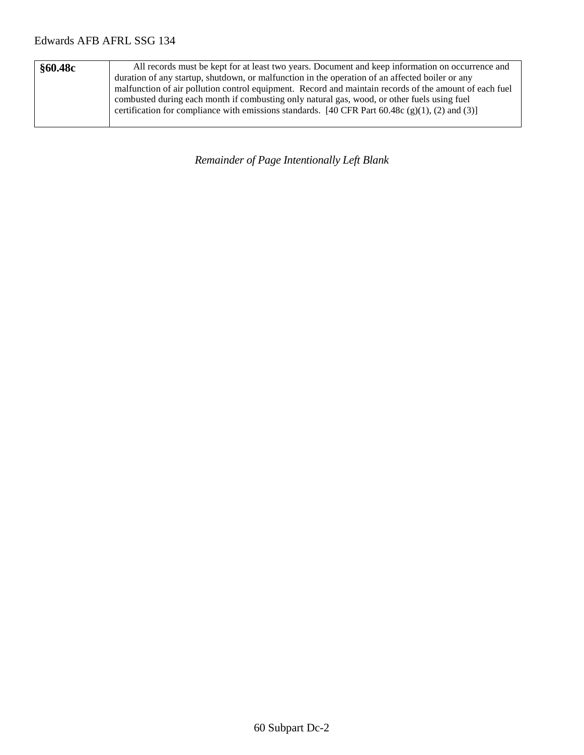| §60.48c | All records must be kept for at least two years. Document and keep information on occurrence and       |
|---------|--------------------------------------------------------------------------------------------------------|
|         | duration of any startup, shutdown, or malfunction in the operation of an affected boiler or any        |
|         | malfunction of air pollution control equipment. Record and maintain records of the amount of each fuel |
|         | combusted during each month if combusting only natural gas, wood, or other fuels using fuel            |
|         | certification for compliance with emissions standards. [40 CFR Part 60.48c (g)(1), (2) and (3)]        |
|         |                                                                                                        |

*Remainder of Page Intentionally Left Blank*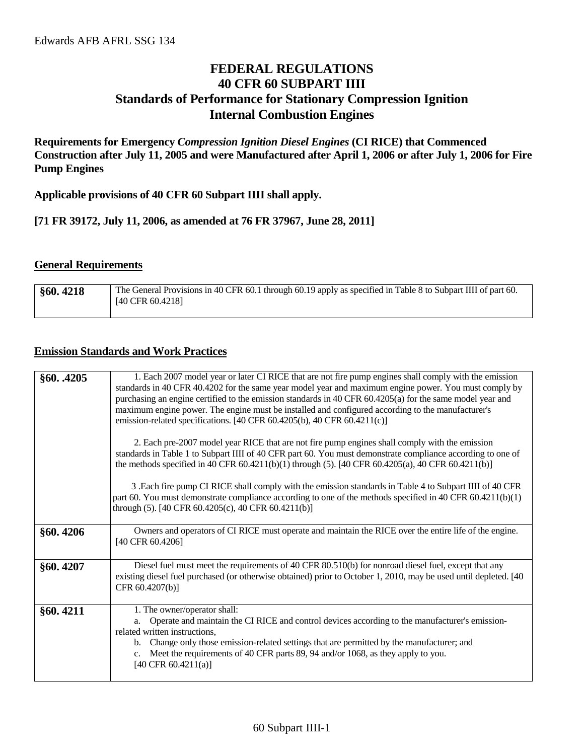## **FEDERAL REGULATIONS 40 CFR 60 SUBPART IIII Standards of Performance for Stationary Compression Ignition Internal Combustion Engines**

**Requirements for Emergency** *Compression Ignition Diesel Engines* **(CI RICE) that Commenced Construction after July 11, 2005 and were Manufactured after April 1, 2006 or after July 1, 2006 for Fire Pump Engines**

**Applicable provisions of 40 CFR 60 Subpart IIII shall apply.**

**[71 FR 39172, July 11, 2006, as amended at 76 FR 37967, June 28, 2011]**

#### **General Requirements**

| §60.4218 | The General Provisions in 40 CFR 60.1 through 60.19 apply as specified in Table 8 to Subpart IIII of part 60.<br>$[40 \text{ CFR } 60.4218]$ |
|----------|----------------------------------------------------------------------------------------------------------------------------------------------|
|          |                                                                                                                                              |

#### **Emission Standards and Work Practices**

| §60. .4205 | 1. Each 2007 model year or later CI RICE that are not fire pump engines shall comply with the emission<br>standards in 40 CFR 40.4202 for the same year model year and maximum engine power. You must comply by<br>purchasing an engine certified to the emission standards in 40 CFR 60.4205(a) for the same model year and<br>maximum engine power. The engine must be installed and configured according to the manufacturer's<br>emission-related specifications. [40 CFR 60.4205(b), 40 CFR 60.4211(c)]<br>2. Each pre-2007 model year RICE that are not fire pump engines shall comply with the emission<br>standards in Table 1 to Subpart IIII of 40 CFR part 60. You must demonstrate compliance according to one of |
|------------|-------------------------------------------------------------------------------------------------------------------------------------------------------------------------------------------------------------------------------------------------------------------------------------------------------------------------------------------------------------------------------------------------------------------------------------------------------------------------------------------------------------------------------------------------------------------------------------------------------------------------------------------------------------------------------------------------------------------------------|
|            | the methods specified in 40 CFR 60.4211(b)(1) through (5). [40 CFR 60.4205(a), 40 CFR 60.4211(b)]<br>3 .Each fire pump CI RICE shall comply with the emission standards in Table 4 to Subpart IIII of 40 CFR<br>part 60. You must demonstrate compliance according to one of the methods specified in 40 CFR 60.4211(b)(1)<br>through (5). [40 CFR 60.4205(c), 40 CFR 60.4211(b)]                                                                                                                                                                                                                                                                                                                                             |
| §60.4206   | Owners and operators of CI RICE must operate and maintain the RICE over the entire life of the engine.<br>[40 CFR 60.4206]                                                                                                                                                                                                                                                                                                                                                                                                                                                                                                                                                                                                    |
| §60.4207   | Diesel fuel must meet the requirements of 40 CFR 80.510(b) for nonroad diesel fuel, except that any<br>existing diesel fuel purchased (or otherwise obtained) prior to October 1, 2010, may be used until depleted. [40<br>CFR 60.4207(b)]                                                                                                                                                                                                                                                                                                                                                                                                                                                                                    |
| §60.4211   | 1. The owner/operator shall:<br>Operate and maintain the CI RICE and control devices according to the manufacturer's emission-<br>a.<br>related written instructions,<br>b. Change only those emission-related settings that are permitted by the manufacturer; and<br>Meet the requirements of 40 CFR parts 89, 94 and/or 1068, as they apply to you.<br>$c_{\cdot}$<br>[40 CFR 60.4211(a)]                                                                                                                                                                                                                                                                                                                                  |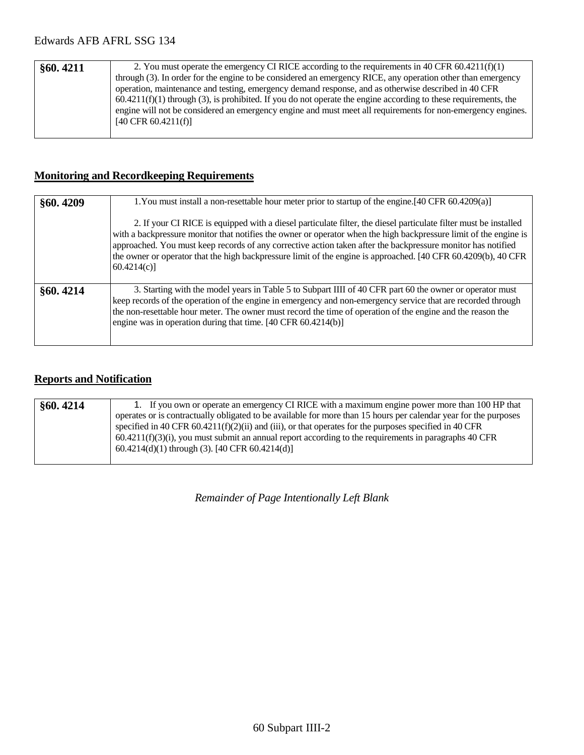| §60.4211 | 2. You must operate the emergency CI RICE according to the requirements in 40 CFR $60.4211(f)(1)$                 |
|----------|-------------------------------------------------------------------------------------------------------------------|
|          | through (3). In order for the engine to be considered an emergency RICE, any operation other than emergency       |
|          | operation, maintenance and testing, emergency demand response, and as otherwise described in 40 CFR               |
|          | $60.4211(f)(1)$ through (3), is prohibited. If you do not operate the engine according to these requirements, the |
|          | engine will not be considered an emergency engine and must meet all requirements for non-emergency engines.       |
|          | $[40 \text{ CFR } 60.4211(f)]$                                                                                    |
|          |                                                                                                                   |

## **Monitoring and Recordkeeping Requirements**

| §60.4209 | 1. You must install a non-resettable hour meter prior to startup of the engine. [40 CFR 60.4209(a)]                                                                                                                                                                                                                                                                                                                                                                                   |
|----------|---------------------------------------------------------------------------------------------------------------------------------------------------------------------------------------------------------------------------------------------------------------------------------------------------------------------------------------------------------------------------------------------------------------------------------------------------------------------------------------|
|          | 2. If your CI RICE is equipped with a diesel particulate filter, the diesel particulate filter must be installed<br>with a backpressure monitor that notifies the owner or operator when the high backpressure limit of the engine is<br>approached. You must keep records of any corrective action taken after the backpressure monitor has notified<br>the owner or operator that the high backpressure limit of the engine is approached. [40 CFR 60.4209(b), 40 CFR<br>60.4214(c) |
| §60.4214 | 3. Starting with the model years in Table 5 to Subpart IIII of 40 CFR part 60 the owner or operator must<br>keep records of the operation of the engine in emergency and non-emergency service that are recorded through<br>the non-resettable hour meter. The owner must record the time of operation of the engine and the reason the<br>engine was in operation during that time. [40 CFR 60.4214(b)]                                                                              |

## **Reports and Notification**

| §60.4214 | 1. If you own or operate an emergency CI RICE with a maximum engine power more than 100 HP that                  |
|----------|------------------------------------------------------------------------------------------------------------------|
|          | operates or is contractually obligated to be available for more than 15 hours per calendar year for the purposes |
|          | specified in 40 CFR 60.4211(f)(2)(ii) and (iii), or that operates for the purposes specified in 40 CFR           |
|          | $60.4211(f)(3)(i)$ , you must submit an annual report according to the requirements in paragraphs 40 CFR         |
|          | 60.4214(d)(1) through (3). [40 CFR 60.4214(d)]                                                                   |
|          |                                                                                                                  |

*Remainder of Page Intentionally Left Blank*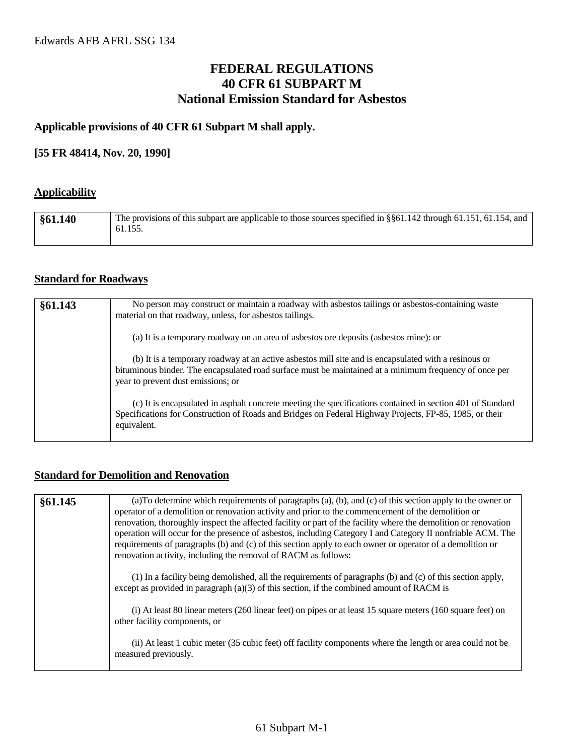## **FEDERAL REGULATIONS 40 CFR 61 SUBPART M National Emission Standard for Asbestos**

#### **Applicable provisions of 40 CFR 61 Subpart M shall apply.**

#### **[55 FR 48414, Nov. 20, 1990]**

#### **Applicability**

| §61.140 | The provisions of this subpart are applicable to those sources specified in §§61.142 through 61.151, 61.154, and<br>61.155. |
|---------|-----------------------------------------------------------------------------------------------------------------------------|
|         |                                                                                                                             |

#### **Standard for Roadways**

| §61.143 | No person may construct or maintain a roadway with asbestos tailings or asbestos-containing waste<br>material on that roadway, unless, for asbestos tailings.                                                                                        |
|---------|------------------------------------------------------------------------------------------------------------------------------------------------------------------------------------------------------------------------------------------------------|
|         | (a) It is a temporary roadway on an area of asbestos ore deposits (asbestos mine): or                                                                                                                                                                |
|         | (b) It is a temporary roadway at an active asbestos mill site and is encapsulated with a resinous or<br>bituminous binder. The encapsulated road surface must be maintained at a minimum frequency of once per<br>year to prevent dust emissions; or |
|         | (c) It is encapsulated in asphalt concrete meeting the specifications contained in section 401 of Standard<br>Specifications for Construction of Roads and Bridges on Federal Highway Projects, FP-85, 1985, or their<br>equivalent.                 |

#### **Standard for Demolition and Renovation**

| §61.145 | (a) To determine which requirements of paragraphs (a), (b), and (c) of this section apply to the owner or<br>operator of a demolition or renovation activity and prior to the commencement of the demolition or<br>renovation, thoroughly inspect the affected facility or part of the facility where the demolition or renovation<br>operation will occur for the presence of asbestos, including Category I and Category II nonfriable ACM. The<br>requirements of paragraphs (b) and (c) of this section apply to each owner or operator of a demolition or<br>renovation activity, including the removal of RACM as follows: |
|---------|----------------------------------------------------------------------------------------------------------------------------------------------------------------------------------------------------------------------------------------------------------------------------------------------------------------------------------------------------------------------------------------------------------------------------------------------------------------------------------------------------------------------------------------------------------------------------------------------------------------------------------|
|         | (1) In a facility being demolished, all the requirements of paragraphs (b) and (c) of this section apply,<br>except as provided in paragraph $(a)(3)$ of this section, if the combined amount of RACM is                                                                                                                                                                                                                                                                                                                                                                                                                         |
|         | (i) At least 80 linear meters (260 linear feet) on pipes or at least 15 square meters (160 square feet) on<br>other facility components, or                                                                                                                                                                                                                                                                                                                                                                                                                                                                                      |
|         | (ii) At least 1 cubic meter (35 cubic feet) off facility components where the length or area could not be<br>measured previously.                                                                                                                                                                                                                                                                                                                                                                                                                                                                                                |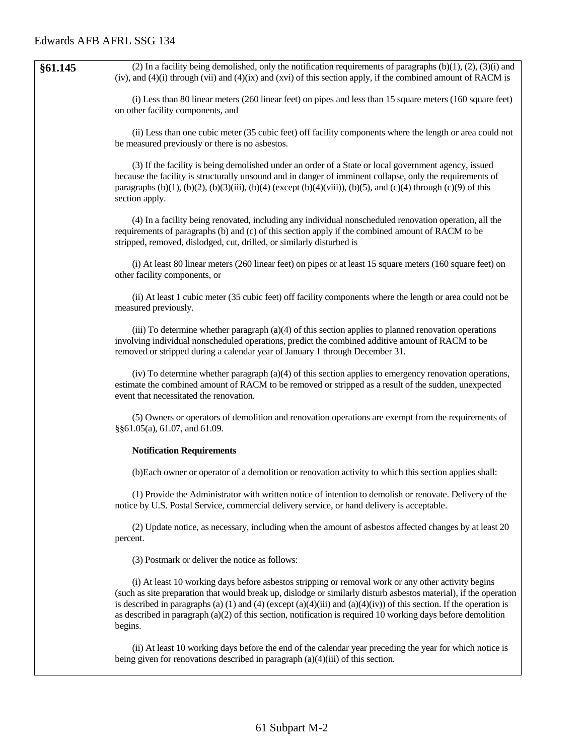| §61.145 | (2) In a facility being demolished, only the notification requirements of paragraphs $(b)(1)$ , $(2)$ , $(3)(i)$ and<br>(iv), and $(4)(i)$ through (vii) and $(4)(ix)$ and (xvi) of this section apply, if the combined amount of RACM is                                                                                                                                                                                                                                    |
|---------|------------------------------------------------------------------------------------------------------------------------------------------------------------------------------------------------------------------------------------------------------------------------------------------------------------------------------------------------------------------------------------------------------------------------------------------------------------------------------|
|         | (i) Less than 80 linear meters (260 linear feet) on pipes and less than 15 square meters (160 square feet)<br>on other facility components, and                                                                                                                                                                                                                                                                                                                              |
|         | (ii) Less than one cubic meter (35 cubic feet) off facility components where the length or area could not<br>be measured previously or there is no asbestos.                                                                                                                                                                                                                                                                                                                 |
|         | (3) If the facility is being demolished under an order of a State or local government agency, issued<br>because the facility is structurally unsound and in danger of imminent collapse, only the requirements of<br>paragraphs (b)(1), (b)(2), (b)(3)(iii), (b)(4) (except (b)(4)(viii)), (b)(5), and (c)(4) through (c)(9) of this<br>section apply.                                                                                                                       |
|         | (4) In a facility being renovated, including any individual nonscheduled renovation operation, all the<br>requirements of paragraphs (b) and (c) of this section apply if the combined amount of RACM to be<br>stripped, removed, dislodged, cut, drilled, or similarly disturbed is                                                                                                                                                                                         |
|         | (i) At least 80 linear meters (260 linear feet) on pipes or at least 15 square meters (160 square feet) on<br>other facility components, or                                                                                                                                                                                                                                                                                                                                  |
|         | (ii) At least 1 cubic meter (35 cubic feet) off facility components where the length or area could not be<br>measured previously.                                                                                                                                                                                                                                                                                                                                            |
|         | (iii) To determine whether paragraph $(a)(4)$ of this section applies to planned renovation operations<br>involving individual nonscheduled operations, predict the combined additive amount of RACM to be<br>removed or stripped during a calendar year of January 1 through December 31.                                                                                                                                                                                   |
|         | (iv) To determine whether paragraph (a)(4) of this section applies to emergency renovation operations,<br>estimate the combined amount of RACM to be removed or stripped as a result of the sudden, unexpected<br>event that necessitated the renovation.                                                                                                                                                                                                                    |
|         | (5) Owners or operators of demolition and renovation operations are exempt from the requirements of<br>§§61.05(a), 61.07, and 61.09.                                                                                                                                                                                                                                                                                                                                         |
|         | <b>Notification Requirements</b>                                                                                                                                                                                                                                                                                                                                                                                                                                             |
|         | (b)Each owner or operator of a demolition or renovation activity to which this section applies shall:                                                                                                                                                                                                                                                                                                                                                                        |
|         | (1) Provide the Administrator with written notice of intention to demolish or renovate. Delivery of the<br>notice by U.S. Postal Service, commercial delivery service, or hand delivery is acceptable.                                                                                                                                                                                                                                                                       |
|         | (2) Update notice, as necessary, including when the amount of asbestos affected changes by at least 20<br>percent.                                                                                                                                                                                                                                                                                                                                                           |
|         | (3) Postmark or deliver the notice as follows:                                                                                                                                                                                                                                                                                                                                                                                                                               |
|         | (i) At least 10 working days before asbestos stripping or removal work or any other activity begins<br>(such as site preparation that would break up, dislodge or similarly disturb asbestos material), if the operation<br>is described in paragraphs (a) (1) and (4) (except (a)(4)(iii) and (a)(4)(iv)) of this section. If the operation is<br>as described in paragraph $(a)(2)$ of this section, notification is required 10 working days before demolition<br>begins. |
|         | (ii) At least 10 working days before the end of the calendar year preceding the year for which notice is<br>being given for renovations described in paragraph $(a)(4)(iii)$ of this section.                                                                                                                                                                                                                                                                                |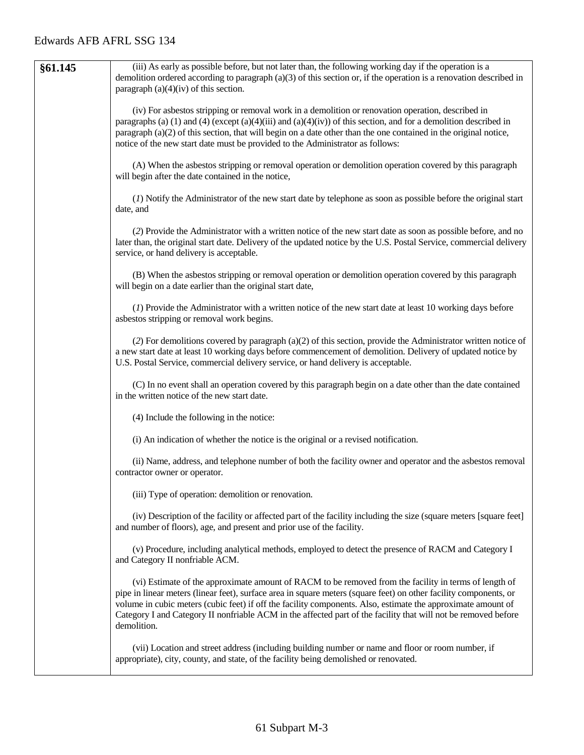| §61.145 | (iii) As early as possible before, but not later than, the following working day if the operation is a<br>demolition ordered according to paragraph $(a)(3)$ of this section or, if the operation is a renovation described in<br>paragraph $(a)(4)(iv)$ of this section.                                                                                                                                                                                                   |
|---------|-----------------------------------------------------------------------------------------------------------------------------------------------------------------------------------------------------------------------------------------------------------------------------------------------------------------------------------------------------------------------------------------------------------------------------------------------------------------------------|
|         | (iv) For asbestos stripping or removal work in a demolition or renovation operation, described in<br>paragraphs (a) (1) and (4) (except (a)(4)(iii) and (a)(4)(iv)) of this section, and for a demolition described in<br>paragraph (a)(2) of this section, that will begin on a date other than the one contained in the original notice,<br>notice of the new start date must be provided to the Administrator as follows:                                                |
|         | (A) When the asbestos stripping or removal operation or demolition operation covered by this paragraph<br>will begin after the date contained in the notice,                                                                                                                                                                                                                                                                                                                |
|         | (1) Notify the Administrator of the new start date by telephone as soon as possible before the original start<br>date, and                                                                                                                                                                                                                                                                                                                                                  |
|         | (2) Provide the Administrator with a written notice of the new start date as soon as possible before, and no<br>later than, the original start date. Delivery of the updated notice by the U.S. Postal Service, commercial delivery<br>service, or hand delivery is acceptable.                                                                                                                                                                                             |
|         | (B) When the asbestos stripping or removal operation or demolition operation covered by this paragraph<br>will begin on a date earlier than the original start date,                                                                                                                                                                                                                                                                                                        |
|         | (1) Provide the Administrator with a written notice of the new start date at least 10 working days before<br>asbestos stripping or removal work begins.                                                                                                                                                                                                                                                                                                                     |
|         | (2) For demolitions covered by paragraph (a)(2) of this section, provide the Administrator written notice of<br>a new start date at least 10 working days before commencement of demolition. Delivery of updated notice by<br>U.S. Postal Service, commercial delivery service, or hand delivery is acceptable.                                                                                                                                                             |
|         | (C) In no event shall an operation covered by this paragraph begin on a date other than the date contained<br>in the written notice of the new start date.                                                                                                                                                                                                                                                                                                                  |
|         | (4) Include the following in the notice:                                                                                                                                                                                                                                                                                                                                                                                                                                    |
|         | (i) An indication of whether the notice is the original or a revised notification.                                                                                                                                                                                                                                                                                                                                                                                          |
|         | (ii) Name, address, and telephone number of both the facility owner and operator and the asbestos removal<br>contractor owner or operator.                                                                                                                                                                                                                                                                                                                                  |
|         | (iii) Type of operation: demolition or renovation.                                                                                                                                                                                                                                                                                                                                                                                                                          |
|         | (iv) Description of the facility or affected part of the facility including the size (square meters [square feet]<br>and number of floors), age, and present and prior use of the facility.                                                                                                                                                                                                                                                                                 |
|         | (v) Procedure, including analytical methods, employed to detect the presence of RACM and Category I<br>and Category II nonfriable ACM.                                                                                                                                                                                                                                                                                                                                      |
|         | (vi) Estimate of the approximate amount of RACM to be removed from the facility in terms of length of<br>pipe in linear meters (linear feet), surface area in square meters (square feet) on other facility components, or<br>volume in cubic meters (cubic feet) if off the facility components. Also, estimate the approximate amount of<br>Category I and Category II nonfriable ACM in the affected part of the facility that will not be removed before<br>demolition. |
|         | (vii) Location and street address (including building number or name and floor or room number, if<br>appropriate), city, county, and state, of the facility being demolished or renovated.                                                                                                                                                                                                                                                                                  |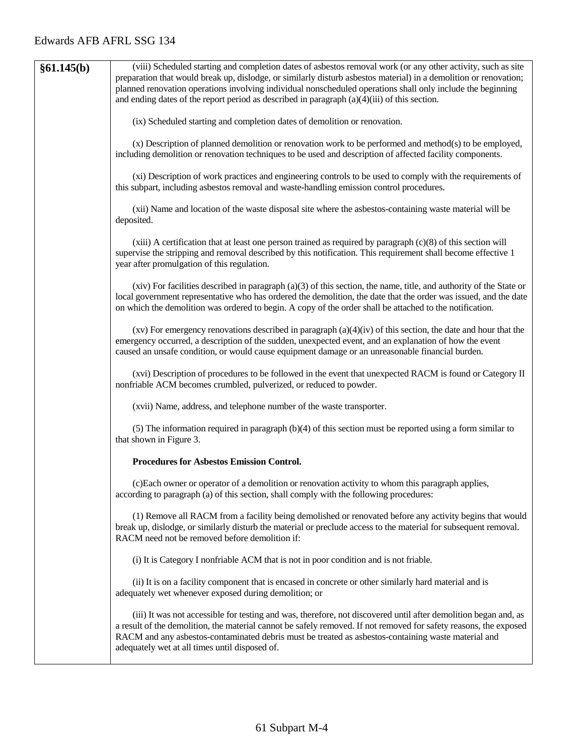| §61.145(b) | (viii) Scheduled starting and completion dates of asbestos removal work (or any other activity, such as site<br>preparation that would break up, dislodge, or similarly disturb asbestos material) in a demolition or renovation;<br>planned renovation operations involving individual nonscheduled operations shall only include the beginning<br>and ending dates of the report period as described in paragraph $(a)(4)(iii)$ of this section. |
|------------|----------------------------------------------------------------------------------------------------------------------------------------------------------------------------------------------------------------------------------------------------------------------------------------------------------------------------------------------------------------------------------------------------------------------------------------------------|
|            | (ix) Scheduled starting and completion dates of demolition or renovation.                                                                                                                                                                                                                                                                                                                                                                          |
|            | (x) Description of planned demolition or renovation work to be performed and method(s) to be employed,<br>including demolition or renovation techniques to be used and description of affected facility components.                                                                                                                                                                                                                                |
|            | (xi) Description of work practices and engineering controls to be used to comply with the requirements of<br>this subpart, including asbestos removal and waste-handling emission control procedures.                                                                                                                                                                                                                                              |
|            | (xii) Name and location of the waste disposal site where the asbestos-containing waste material will be<br>deposited.                                                                                                                                                                                                                                                                                                                              |
|            | $(xiii)$ A certification that at least one person trained as required by paragraph $(c)(8)$ of this section will<br>supervise the stripping and removal described by this notification. This requirement shall become effective 1<br>year after promulgation of this regulation.                                                                                                                                                                   |
|            | $(xiv)$ For facilities described in paragraph $(a)(3)$ of this section, the name, title, and authority of the State or<br>local government representative who has ordered the demolition, the date that the order was issued, and the date<br>on which the demolition was ordered to begin. A copy of the order shall be attached to the notification.                                                                                             |
|            | $(xv)$ For emergency renovations described in paragraph $(a)(4)(iv)$ of this section, the date and hour that the<br>emergency occurred, a description of the sudden, unexpected event, and an explanation of how the event<br>caused an unsafe condition, or would cause equipment damage or an unreasonable financial burden.                                                                                                                     |
|            | (xvi) Description of procedures to be followed in the event that unexpected RACM is found or Category II<br>nonfriable ACM becomes crumbled, pulverized, or reduced to powder.                                                                                                                                                                                                                                                                     |
|            | (xvii) Name, address, and telephone number of the waste transporter.                                                                                                                                                                                                                                                                                                                                                                               |
|            | (5) The information required in paragraph (b)(4) of this section must be reported using a form similar to<br>that shown in Figure 3.                                                                                                                                                                                                                                                                                                               |
|            | <b>Procedures for Asbestos Emission Control.</b>                                                                                                                                                                                                                                                                                                                                                                                                   |
|            | (c) Each owner or operator of a demolition or renovation activity to whom this paragraph applies,<br>according to paragraph (a) of this section, shall comply with the following procedures:                                                                                                                                                                                                                                                       |
|            | (1) Remove all RACM from a facility being demolished or renovated before any activity begins that would<br>break up, dislodge, or similarly disturb the material or preclude access to the material for subsequent removal.<br>RACM need not be removed before demolition if:                                                                                                                                                                      |
|            | (i) It is Category I nonfriable ACM that is not in poor condition and is not friable.                                                                                                                                                                                                                                                                                                                                                              |
|            | (ii) It is on a facility component that is encased in concrete or other similarly hard material and is<br>adequately wet whenever exposed during demolition; or                                                                                                                                                                                                                                                                                    |
|            | (iii) It was not accessible for testing and was, therefore, not discovered until after demolition began and, as<br>a result of the demolition, the material cannot be safely removed. If not removed for safety reasons, the exposed<br>RACM and any asbestos-contaminated debris must be treated as asbestos-containing waste material and<br>adequately wet at all times until disposed of.                                                      |
|            |                                                                                                                                                                                                                                                                                                                                                                                                                                                    |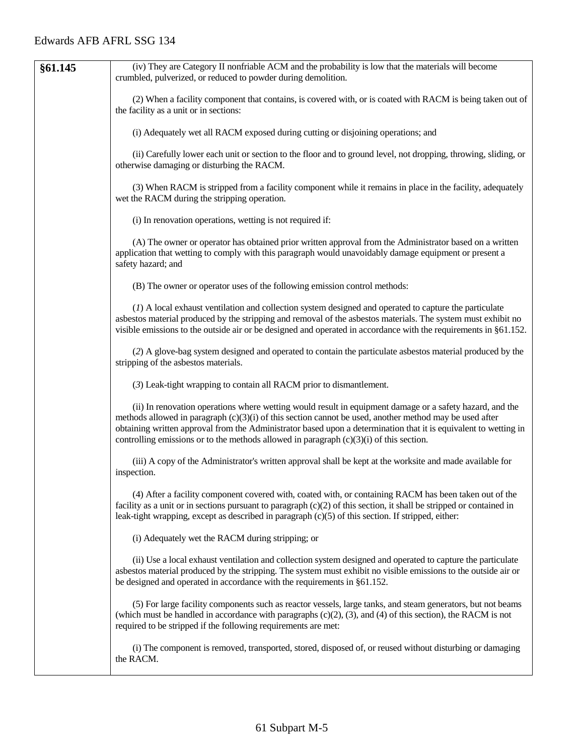| §61.145 | (iv) They are Category II nonfriable ACM and the probability is low that the materials will become<br>crumbled, pulverized, or reduced to powder during demolition.                                                                                                                                                                                                                                                                    |
|---------|----------------------------------------------------------------------------------------------------------------------------------------------------------------------------------------------------------------------------------------------------------------------------------------------------------------------------------------------------------------------------------------------------------------------------------------|
|         | (2) When a facility component that contains, is covered with, or is coated with RACM is being taken out of<br>the facility as a unit or in sections:                                                                                                                                                                                                                                                                                   |
|         | (i) Adequately wet all RACM exposed during cutting or disjoining operations; and                                                                                                                                                                                                                                                                                                                                                       |
|         | (ii) Carefully lower each unit or section to the floor and to ground level, not dropping, throwing, sliding, or<br>otherwise damaging or disturbing the RACM.                                                                                                                                                                                                                                                                          |
|         | (3) When RACM is stripped from a facility component while it remains in place in the facility, adequately<br>wet the RACM during the stripping operation.                                                                                                                                                                                                                                                                              |
|         | (i) In renovation operations, wetting is not required if:                                                                                                                                                                                                                                                                                                                                                                              |
|         | (A) The owner or operator has obtained prior written approval from the Administrator based on a written<br>application that wetting to comply with this paragraph would unavoidably damage equipment or present a<br>safety hazard; and                                                                                                                                                                                                |
|         | (B) The owner or operator uses of the following emission control methods:                                                                                                                                                                                                                                                                                                                                                              |
|         | (1) A local exhaust ventilation and collection system designed and operated to capture the particulate<br>asbestos material produced by the stripping and removal of the asbestos materials. The system must exhibit no<br>visible emissions to the outside air or be designed and operated in accordance with the requirements in $\S61.152$ .                                                                                        |
|         | (2) A glove-bag system designed and operated to contain the particulate asbestos material produced by the<br>stripping of the asbestos materials.                                                                                                                                                                                                                                                                                      |
|         | (3) Leak-tight wrapping to contain all RACM prior to dismantlement.                                                                                                                                                                                                                                                                                                                                                                    |
|         | (ii) In renovation operations where wetting would result in equipment damage or a safety hazard, and the<br>methods allowed in paragraph $(c)(3)(i)$ of this section cannot be used, another method may be used after<br>obtaining written approval from the Administrator based upon a determination that it is equivalent to wetting in<br>controlling emissions or to the methods allowed in paragraph $(c)(3)(i)$ of this section. |
|         | (iii) A copy of the Administrator's written approval shall be kept at the worksite and made available for<br>inspection.                                                                                                                                                                                                                                                                                                               |
|         | (4) After a facility component covered with, coated with, or containing RACM has been taken out of the<br>facility as a unit or in sections pursuant to paragraph $(c)(2)$ of this section, it shall be stripped or contained in<br>leak-tight wrapping, except as described in paragraph (c)(5) of this section. If stripped, either:                                                                                                 |
|         | (i) Adequately wet the RACM during stripping; or                                                                                                                                                                                                                                                                                                                                                                                       |
|         | (ii) Use a local exhaust ventilation and collection system designed and operated to capture the particulate<br>asbestos material produced by the stripping. The system must exhibit no visible emissions to the outside air or<br>be designed and operated in accordance with the requirements in §61.152.                                                                                                                             |
|         | (5) For large facility components such as reactor vessels, large tanks, and steam generators, but not beams<br>(which must be handled in accordance with paragraphs $(c)(2)$ , $(3)$ , and $(4)$ of this section), the RACM is not<br>required to be stripped if the following requirements are met:                                                                                                                                   |
|         | (i) The component is removed, transported, stored, disposed of, or reused without disturbing or damaging<br>the RACM.                                                                                                                                                                                                                                                                                                                  |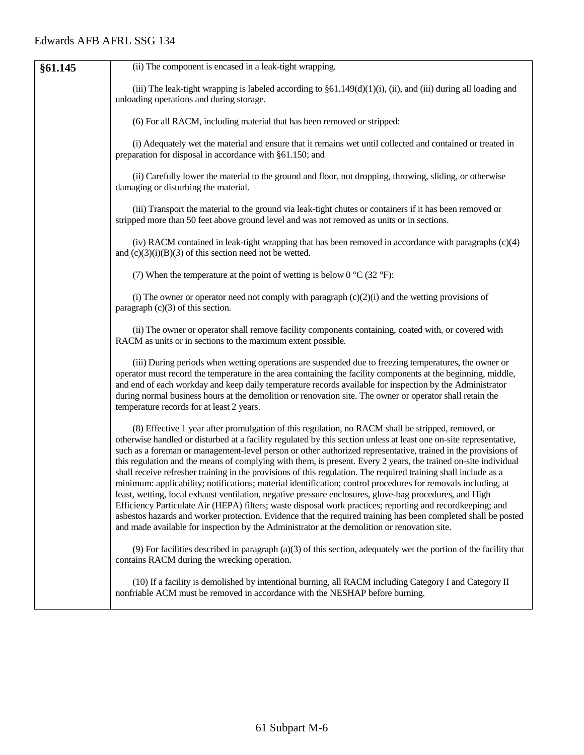| §61.145 | (ii) The component is encased in a leak-tight wrapping.                                                                                                                                                                                                                                                                                                                                                                                                                                                                                                                                                                                                                                                                                                                                                                                                                                                                                                                                                                                                                                                                                     |
|---------|---------------------------------------------------------------------------------------------------------------------------------------------------------------------------------------------------------------------------------------------------------------------------------------------------------------------------------------------------------------------------------------------------------------------------------------------------------------------------------------------------------------------------------------------------------------------------------------------------------------------------------------------------------------------------------------------------------------------------------------------------------------------------------------------------------------------------------------------------------------------------------------------------------------------------------------------------------------------------------------------------------------------------------------------------------------------------------------------------------------------------------------------|
|         | (iii) The leak-tight wrapping is labeled according to $\S61.149(d)(1)(i)$ , (ii), and (iii) during all loading and<br>unloading operations and during storage.                                                                                                                                                                                                                                                                                                                                                                                                                                                                                                                                                                                                                                                                                                                                                                                                                                                                                                                                                                              |
|         | (6) For all RACM, including material that has been removed or stripped:                                                                                                                                                                                                                                                                                                                                                                                                                                                                                                                                                                                                                                                                                                                                                                                                                                                                                                                                                                                                                                                                     |
|         | (i) Adequately wet the material and ensure that it remains wet until collected and contained or treated in<br>preparation for disposal in accordance with §61.150; and                                                                                                                                                                                                                                                                                                                                                                                                                                                                                                                                                                                                                                                                                                                                                                                                                                                                                                                                                                      |
|         | (ii) Carefully lower the material to the ground and floor, not dropping, throwing, sliding, or otherwise<br>damaging or disturbing the material.                                                                                                                                                                                                                                                                                                                                                                                                                                                                                                                                                                                                                                                                                                                                                                                                                                                                                                                                                                                            |
|         | (iii) Transport the material to the ground via leak-tight chutes or containers if it has been removed or<br>stripped more than 50 feet above ground level and was not removed as units or in sections.                                                                                                                                                                                                                                                                                                                                                                                                                                                                                                                                                                                                                                                                                                                                                                                                                                                                                                                                      |
|         | (iv) RACM contained in leak-tight wrapping that has been removed in accordance with paragraphs $(c)(4)$<br>and $(c)(3)(i)(B)(3)$ of this section need not be wetted.                                                                                                                                                                                                                                                                                                                                                                                                                                                                                                                                                                                                                                                                                                                                                                                                                                                                                                                                                                        |
|         | (7) When the temperature at the point of wetting is below 0 $^{\circ}$ C (32 $^{\circ}$ F):                                                                                                                                                                                                                                                                                                                                                                                                                                                                                                                                                                                                                                                                                                                                                                                                                                                                                                                                                                                                                                                 |
|         | (i) The owner or operator need not comply with paragraph $(c)(2)(i)$ and the wetting provisions of<br>paragraph $(c)(3)$ of this section.                                                                                                                                                                                                                                                                                                                                                                                                                                                                                                                                                                                                                                                                                                                                                                                                                                                                                                                                                                                                   |
|         | (ii) The owner or operator shall remove facility components containing, coated with, or covered with<br>RACM as units or in sections to the maximum extent possible.                                                                                                                                                                                                                                                                                                                                                                                                                                                                                                                                                                                                                                                                                                                                                                                                                                                                                                                                                                        |
|         | (iii) During periods when wetting operations are suspended due to freezing temperatures, the owner or<br>operator must record the temperature in the area containing the facility components at the beginning, middle,<br>and end of each workday and keep daily temperature records available for inspection by the Administrator<br>during normal business hours at the demolition or renovation site. The owner or operator shall retain the<br>temperature records for at least 2 years.                                                                                                                                                                                                                                                                                                                                                                                                                                                                                                                                                                                                                                                |
|         | (8) Effective 1 year after promulgation of this regulation, no RACM shall be stripped, removed, or<br>otherwise handled or disturbed at a facility regulated by this section unless at least one on-site representative,<br>such as a foreman or management-level person or other authorized representative, trained in the provisions of<br>this regulation and the means of complying with them, is present. Every 2 years, the trained on-site individual<br>shall receive refresher training in the provisions of this regulation. The required training shall include as a<br>minimum: applicability; notifications; material identification; control procedures for removals including, at<br>least, wetting, local exhaust ventilation, negative pressure enclosures, glove-bag procedures, and High<br>Efficiency Particulate Air (HEPA) filters; waste disposal work practices; reporting and recordkeeping; and<br>asbestos hazards and worker protection. Evidence that the required training has been completed shall be posted<br>and made available for inspection by the Administrator at the demolition or renovation site. |
|         | (9) For facilities described in paragraph (a)(3) of this section, adequately wet the portion of the facility that<br>contains RACM during the wrecking operation.                                                                                                                                                                                                                                                                                                                                                                                                                                                                                                                                                                                                                                                                                                                                                                                                                                                                                                                                                                           |
|         | (10) If a facility is demolished by intentional burning, all RACM including Category I and Category II<br>nonfriable ACM must be removed in accordance with the NESHAP before burning.                                                                                                                                                                                                                                                                                                                                                                                                                                                                                                                                                                                                                                                                                                                                                                                                                                                                                                                                                      |
|         |                                                                                                                                                                                                                                                                                                                                                                                                                                                                                                                                                                                                                                                                                                                                                                                                                                                                                                                                                                                                                                                                                                                                             |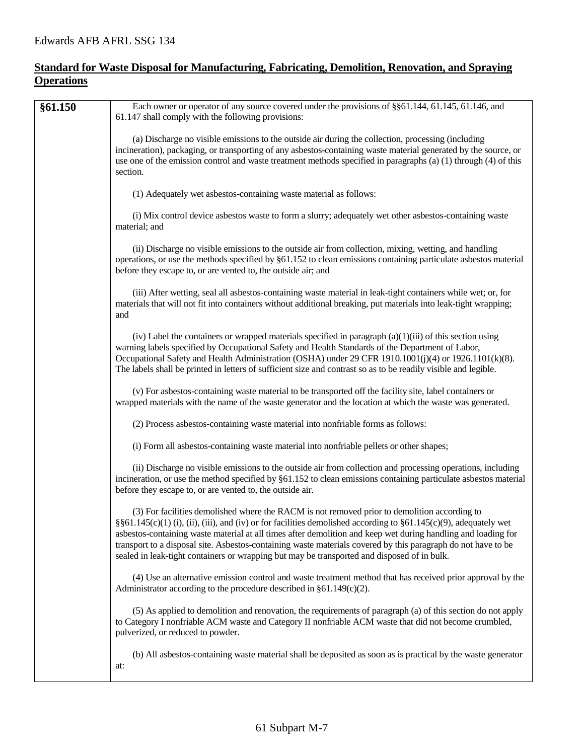## **Standard for Waste Disposal for Manufacturing, Fabricating, Demolition, Renovation, and Spraying Operations**

| §61.150 | Each owner or operator of any source covered under the provisions of §§61.144, 61.145, 61.146, and<br>61.147 shall comply with the following provisions:                                                                                                                                                                                                                                                                                                                                                                                       |
|---------|------------------------------------------------------------------------------------------------------------------------------------------------------------------------------------------------------------------------------------------------------------------------------------------------------------------------------------------------------------------------------------------------------------------------------------------------------------------------------------------------------------------------------------------------|
|         | (a) Discharge no visible emissions to the outside air during the collection, processing (including<br>incineration), packaging, or transporting of any asbestos-containing waste material generated by the source, or<br>use one of the emission control and waste treatment methods specified in paragraphs (a) (1) through (4) of this<br>section.                                                                                                                                                                                           |
|         | (1) Adequately wet asbestos-containing waste material as follows:                                                                                                                                                                                                                                                                                                                                                                                                                                                                              |
|         | (i) Mix control device asbestos waste to form a slurry; adequately wet other asbestos-containing waste<br>material; and                                                                                                                                                                                                                                                                                                                                                                                                                        |
|         | (ii) Discharge no visible emissions to the outside air from collection, mixing, wetting, and handling<br>operations, or use the methods specified by §61.152 to clean emissions containing particulate asbestos material<br>before they escape to, or are vented to, the outside air; and                                                                                                                                                                                                                                                      |
|         | (iii) After wetting, seal all asbestos-containing waste material in leak-tight containers while wet; or, for<br>materials that will not fit into containers without additional breaking, put materials into leak-tight wrapping;<br>and                                                                                                                                                                                                                                                                                                        |
|         | (iv) Label the containers or wrapped materials specified in paragraph $(a)(1)(iii)$ of this section using<br>warning labels specified by Occupational Safety and Health Standards of the Department of Labor,<br>Occupational Safety and Health Administration (OSHA) under 29 CFR 1910.1001(j)(4) or 1926.1101(k)(8).<br>The labels shall be printed in letters of sufficient size and contrast so as to be readily visible and legible.                                                                                                      |
|         | (v) For asbestos-containing waste material to be transported off the facility site, label containers or<br>wrapped materials with the name of the waste generator and the location at which the waste was generated.                                                                                                                                                                                                                                                                                                                           |
|         | (2) Process asbestos-containing waste material into nonfriable forms as follows:                                                                                                                                                                                                                                                                                                                                                                                                                                                               |
|         | (i) Form all asbestos-containing waste material into nonfriable pellets or other shapes;                                                                                                                                                                                                                                                                                                                                                                                                                                                       |
|         | (ii) Discharge no visible emissions to the outside air from collection and processing operations, including<br>incineration, or use the method specified by §61.152 to clean emissions containing particulate asbestos material<br>before they escape to, or are vented to, the outside air.                                                                                                                                                                                                                                                   |
|         | (3) For facilities demolished where the RACM is not removed prior to demolition according to<br>§§61.145(c)(1)(i),(ii),(iii), and(iv) or for facilities demolished according to §61.145(c)(9), adequately wet<br>asbestos-containing waste material at all times after demolition and keep wet during handling and loading for<br>transport to a disposal site. Asbestos-containing waste materials covered by this paragraph do not have to be<br>sealed in leak-tight containers or wrapping but may be transported and disposed of in bulk. |
|         | (4) Use an alternative emission control and waste treatment method that has received prior approval by the<br>Administrator according to the procedure described in $\S61.149(c)(2)$ .                                                                                                                                                                                                                                                                                                                                                         |
|         | (5) As applied to demolition and renovation, the requirements of paragraph (a) of this section do not apply<br>to Category I nonfriable ACM waste and Category II nonfriable ACM waste that did not become crumbled,<br>pulverized, or reduced to powder.                                                                                                                                                                                                                                                                                      |
|         | (b) All asbestos-containing waste material shall be deposited as soon as is practical by the waste generator<br>at:                                                                                                                                                                                                                                                                                                                                                                                                                            |
|         |                                                                                                                                                                                                                                                                                                                                                                                                                                                                                                                                                |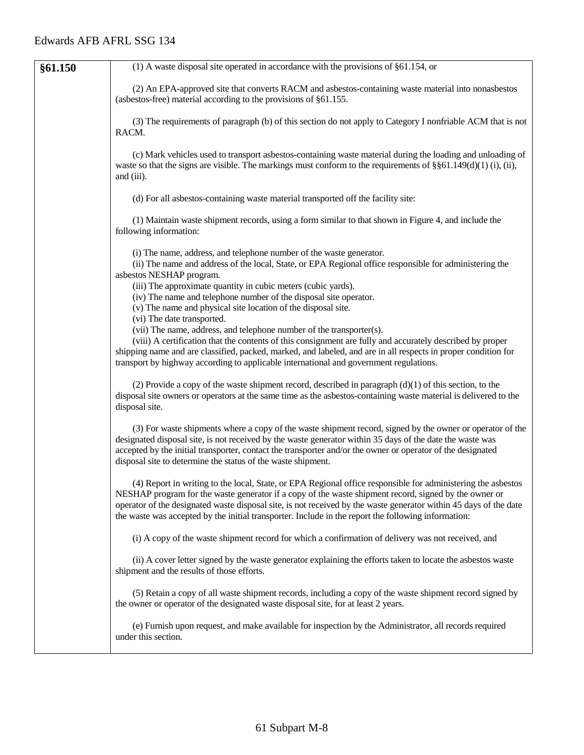| §61.150 | (1) A waste disposal site operated in accordance with the provisions of $§61.154$ , or                                                                                                                                                                                                                                                                                                                                                            |
|---------|---------------------------------------------------------------------------------------------------------------------------------------------------------------------------------------------------------------------------------------------------------------------------------------------------------------------------------------------------------------------------------------------------------------------------------------------------|
|         | (2) An EPA-approved site that converts RACM and asbestos-containing waste material into nonasbestos<br>(asbestos-free) material according to the provisions of §61.155.                                                                                                                                                                                                                                                                           |
|         | (3) The requirements of paragraph (b) of this section do not apply to Category I nonfriable ACM that is not<br>RACM.                                                                                                                                                                                                                                                                                                                              |
|         | (c) Mark vehicles used to transport asbestos-containing waste material during the loading and unloading of<br>waste so that the signs are visible. The markings must conform to the requirements of $\S$ $61.149(d)(1)$ (i), (ii),<br>and (iii).                                                                                                                                                                                                  |
|         | (d) For all asbestos-containing waste material transported off the facility site:                                                                                                                                                                                                                                                                                                                                                                 |
|         | (1) Maintain waste shipment records, using a form similar to that shown in Figure 4, and include the<br>following information:                                                                                                                                                                                                                                                                                                                    |
|         | (i) The name, address, and telephone number of the waste generator.<br>(ii) The name and address of the local, State, or EPA Regional office responsible for administering the<br>asbestos NESHAP program.<br>(iii) The approximate quantity in cubic meters (cubic yards).<br>(iv) The name and telephone number of the disposal site operator.<br>(v) The name and physical site location of the disposal site.<br>(vi) The date transported.   |
|         | (vii) The name, address, and telephone number of the transporter(s).<br>(viii) A certification that the contents of this consignment are fully and accurately described by proper<br>shipping name and are classified, packed, marked, and labeled, and are in all respects in proper condition for<br>transport by highway according to applicable international and government regulations.                                                     |
|         | (2) Provide a copy of the waste shipment record, described in paragraph $(d)(1)$ of this section, to the<br>disposal site owners or operators at the same time as the asbestos-containing waste material is delivered to the<br>disposal site.                                                                                                                                                                                                    |
|         | (3) For waste shipments where a copy of the waste shipment record, signed by the owner or operator of the<br>designated disposal site, is not received by the waste generator within 35 days of the date the waste was<br>accepted by the initial transporter, contact the transporter and/or the owner or operator of the designated<br>disposal site to determine the status of the waste shipment.                                             |
|         | (4) Report in writing to the local, State, or EPA Regional office responsible for administering the asbestos<br>NESHAP program for the waste generator if a copy of the waste shipment record, signed by the owner or<br>operator of the designated waste disposal site, is not received by the waste generator within 45 days of the date<br>the waste was accepted by the initial transporter. Include in the report the following information: |
|         | (i) A copy of the waste shipment record for which a confirmation of delivery was not received, and                                                                                                                                                                                                                                                                                                                                                |
|         | (ii) A cover letter signed by the waste generator explaining the efforts taken to locate the asbestos waste<br>shipment and the results of those efforts.                                                                                                                                                                                                                                                                                         |
|         | (5) Retain a copy of all waste shipment records, including a copy of the waste shipment record signed by<br>the owner or operator of the designated waste disposal site, for at least 2 years.                                                                                                                                                                                                                                                    |
|         | (e) Furnish upon request, and make available for inspection by the Administrator, all records required<br>under this section.                                                                                                                                                                                                                                                                                                                     |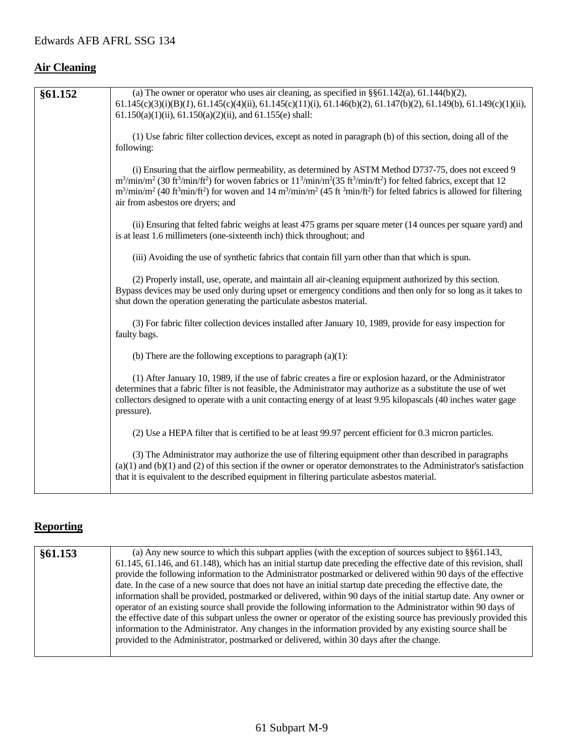## **Air Cleaning**

| §61.152 | (a) The owner or operator who uses air cleaning, as specified in $\S$ §61.142(a), 61.144(b)(2),                                                                                                          |
|---------|----------------------------------------------------------------------------------------------------------------------------------------------------------------------------------------------------------|
|         | $61.145(c)(3)(i)(B)(I), 61.145(c)(4)(ii), 61.145(c)(11)(i), 61.146(b)(2), 61.147(b)(2), 61.149(b), 61.149(c)(1)(ii),$                                                                                    |
|         | $61.150(a)(1)(ii)$ , $61.150(a)(2)(ii)$ , and $61.155(e)$ shall:                                                                                                                                         |
|         |                                                                                                                                                                                                          |
|         | (1) Use fabric filter collection devices, except as noted in paragraph (b) of this section, doing all of the                                                                                             |
|         | following:                                                                                                                                                                                               |
|         |                                                                                                                                                                                                          |
|         | (i) Ensuring that the airflow permeability, as determined by ASTM Method D737-75, does not exceed 9                                                                                                      |
|         | $m^3/min/m^2$ (30 ft <sup>3</sup> /min/ft <sup>2</sup> ) for woven fabrics or $11^3/min/m^2$ (35 ft <sup>3</sup> /min/ft <sup>2</sup> ) for felted fabrics, except that 12                               |
|         | $m^3/\text{min/m}^2$ (40 ft <sup>3</sup> min/ft <sup>2</sup> ) for woven and 14 m <sup>3</sup> /min/m <sup>2</sup> (45 ft <sup>3</sup> min/ft <sup>2</sup> ) for felted fabrics is allowed for filtering |
|         | air from asbestos ore dryers; and                                                                                                                                                                        |
|         |                                                                                                                                                                                                          |
|         | (ii) Ensuring that felted fabric weighs at least 475 grams per square meter (14 ounces per square yard) and                                                                                              |
|         | is at least 1.6 millimeters (one-sixteenth inch) thick throughout; and                                                                                                                                   |
|         | (iii) Avoiding the use of synthetic fabrics that contain fill yarn other than that which is spun.                                                                                                        |
|         |                                                                                                                                                                                                          |
|         | (2) Properly install, use, operate, and maintain all air-cleaning equipment authorized by this section.                                                                                                  |
|         | Bypass devices may be used only during upset or emergency conditions and then only for so long as it takes to                                                                                            |
|         | shut down the operation generating the particulate asbestos material.                                                                                                                                    |
|         |                                                                                                                                                                                                          |
|         | (3) For fabric filter collection devices installed after January 10, 1989, provide for easy inspection for                                                                                               |
|         | faulty bags.                                                                                                                                                                                             |
|         |                                                                                                                                                                                                          |
|         | (b) There are the following exceptions to paragraph $(a)(1)$ :                                                                                                                                           |
|         |                                                                                                                                                                                                          |
|         | (1) After January 10, 1989, if the use of fabric creates a fire or explosion hazard, or the Administrator                                                                                                |
|         | determines that a fabric filter is not feasible, the Administrator may authorize as a substitute the use of wet                                                                                          |
|         | collectors designed to operate with a unit contacting energy of at least 9.95 kilopascals (40 inches water gage                                                                                          |
|         | pressure).                                                                                                                                                                                               |
|         |                                                                                                                                                                                                          |
|         | (2) Use a HEPA filter that is certified to be at least 99.97 percent efficient for 0.3 micron particles.                                                                                                 |
|         | (3) The Administrator may authorize the use of filtering equipment other than described in paragraphs                                                                                                    |
|         | $(a)(1)$ and $(b)(1)$ and $(2)$ of this section if the owner or operator demonstrates to the Administrator's satisfaction                                                                                |
|         | that it is equivalent to the described equipment in filtering particulate asbestos material.                                                                                                             |
|         |                                                                                                                                                                                                          |

## **Reporting**

| §61.153 | (a) Any new source to which this subpart applies (with the exception of sources subject to $\S$ §61.143,            |
|---------|---------------------------------------------------------------------------------------------------------------------|
|         | 61.145, 61.146, and 61.148), which has an initial startup date preceding the effective date of this revision, shall |
|         | provide the following information to the Administrator postmarked or delivered within 90 days of the effective      |
|         | date. In the case of a new source that does not have an initial startup date preceding the effective date, the      |
|         | information shall be provided, postmarked or delivered, within 90 days of the initial startup date. Any owner or    |
|         | operator of an existing source shall provide the following information to the Administrator within 90 days of       |
|         | the effective date of this subpart unless the owner or operator of the existing source has previously provided this |
|         | information to the Administrator. Any changes in the information provided by any existing source shall be           |
|         | provided to the Administrator, postmarked or delivered, within 30 days after the change.                            |
|         |                                                                                                                     |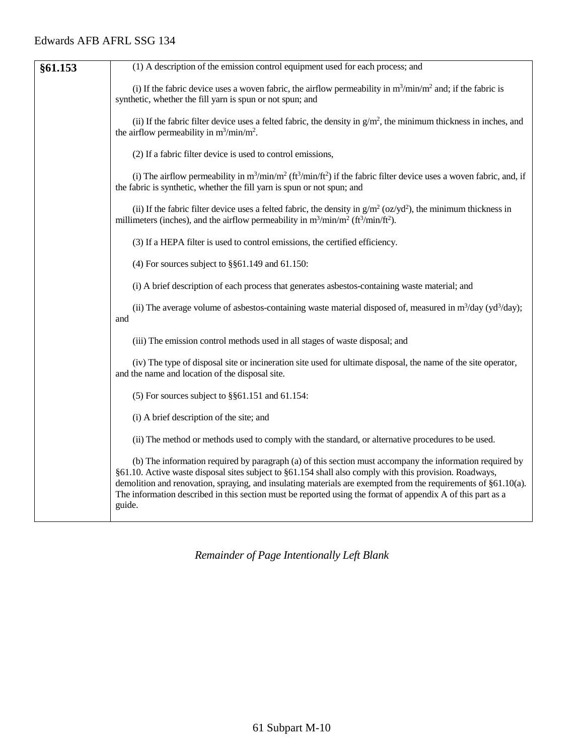| §61.153 | (1) A description of the emission control equipment used for each process; and                                                                                                                                                                                                                                                                                                                                                                                 |
|---------|----------------------------------------------------------------------------------------------------------------------------------------------------------------------------------------------------------------------------------------------------------------------------------------------------------------------------------------------------------------------------------------------------------------------------------------------------------------|
|         | (i) If the fabric device uses a woven fabric, the airflow permeability in $m^3 / min/m^2$ and; if the fabric is<br>synthetic, whether the fill yarn is spun or not spun; and                                                                                                                                                                                                                                                                                   |
|         | (ii) If the fabric filter device uses a felted fabric, the density in $g/m^2$ , the minimum thickness in inches, and<br>the airflow permeability in $m^3/\text{min}/m^2$ .                                                                                                                                                                                                                                                                                     |
|         | (2) If a fabric filter device is used to control emissions,                                                                                                                                                                                                                                                                                                                                                                                                    |
|         | (i) The airflow permeability in $m^3/min/m^2$ ( $ft^3/min/ft^2$ ) if the fabric filter device uses a woven fabric, and, if<br>the fabric is synthetic, whether the fill yarn is spun or not spun; and                                                                                                                                                                                                                                                          |
|         | (ii) If the fabric filter device uses a felted fabric, the density in $g/m^2$ (oz/yd <sup>2</sup> ), the minimum thickness in<br>millimeters (inches), and the airflow permeability in $m^3/\text{min}/m^2$ (ft <sup>3</sup> /min/ft <sup>2</sup> ).                                                                                                                                                                                                           |
|         | (3) If a HEPA filter is used to control emissions, the certified efficiency.                                                                                                                                                                                                                                                                                                                                                                                   |
|         | (4) For sources subject to $\S$ §61.149 and 61.150:                                                                                                                                                                                                                                                                                                                                                                                                            |
|         | (i) A brief description of each process that generates asbestos-containing waste material; and                                                                                                                                                                                                                                                                                                                                                                 |
|         | (ii) The average volume of asbestos-containing waste material disposed of, measured in $m^3$ /day (yd <sup>3</sup> /day);<br>and                                                                                                                                                                                                                                                                                                                               |
|         | (iii) The emission control methods used in all stages of waste disposal; and                                                                                                                                                                                                                                                                                                                                                                                   |
|         | (iv) The type of disposal site or incineration site used for ultimate disposal, the name of the site operator,<br>and the name and location of the disposal site.                                                                                                                                                                                                                                                                                              |
|         | (5) For sources subject to $\S$ §61.151 and 61.154:                                                                                                                                                                                                                                                                                                                                                                                                            |
|         | (i) A brief description of the site; and                                                                                                                                                                                                                                                                                                                                                                                                                       |
|         | (ii) The method or methods used to comply with the standard, or alternative procedures to be used.                                                                                                                                                                                                                                                                                                                                                             |
|         | (b) The information required by paragraph (a) of this section must accompany the information required by<br>§61.10. Active waste disposal sites subject to §61.154 shall also comply with this provision. Roadways,<br>demolition and renovation, spraying, and insulating materials are exempted from the requirements of §61.10(a).<br>The information described in this section must be reported using the format of appendix A of this part as a<br>guide. |

*Remainder of Page Intentionally Left Blank*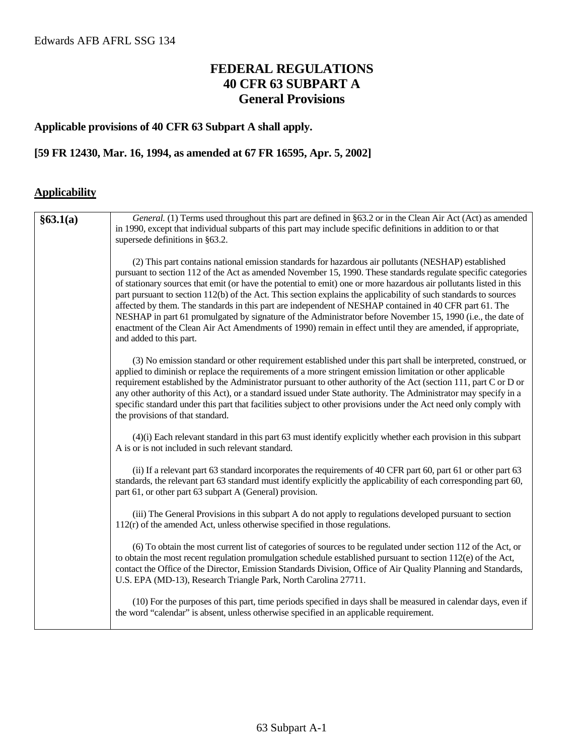## **FEDERAL REGULATIONS 40 CFR 63 SUBPART A General Provisions**

#### **Applicable provisions of 40 CFR 63 Subpart A shall apply.**

#### **[59 FR 12430, Mar. 16, 1994, as amended at 67 FR 16595, Apr. 5, 2002]**

#### **Applicability**

| §63.1(a) | General. (1) Terms used throughout this part are defined in §63.2 or in the Clean Air Act (Act) as amended<br>in 1990, except that individual subparts of this part may include specific definitions in addition to or that<br>supersede definitions in §63.2.                                                                                                                                                                                                                                                                                                                                                                                                                                                                                                                                                                       |
|----------|--------------------------------------------------------------------------------------------------------------------------------------------------------------------------------------------------------------------------------------------------------------------------------------------------------------------------------------------------------------------------------------------------------------------------------------------------------------------------------------------------------------------------------------------------------------------------------------------------------------------------------------------------------------------------------------------------------------------------------------------------------------------------------------------------------------------------------------|
|          | (2) This part contains national emission standards for hazardous air pollutants (NESHAP) established<br>pursuant to section 112 of the Act as amended November 15, 1990. These standards regulate specific categories<br>of stationary sources that emit (or have the potential to emit) one or more hazardous air pollutants listed in this<br>part pursuant to section 112(b) of the Act. This section explains the applicability of such standards to sources<br>affected by them. The standards in this part are independent of NESHAP contained in 40 CFR part 61. The<br>NESHAP in part 61 promulgated by signature of the Administrator before November 15, 1990 (i.e., the date of<br>enactment of the Clean Air Act Amendments of 1990) remain in effect until they are amended, if appropriate,<br>and added to this part. |
|          | (3) No emission standard or other requirement established under this part shall be interpreted, construed, or<br>applied to diminish or replace the requirements of a more stringent emission limitation or other applicable<br>requirement established by the Administrator pursuant to other authority of the Act (section 111, part C or D or<br>any other authority of this Act), or a standard issued under State authority. The Administrator may specify in a<br>specific standard under this part that facilities subject to other provisions under the Act need only comply with<br>the provisions of that standard.                                                                                                                                                                                                        |
|          | $(4)(i)$ Each relevant standard in this part 63 must identify explicitly whether each provision in this subpart<br>A is or is not included in such relevant standard.                                                                                                                                                                                                                                                                                                                                                                                                                                                                                                                                                                                                                                                                |
|          | (ii) If a relevant part 63 standard incorporates the requirements of 40 CFR part 60, part 61 or other part 63<br>standards, the relevant part 63 standard must identify explicitly the applicability of each corresponding part 60,<br>part 61, or other part 63 subpart A (General) provision.                                                                                                                                                                                                                                                                                                                                                                                                                                                                                                                                      |
|          | (iii) The General Provisions in this subpart A do not apply to regulations developed pursuant to section<br>$112(r)$ of the amended Act, unless otherwise specified in those regulations.                                                                                                                                                                                                                                                                                                                                                                                                                                                                                                                                                                                                                                            |
|          | (6) To obtain the most current list of categories of sources to be regulated under section 112 of the Act, or<br>to obtain the most recent regulation promulgation schedule established pursuant to section $112(e)$ of the Act,<br>contact the Office of the Director, Emission Standards Division, Office of Air Quality Planning and Standards,<br>U.S. EPA (MD-13), Research Triangle Park, North Carolina 27711.                                                                                                                                                                                                                                                                                                                                                                                                                |
|          | (10) For the purposes of this part, time periods specified in days shall be measured in calendar days, even if<br>the word "calendar" is absent, unless otherwise specified in an applicable requirement.                                                                                                                                                                                                                                                                                                                                                                                                                                                                                                                                                                                                                            |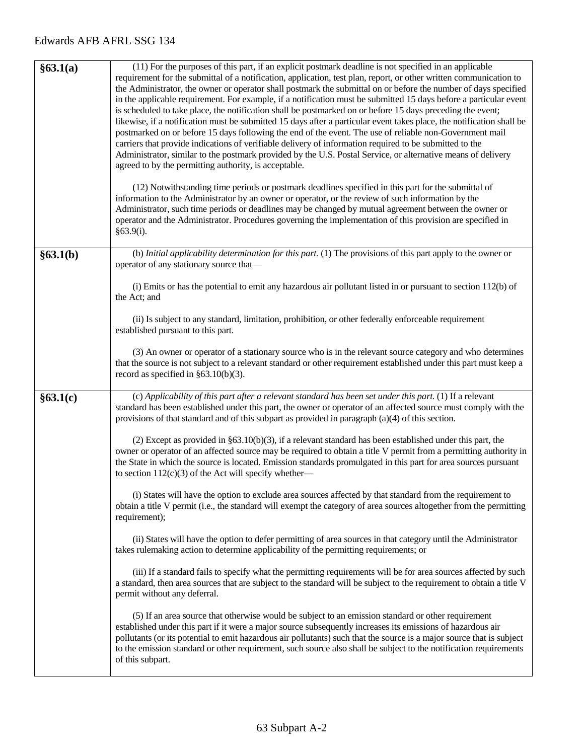| §63.1(a) | (11) For the purposes of this part, if an explicit postmark deadline is not specified in an applicable<br>requirement for the submittal of a notification, application, test plan, report, or other written communication to<br>the Administrator, the owner or operator shall postmark the submittal on or before the number of days specified<br>in the applicable requirement. For example, if a notification must be submitted 15 days before a particular event<br>is scheduled to take place, the notification shall be postmarked on or before 15 days preceding the event;<br>likewise, if a notification must be submitted 15 days after a particular event takes place, the notification shall be<br>postmarked on or before 15 days following the end of the event. The use of reliable non-Government mail<br>carriers that provide indications of verifiable delivery of information required to be submitted to the<br>Administrator, similar to the postmark provided by the U.S. Postal Service, or alternative means of delivery<br>agreed to by the permitting authority, is acceptable.<br>(12) Notwithstanding time periods or postmark deadlines specified in this part for the submittal of<br>information to the Administrator by an owner or operator, or the review of such information by the<br>Administrator, such time periods or deadlines may be changed by mutual agreement between the owner or<br>operator and the Administrator. Procedures governing the implementation of this provision are specified in<br>§63.9(i). |
|----------|-------------------------------------------------------------------------------------------------------------------------------------------------------------------------------------------------------------------------------------------------------------------------------------------------------------------------------------------------------------------------------------------------------------------------------------------------------------------------------------------------------------------------------------------------------------------------------------------------------------------------------------------------------------------------------------------------------------------------------------------------------------------------------------------------------------------------------------------------------------------------------------------------------------------------------------------------------------------------------------------------------------------------------------------------------------------------------------------------------------------------------------------------------------------------------------------------------------------------------------------------------------------------------------------------------------------------------------------------------------------------------------------------------------------------------------------------------------------------------------------------------------------------------------------------------------|
| §63.1(b) | (b) Initial applicability determination for this part. (1) The provisions of this part apply to the owner or<br>operator of any stationary source that—                                                                                                                                                                                                                                                                                                                                                                                                                                                                                                                                                                                                                                                                                                                                                                                                                                                                                                                                                                                                                                                                                                                                                                                                                                                                                                                                                                                                     |
|          | (i) Emits or has the potential to emit any hazardous air pollutant listed in or pursuant to section $112(b)$ of<br>the Act; and                                                                                                                                                                                                                                                                                                                                                                                                                                                                                                                                                                                                                                                                                                                                                                                                                                                                                                                                                                                                                                                                                                                                                                                                                                                                                                                                                                                                                             |
|          | (ii) Is subject to any standard, limitation, prohibition, or other federally enforceable requirement<br>established pursuant to this part.                                                                                                                                                                                                                                                                                                                                                                                                                                                                                                                                                                                                                                                                                                                                                                                                                                                                                                                                                                                                                                                                                                                                                                                                                                                                                                                                                                                                                  |
|          | (3) An owner or operator of a stationary source who is in the relevant source category and who determines<br>that the source is not subject to a relevant standard or other requirement established under this part must keep a<br>record as specified in $\S 63.10(b)(3)$ .                                                                                                                                                                                                                                                                                                                                                                                                                                                                                                                                                                                                                                                                                                                                                                                                                                                                                                                                                                                                                                                                                                                                                                                                                                                                                |
| §63.1(c) | (c) Applicability of this part after a relevant standard has been set under this part. (1) If a relevant<br>standard has been established under this part, the owner or operator of an affected source must comply with the<br>provisions of that standard and of this subpart as provided in paragraph $(a)(4)$ of this section.                                                                                                                                                                                                                                                                                                                                                                                                                                                                                                                                                                                                                                                                                                                                                                                                                                                                                                                                                                                                                                                                                                                                                                                                                           |
|          | (2) Except as provided in $\S 63.10(b)(3)$ , if a relevant standard has been established under this part, the<br>owner or operator of an affected source may be required to obtain a title V permit from a permitting authority in<br>the State in which the source is located. Emission standards promulgated in this part for area sources pursuant<br>to section $112(c)(3)$ of the Act will specify whether—                                                                                                                                                                                                                                                                                                                                                                                                                                                                                                                                                                                                                                                                                                                                                                                                                                                                                                                                                                                                                                                                                                                                            |
|          | (i) States will have the option to exclude area sources affected by that standard from the requirement to<br>obtain a title V permit (i.e., the standard will exempt the category of area sources altogether from the permitting<br>requirement);                                                                                                                                                                                                                                                                                                                                                                                                                                                                                                                                                                                                                                                                                                                                                                                                                                                                                                                                                                                                                                                                                                                                                                                                                                                                                                           |
|          | (ii) States will have the option to defer permitting of area sources in that category until the Administrator<br>takes rulemaking action to determine applicability of the permitting requirements; or                                                                                                                                                                                                                                                                                                                                                                                                                                                                                                                                                                                                                                                                                                                                                                                                                                                                                                                                                                                                                                                                                                                                                                                                                                                                                                                                                      |
|          | (iii) If a standard fails to specify what the permitting requirements will be for area sources affected by such<br>a standard, then area sources that are subject to the standard will be subject to the requirement to obtain a title V<br>permit without any deferral.                                                                                                                                                                                                                                                                                                                                                                                                                                                                                                                                                                                                                                                                                                                                                                                                                                                                                                                                                                                                                                                                                                                                                                                                                                                                                    |
|          | (5) If an area source that otherwise would be subject to an emission standard or other requirement<br>established under this part if it were a major source subsequently increases its emissions of hazardous air<br>pollutants (or its potential to emit hazardous air pollutants) such that the source is a major source that is subject<br>to the emission standard or other requirement, such source also shall be subject to the notification requirements<br>of this subpart.                                                                                                                                                                                                                                                                                                                                                                                                                                                                                                                                                                                                                                                                                                                                                                                                                                                                                                                                                                                                                                                                         |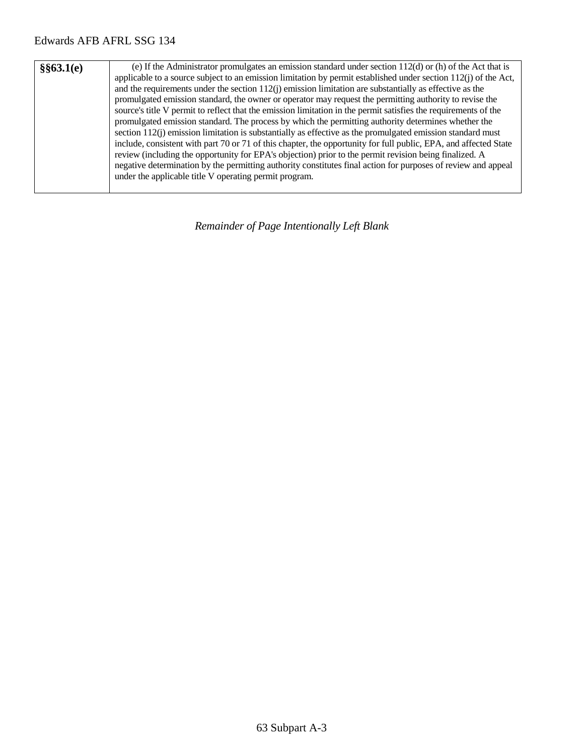| §§63.1(e) | (e) If the Administrator promulgates an emission standard under section $112(d)$ or (h) of the Act that is<br>applicable to a source subject to an emission limitation by permit established under section $112(i)$ of the Act,<br>and the requirements under the section $112(j)$ emission limitation are substantially as effective as the<br>promulgated emission standard, the owner or operator may request the permitting authority to revise the<br>source's title V permit to reflect that the emission limitation in the permit satisfies the requirements of the<br>promulgated emission standard. The process by which the permitting authority determines whether the<br>section $112(j)$ emission limitation is substantially as effective as the promulgated emission standard must<br>include, consistent with part 70 or 71 of this chapter, the opportunity for full public, EPA, and affected State<br>review (including the opportunity for EPA's objection) prior to the permit revision being finalized. A |
|-----------|---------------------------------------------------------------------------------------------------------------------------------------------------------------------------------------------------------------------------------------------------------------------------------------------------------------------------------------------------------------------------------------------------------------------------------------------------------------------------------------------------------------------------------------------------------------------------------------------------------------------------------------------------------------------------------------------------------------------------------------------------------------------------------------------------------------------------------------------------------------------------------------------------------------------------------------------------------------------------------------------------------------------------------|
|           | negative determination by the permitting authority constitutes final action for purposes of review and appeal<br>under the applicable title V operating permit program.                                                                                                                                                                                                                                                                                                                                                                                                                                                                                                                                                                                                                                                                                                                                                                                                                                                         |

*Remainder of Page Intentionally Left Blank*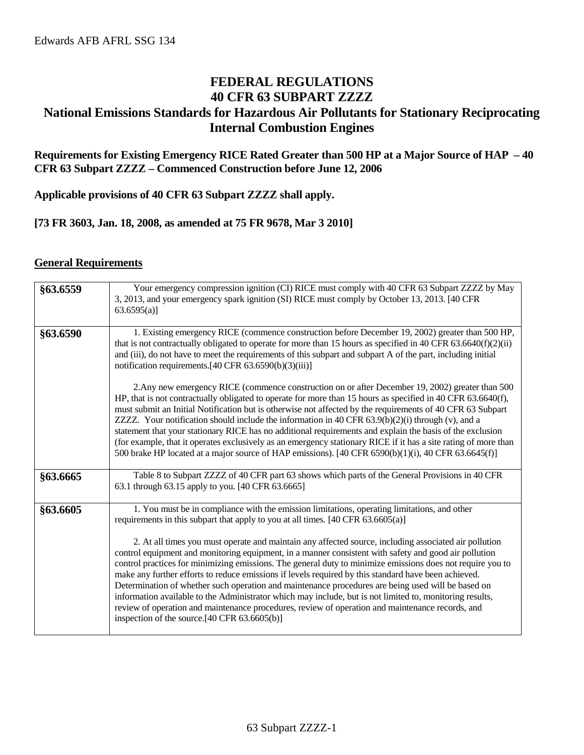## **FEDERAL REGULATIONS 40 CFR 63 SUBPART ZZZZ National Emissions Standards for Hazardous Air Pollutants for Stationary Reciprocating Internal Combustion Engines**

**Requirements for Existing Emergency RICE Rated Greater than 500 HP at a Major Source of HAP – 40 CFR 63 Subpart ZZZZ – Commenced Construction before June 12, 2006**

**Applicable provisions of 40 CFR 63 Subpart ZZZZ shall apply.**

**[73 FR 3603, Jan. 18, 2008, as amended at 75 FR 9678, Mar 3 2010]**

#### **General Requirements**

| §63.6559 | Your emergency compression ignition (CI) RICE must comply with 40 CFR 63 Subpart ZZZZ by May<br>3, 2013, and your emergency spark ignition (SI) RICE must comply by October 13, 2013. [40 CFR<br>63.6595(a)                                                                                                                                                                                                                                                                                                                                                                                                                                                                                                                                                                                                                                                                                                                                                                                                           |
|----------|-----------------------------------------------------------------------------------------------------------------------------------------------------------------------------------------------------------------------------------------------------------------------------------------------------------------------------------------------------------------------------------------------------------------------------------------------------------------------------------------------------------------------------------------------------------------------------------------------------------------------------------------------------------------------------------------------------------------------------------------------------------------------------------------------------------------------------------------------------------------------------------------------------------------------------------------------------------------------------------------------------------------------|
| §63.6590 | 1. Existing emergency RICE (commence construction before December 19, 2002) greater than 500 HP,<br>that is not contractually obligated to operate for more than 15 hours as specified in 40 CFR 63.6640(f)(2)(ii)<br>and (iii), do not have to meet the requirements of this subpart and subpart A of the part, including initial<br>notification requirements. [40 CFR 63.6590(b)(3)(iii)]                                                                                                                                                                                                                                                                                                                                                                                                                                                                                                                                                                                                                          |
|          | 2. Any new emergency RICE (commence construction on or after December 19, 2002) greater than 500<br>HP, that is not contractually obligated to operate for more than 15 hours as specified in 40 CFR $63.6640(f)$ ,<br>must submit an Initial Notification but is otherwise not affected by the requirements of 40 CFR 63 Subpart<br>ZZZZ. Your notification should include the information in 40 CFR $63.9(b)(2)(i)$ through (v), and a<br>statement that your stationary RICE has no additional requirements and explain the basis of the exclusion<br>(for example, that it operates exclusively as an emergency stationary RICE if it has a site rating of more than<br>500 brake HP located at a major source of HAP emissions). [40 CFR 6590(b)(1)(i), 40 CFR 63.6645(f)]                                                                                                                                                                                                                                       |
| §63.6665 | Table 8 to Subpart ZZZZ of 40 CFR part 63 shows which parts of the General Provisions in 40 CFR<br>63.1 through 63.15 apply to you. [40 CFR 63.6665]                                                                                                                                                                                                                                                                                                                                                                                                                                                                                                                                                                                                                                                                                                                                                                                                                                                                  |
| §63.6605 | 1. You must be in compliance with the emission limitations, operating limitations, and other<br>requirements in this subpart that apply to you at all times. $[40 \text{ CFR } 63.6605(a)]$<br>2. At all times you must operate and maintain any affected source, including associated air pollution<br>control equipment and monitoring equipment, in a manner consistent with safety and good air pollution<br>control practices for minimizing emissions. The general duty to minimize emissions does not require you to<br>make any further efforts to reduce emissions if levels required by this standard have been achieved.<br>Determination of whether such operation and maintenance procedures are being used will be based on<br>information available to the Administrator which may include, but is not limited to, monitoring results,<br>review of operation and maintenance procedures, review of operation and maintenance records, and<br>inspection of the source. $[40 \text{ CFR } 63.6605(b)]$ |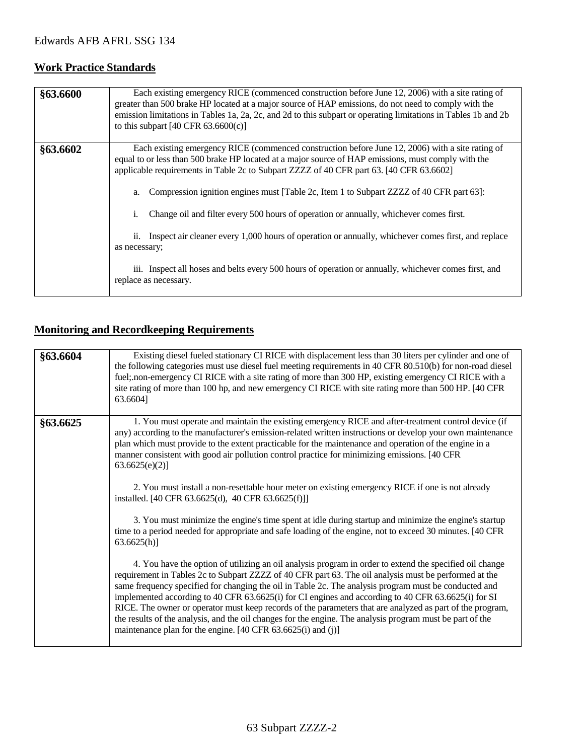## **Work Practice Standards**

| §63.6600 | Each existing emergency RICE (commenced construction before June 12, 2006) with a site rating of<br>greater than 500 brake HP located at a major source of HAP emissions, do not need to comply with the<br>emission limitations in Tables 1a, 2a, 2c, and 2d to this subpart or operating limitations in Tables 1b and 2b<br>to this subpart $[40 \text{ CFR } 63.6600(c)]$                                                                                                                                                                                                                                                                                                                                                                                     |
|----------|------------------------------------------------------------------------------------------------------------------------------------------------------------------------------------------------------------------------------------------------------------------------------------------------------------------------------------------------------------------------------------------------------------------------------------------------------------------------------------------------------------------------------------------------------------------------------------------------------------------------------------------------------------------------------------------------------------------------------------------------------------------|
| §63.6602 | Each existing emergency RICE (commenced construction before June 12, 2006) with a site rating of<br>equal to or less than 500 brake HP located at a major source of HAP emissions, must comply with the<br>applicable requirements in Table 2c to Subpart ZZZZ of 40 CFR part 63. [40 CFR 63.6602]<br>Compression ignition engines must [Table 2c, Item 1 to Subpart ZZZZ of 40 CFR part 63]:<br>a.<br>Change oil and filter every 500 hours of operation or annually, whichever comes first.<br>1.<br>ii. Inspect air cleaner every 1,000 hours of operation or annually, whichever comes first, and replace<br>as necessary;<br>iii. Inspect all hoses and belts every 500 hours of operation or annually, whichever comes first, and<br>replace as necessary. |

## **Monitoring and Recordkeeping Requirements**

| §63.6604 | Existing diesel fueled stationary CI RICE with displacement less than 30 liters per cylinder and one of<br>the following categories must use diesel fuel meeting requirements in 40 CFR 80.510(b) for non-road diesel<br>fuel; non-emergency CI RICE with a site rating of more than 300 HP, existing emergency CI RICE with a<br>site rating of more than 100 hp, and new emergency CI RICE with site rating more than 500 HP. [40 CFR<br>63.6604]                                                                                                                                                                                                                                                                                                                                                                                                                                                                                                                                                                                                                                                                                                                                                                                                                                                                                                                                                                                                                                                      |
|----------|----------------------------------------------------------------------------------------------------------------------------------------------------------------------------------------------------------------------------------------------------------------------------------------------------------------------------------------------------------------------------------------------------------------------------------------------------------------------------------------------------------------------------------------------------------------------------------------------------------------------------------------------------------------------------------------------------------------------------------------------------------------------------------------------------------------------------------------------------------------------------------------------------------------------------------------------------------------------------------------------------------------------------------------------------------------------------------------------------------------------------------------------------------------------------------------------------------------------------------------------------------------------------------------------------------------------------------------------------------------------------------------------------------------------------------------------------------------------------------------------------------|
| §63.6625 | 1. You must operate and maintain the existing emergency RICE and after-treatment control device (if<br>any) according to the manufacturer's emission-related written instructions or develop your own maintenance<br>plan which must provide to the extent practicable for the maintenance and operation of the engine in a<br>manner consistent with good air pollution control practice for minimizing emissions. [40 CFR<br>63.6625(e)(2)<br>2. You must install a non-resettable hour meter on existing emergency RICE if one is not already<br>installed. [40 CFR 63.6625(d), 40 CFR 63.6625(f)]]<br>3. You must minimize the engine's time spent at idle during startup and minimize the engine's startup<br>time to a period needed for appropriate and safe loading of the engine, not to exceed 30 minutes. [40 CFR<br>63.6625(h)<br>4. You have the option of utilizing an oil analysis program in order to extend the specified oil change<br>requirement in Tables 2c to Subpart ZZZZ of 40 CFR part 63. The oil analysis must be performed at the<br>same frequency specified for changing the oil in Table 2c. The analysis program must be conducted and<br>implemented according to 40 CFR 63.6625(i) for CI engines and according to 40 CFR 63.6625(i) for SI<br>RICE. The owner or operator must keep records of the parameters that are analyzed as part of the program,<br>the results of the analysis, and the oil changes for the engine. The analysis program must be part of the |
|          | maintenance plan for the engine. [40 CFR 63.6625(i) and (j)]                                                                                                                                                                                                                                                                                                                                                                                                                                                                                                                                                                                                                                                                                                                                                                                                                                                                                                                                                                                                                                                                                                                                                                                                                                                                                                                                                                                                                                             |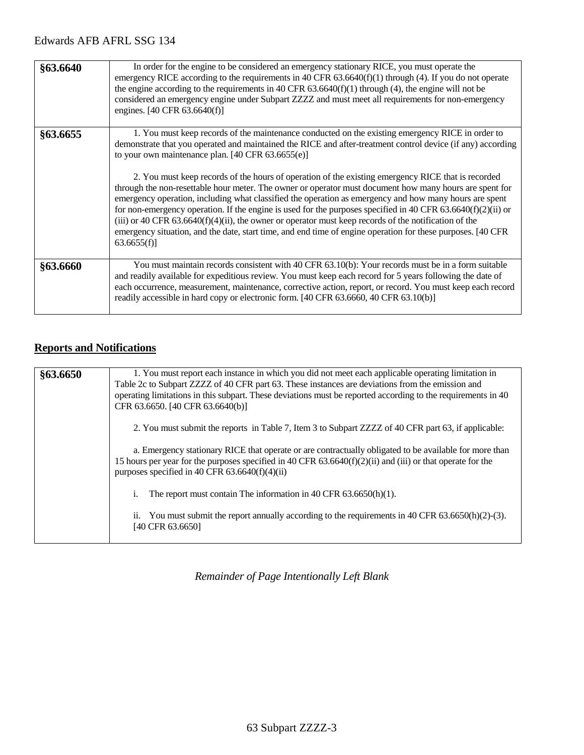| §63.6640 | In order for the engine to be considered an emergency stationary RICE, you must operate the<br>emergency RICE according to the requirements in 40 CFR $63.6640(f)(1)$ through (4). If you do not operate<br>the engine according to the requirements in 40 CFR $63.6640(f)(1)$ through (4), the engine will not be<br>considered an emergency engine under Subpart ZZZZ and must meet all requirements for non-emergency<br>engines. [40 CFR 63.6640(f)]                                                                                                                                                                                                                                                                                                                                                                                                                                                                                                 |
|----------|----------------------------------------------------------------------------------------------------------------------------------------------------------------------------------------------------------------------------------------------------------------------------------------------------------------------------------------------------------------------------------------------------------------------------------------------------------------------------------------------------------------------------------------------------------------------------------------------------------------------------------------------------------------------------------------------------------------------------------------------------------------------------------------------------------------------------------------------------------------------------------------------------------------------------------------------------------|
| §63.6655 | 1. You must keep records of the maintenance conducted on the existing emergency RICE in order to<br>demonstrate that you operated and maintained the RICE and after-treatment control device (if any) according<br>to your own maintenance plan. [40 CFR 63.6655(e)]<br>2. You must keep records of the hours of operation of the existing emergency RICE that is recorded<br>through the non-resettable hour meter. The owner or operator must document how many hours are spent for<br>emergency operation, including what classified the operation as emergency and how many hours are spent<br>for non-emergency operation. If the engine is used for the purposes specified in 40 CFR 63.6640(f)(2)(ii) or<br>(iii) or 40 CFR $63.6640(f)(4)(ii)$ , the owner or operator must keep records of the notification of the<br>emergency situation, and the date, start time, and end time of engine operation for these purposes. [40 CFR<br>63.6655(f) |
| §63.6660 | You must maintain records consistent with 40 CFR 63.10(b): Your records must be in a form suitable<br>and readily available for expeditious review. You must keep each record for 5 years following the date of<br>each occurrence, measurement, maintenance, corrective action, report, or record. You must keep each record<br>readily accessible in hard copy or electronic form. [40 CFR 63.6660, 40 CFR 63.10(b)]                                                                                                                                                                                                                                                                                                                                                                                                                                                                                                                                   |

## **Reports and Notifications**

| §63.6650 | 1. You must report each instance in which you did not meet each applicable operating limitation in<br>Table 2c to Subpart ZZZZ of 40 CFR part 63. These instances are deviations from the emission and<br>operating limitations in this subpart. These deviations must be reported according to the requirements in 40<br>CFR 63.6650. [40 CFR 63.6640(b)] |
|----------|------------------------------------------------------------------------------------------------------------------------------------------------------------------------------------------------------------------------------------------------------------------------------------------------------------------------------------------------------------|
|          | 2. You must submit the reports in Table 7, Item 3 to Subpart ZZZZ of 40 CFR part 63, if applicable:                                                                                                                                                                                                                                                        |
|          | a. Emergency stationary RICE that operate or are contractually obligated to be available for more than<br>15 hours per year for the purposes specified in 40 CFR $63.6640(f)(2)(ii)$ and (iii) or that operate for the<br>purposes specified in 40 CFR $63.6640(f)(4)(ii)$                                                                                 |
|          | The report must contain The information in 40 CFR $63.6650(h)(1)$ .<br>1.                                                                                                                                                                                                                                                                                  |
|          | ii. You must submit the report annually according to the requirements in 40 CFR $63.6650(h)(2)-(3)$ .<br>[40 CFR 63.6650]                                                                                                                                                                                                                                  |

*Remainder of Page Intentionally Left Blank*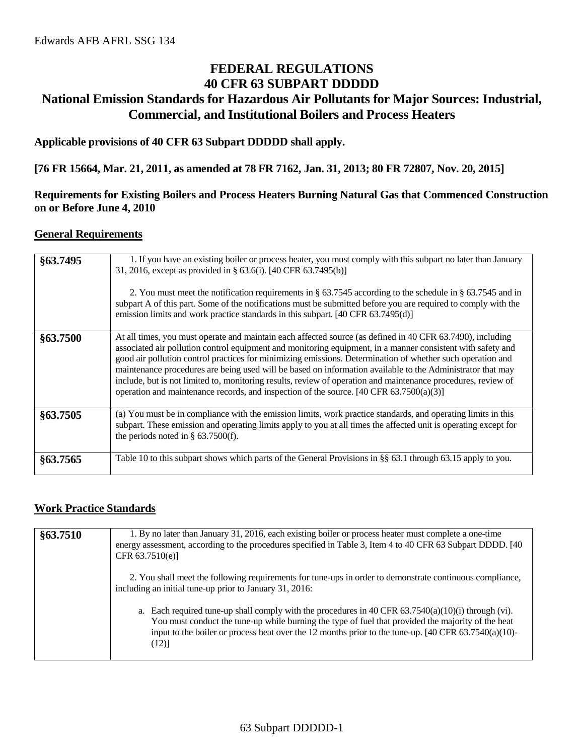## **FEDERAL REGULATIONS 40 CFR 63 SUBPART DDDDD National Emission Standards for Hazardous Air Pollutants for Major Sources: Industrial, Commercial, and Institutional Boilers and Process Heaters**

**Applicable provisions of 40 CFR 63 Subpart DDDDD shall apply.**

**[76 FR 15664, Mar. 21, 2011, as amended at 78 FR 7162, Jan. 31, 2013; 80 FR 72807, Nov. 20, 2015]**

#### **Requirements for Existing Boilers and Process Heaters Burning Natural Gas that Commenced Construction on or Before June 4, 2010**

#### **General Requirements**

| §63.7495 | 1. If you have an existing boiler or process heater, you must comply with this subpart no later than January<br>31, 2016, except as provided in § 63.6(i). [40 CFR 63.7495(b)]<br>2. You must meet the notification requirements in § 63.7545 according to the schedule in § 63.7545 and in<br>subpart A of this part. Some of the notifications must be submitted before you are required to comply with the<br>emission limits and work practice standards in this subpart. [40 CFR 63.7495(d)]                                                                                                                                                                            |
|----------|------------------------------------------------------------------------------------------------------------------------------------------------------------------------------------------------------------------------------------------------------------------------------------------------------------------------------------------------------------------------------------------------------------------------------------------------------------------------------------------------------------------------------------------------------------------------------------------------------------------------------------------------------------------------------|
| §63.7500 | At all times, you must operate and maintain each affected source (as defined in 40 CFR 63.7490), including<br>associated air pollution control equipment and monitoring equipment, in a manner consistent with safety and<br>good air pollution control practices for minimizing emissions. Determination of whether such operation and<br>maintenance procedures are being used will be based on information available to the Administrator that may<br>include, but is not limited to, monitoring results, review of operation and maintenance procedures, review of<br>operation and maintenance records, and inspection of the source. $[40 \text{ CFR } 63.7500(a)(3)]$ |
| §63.7505 | (a) You must be in compliance with the emission limits, work practice standards, and operating limits in this<br>subpart. These emission and operating limits apply to you at all times the affected unit is operating except for<br>the periods noted in $\S$ 63.7500(f).                                                                                                                                                                                                                                                                                                                                                                                                   |
| §63.7565 | Table 10 to this subpart shows which parts of the General Provisions in §§ 63.1 through 63.15 apply to you.                                                                                                                                                                                                                                                                                                                                                                                                                                                                                                                                                                  |

#### **Work Practice Standards**

| §63.7510 | 1. By no later than January 31, 2016, each existing boiler or process heater must complete a one-time<br>energy assessment, according to the procedures specified in Table 3, Item 4 to 40 CFR 63 Subpart DDDD. [40]<br>CFR $63.7510(e)$ ]                                                                                              |
|----------|-----------------------------------------------------------------------------------------------------------------------------------------------------------------------------------------------------------------------------------------------------------------------------------------------------------------------------------------|
|          | 2. You shall meet the following requirements for tune-ups in order to demonstrate continuous compliance,<br>including an initial tune-up prior to January 31, 2016:                                                                                                                                                                     |
|          | a. Each required tune-up shall comply with the procedures in 40 CFR $63.7540(a)(10)(i)$ through (vi).<br>You must conduct the tune-up while burning the type of fuel that provided the majority of the heat<br>input to the boiler or process heat over the 12 months prior to the tune-up. $[40 \text{ CFR } 63.7540(a)(10)$ -<br>(12) |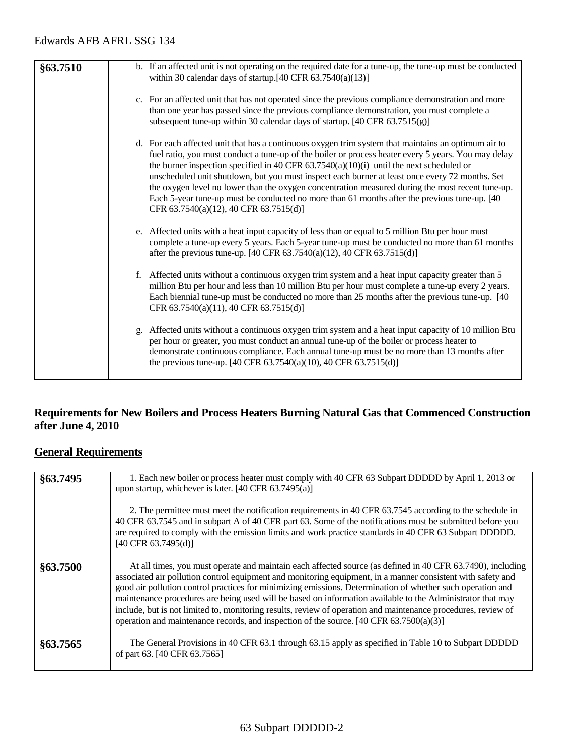| §63.7510 | b. If an affected unit is not operating on the required date for a tune-up, the tune-up must be conducted<br>within 30 calendar days of startup. $[40 \text{ CFR } 63.7540(a)(13)]$                                                                                                                                                                                                                                                                                                                                                                                                                                                                      |
|----------|----------------------------------------------------------------------------------------------------------------------------------------------------------------------------------------------------------------------------------------------------------------------------------------------------------------------------------------------------------------------------------------------------------------------------------------------------------------------------------------------------------------------------------------------------------------------------------------------------------------------------------------------------------|
|          | c. For an affected unit that has not operated since the previous compliance demonstration and more<br>than one year has passed since the previous compliance demonstration, you must complete a<br>subsequent tune-up within 30 calendar days of startup. [40 CFR 63.7515(g)]                                                                                                                                                                                                                                                                                                                                                                            |
|          | d. For each affected unit that has a continuous oxygen trim system that maintains an optimum air to<br>fuel ratio, you must conduct a tune-up of the boiler or process heater every 5 years. You may delay<br>the burner inspection specified in 40 CFR $63.7540(a)(10)(i)$ until the next scheduled or<br>unscheduled unit shutdown, but you must inspect each burner at least once every 72 months. Set<br>the oxygen level no lower than the oxygen concentration measured during the most recent tune-up.<br>Each 5-year tune-up must be conducted no more than 61 months after the previous tune-up. [40]<br>CFR 63.7540(a)(12), 40 CFR 63.7515(d)] |
|          | e. Affected units with a heat input capacity of less than or equal to 5 million Btu per hour must<br>complete a tune-up every 5 years. Each 5-year tune-up must be conducted no more than 61 months<br>after the previous tune-up. [40 CFR 63.7540(a)(12), 40 CFR 63.7515(d)]                                                                                                                                                                                                                                                                                                                                                                            |
|          | f. Affected units without a continuous oxygen trim system and a heat input capacity greater than 5<br>million Btu per hour and less than 10 million Btu per hour must complete a tune-up every 2 years.<br>Each biennial tune-up must be conducted no more than 25 months after the previous tune-up. [40]<br>CFR 63.7540(a)(11), 40 CFR 63.7515(d)]                                                                                                                                                                                                                                                                                                     |
|          | g. Affected units without a continuous oxygen trim system and a heat input capacity of 10 million Btu<br>per hour or greater, you must conduct an annual tune-up of the boiler or process heater to<br>demonstrate continuous compliance. Each annual tune-up must be no more than 13 months after<br>the previous tune-up. [40 CFR 63.7540(a)(10), 40 CFR 63.7515(d)]                                                                                                                                                                                                                                                                                   |

#### **Requirements for New Boilers and Process Heaters Burning Natural Gas that Commenced Construction after June 4, 2010**

## **General Requirements**

| §63.7495 | 1. Each new boiler or process heater must comply with 40 CFR 63 Subpart DDDDD by April 1, 2013 or<br>upon startup, whichever is later. [40 CFR 63.7495(a)]<br>2. The permittee must meet the notification requirements in 40 CFR 63.7545 according to the schedule in<br>40 CFR 63.7545 and in subpart A of 40 CFR part 63. Some of the notifications must be submitted before you<br>are required to comply with the emission limits and work practice standards in 40 CFR 63 Subpart DDDDD.<br>$[40 \text{ CFR } 63.7495 \text{ (d)}]$                                                                                                                                     |
|----------|------------------------------------------------------------------------------------------------------------------------------------------------------------------------------------------------------------------------------------------------------------------------------------------------------------------------------------------------------------------------------------------------------------------------------------------------------------------------------------------------------------------------------------------------------------------------------------------------------------------------------------------------------------------------------|
| §63.7500 | At all times, you must operate and maintain each affected source (as defined in 40 CFR 63.7490), including<br>associated air pollution control equipment and monitoring equipment, in a manner consistent with safety and<br>good air pollution control practices for minimizing emissions. Determination of whether such operation and<br>maintenance procedures are being used will be based on information available to the Administrator that may<br>include, but is not limited to, monitoring results, review of operation and maintenance procedures, review of<br>operation and maintenance records, and inspection of the source. $[40 \text{ CFR } 63.7500(a)(3)]$ |
| §63.7565 | The General Provisions in 40 CFR 63.1 through 63.15 apply as specified in Table 10 to Subpart DDDDD<br>of part 63. [40 CFR 63.7565]                                                                                                                                                                                                                                                                                                                                                                                                                                                                                                                                          |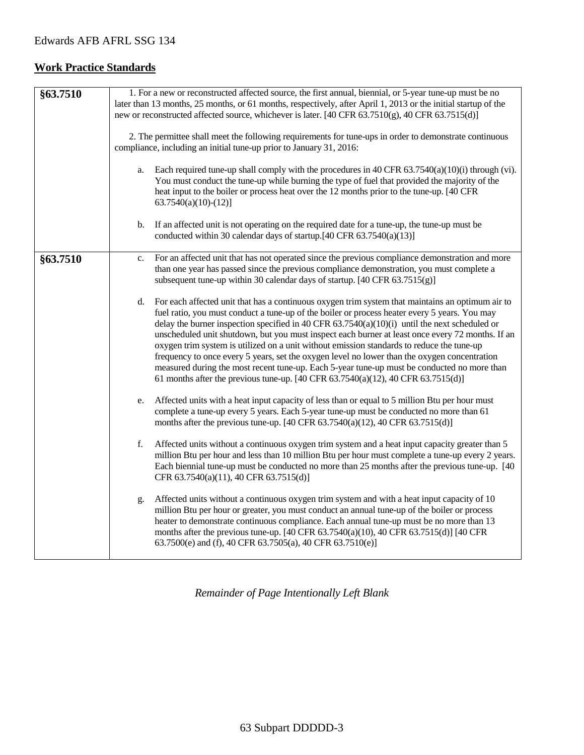## **Work Practice Standards**

| §63.7510 | 1. For a new or reconstructed affected source, the first annual, biennial, or 5-year tune-up must be no<br>later than 13 months, 25 months, or 61 months, respectively, after April 1, 2013 or the initial startup of the<br>new or reconstructed affected source, whichever is later. [40 CFR 63.7510(g), 40 CFR 63.7515(d)]<br>2. The permittee shall meet the following requirements for tune-ups in order to demonstrate continuous<br>compliance, including an initial tune-up prior to January 31, 2016:<br>Each required tune-up shall comply with the procedures in 40 CFR $63.7540(a)(10)(i)$ through (vi).<br>a.<br>You must conduct the tune-up while burning the type of fuel that provided the majority of the<br>heat input to the boiler or process heat over the 12 months prior to the tune-up. [40 CFR<br>$63.7540(a)(10)-(12)$ ]<br>If an affected unit is not operating on the required date for a tune-up, the tune-up must be<br>b. |
|----------|-----------------------------------------------------------------------------------------------------------------------------------------------------------------------------------------------------------------------------------------------------------------------------------------------------------------------------------------------------------------------------------------------------------------------------------------------------------------------------------------------------------------------------------------------------------------------------------------------------------------------------------------------------------------------------------------------------------------------------------------------------------------------------------------------------------------------------------------------------------------------------------------------------------------------------------------------------------|
|          | conducted within 30 calendar days of startup.[40 CFR 63.7540(a)(13)]                                                                                                                                                                                                                                                                                                                                                                                                                                                                                                                                                                                                                                                                                                                                                                                                                                                                                      |
| §63.7510 | For an affected unit that has not operated since the previous compliance demonstration and more<br>c.<br>than one year has passed since the previous compliance demonstration, you must complete a<br>subsequent tune-up within 30 calendar days of startup. [40 CFR 63.7515(g)]                                                                                                                                                                                                                                                                                                                                                                                                                                                                                                                                                                                                                                                                          |
|          | For each affected unit that has a continuous oxygen trim system that maintains an optimum air to<br>d.<br>fuel ratio, you must conduct a tune-up of the boiler or process heater every 5 years. You may<br>delay the burner inspection specified in 40 CFR $63.7540(a)(10)(i)$ until the next scheduled or<br>unscheduled unit shutdown, but you must inspect each burner at least once every 72 months. If an<br>oxygen trim system is utilized on a unit without emission standards to reduce the tune-up<br>frequency to once every 5 years, set the oxygen level no lower than the oxygen concentration<br>measured during the most recent tune-up. Each 5-year tune-up must be conducted no more than<br>61 months after the previous tune-up. [40 CFR $63.7540(a)(12)$ , 40 CFR $63.7515(d)$ ]                                                                                                                                                      |
|          | Affected units with a heat input capacity of less than or equal to 5 million Btu per hour must<br>e.<br>complete a tune-up every 5 years. Each 5-year tune-up must be conducted no more than 61<br>months after the previous tune-up. [40 CFR $63.7540(a)(12)$ , 40 CFR $63.7515(d)$ ]                                                                                                                                                                                                                                                                                                                                                                                                                                                                                                                                                                                                                                                                    |
|          | f.<br>Affected units without a continuous oxygen trim system and a heat input capacity greater than 5<br>million Btu per hour and less than 10 million Btu per hour must complete a tune-up every 2 years.<br>Each biennial tune-up must be conducted no more than 25 months after the previous tune-up. [40]<br>CFR 63.7540(a)(11), 40 CFR 63.7515(d)]                                                                                                                                                                                                                                                                                                                                                                                                                                                                                                                                                                                                   |
|          | Affected units without a continuous oxygen trim system and with a heat input capacity of 10<br>g.<br>million Btu per hour or greater, you must conduct an annual tune-up of the boiler or process<br>heater to demonstrate continuous compliance. Each annual tune-up must be no more than 13<br>months after the previous tune-up. [40 CFR 63.7540(a)(10), 40 CFR 63.7515(d)] [40 CFR<br>63.7500(e) and (f), 40 CFR 63.7505(a), 40 CFR 63.7510(e)]                                                                                                                                                                                                                                                                                                                                                                                                                                                                                                       |

*Remainder of Page Intentionally Left Blank*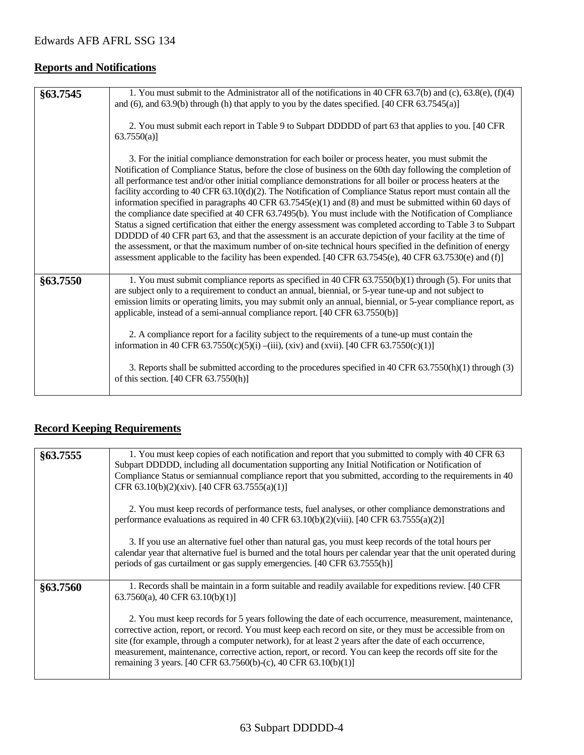## **Reports and Notifications**

| §63.7545 | 1. You must submit to the Administrator all of the notifications in 40 CFR 63.7(b) and (c), 63.8(e), (f)(4)<br>and $(6)$ , and $(63.9(b)$ through (h) that apply to you by the dates specified. [40 CFR $(63.7545(a))$ ]<br>2. You must submit each report in Table 9 to Subpart DDDDD of part 63 that applies to you. [40 CFR<br>63.7550(a)                                                                                                                                                                                                                                                                                                                                                                                                                                                                                                                                                                                                                                                                                                                                                                                       |
|----------|------------------------------------------------------------------------------------------------------------------------------------------------------------------------------------------------------------------------------------------------------------------------------------------------------------------------------------------------------------------------------------------------------------------------------------------------------------------------------------------------------------------------------------------------------------------------------------------------------------------------------------------------------------------------------------------------------------------------------------------------------------------------------------------------------------------------------------------------------------------------------------------------------------------------------------------------------------------------------------------------------------------------------------------------------------------------------------------------------------------------------------|
|          | 3. For the initial compliance demonstration for each boiler or process heater, you must submit the<br>Notification of Compliance Status, before the close of business on the 60th day following the completion of<br>all performance test and/or other initial compliance demonstrations for all boiler or process heaters at the<br>facility according to 40 CFR 63.10(d)(2). The Notification of Compliance Status report must contain all the<br>information specified in paragraphs 40 CFR $63.7545(e)(1)$ and (8) and must be submitted within 60 days of<br>the compliance date specified at 40 CFR 63.7495(b). You must include with the Notification of Compliance<br>Status a signed certification that either the energy assessment was completed according to Table 3 to Subpart<br>DDDDD of 40 CFR part 63, and that the assessment is an accurate depiction of your facility at the time of<br>the assessment, or that the maximum number of on-site technical hours specified in the definition of energy<br>assessment applicable to the facility has been expended. [40 CFR 63.7545(e), 40 CFR 63.7530(e) and (f)] |
| §63.7550 | 1. You must submit compliance reports as specified in 40 CFR 63.7550(b)(1) through (5). For units that<br>are subject only to a requirement to conduct an annual, biennial, or 5-year tune-up and not subject to<br>emission limits or operating limits, you may submit only an annual, biennial, or 5-year compliance report, as<br>applicable, instead of a semi-annual compliance report. [40 CFR 63.7550(b)]<br>2. A compliance report for a facility subject to the requirements of a tune-up must contain the<br>information in 40 CFR 63.7550(c)(5)(i) –(iii), (xiv) and (xvii). [40 CFR 63.7550(c)(1)]                                                                                                                                                                                                                                                                                                                                                                                                                                                                                                                     |
|          | 3. Reports shall be submitted according to the procedures specified in 40 CFR 63.7550(h)(1) through (3)<br>of this section. [40 CFR 63.7550(h)]                                                                                                                                                                                                                                                                                                                                                                                                                                                                                                                                                                                                                                                                                                                                                                                                                                                                                                                                                                                    |

## **Record Keeping Requirements**

| 1. You must keep copies of each notification and report that you submitted to comply with 40 CFR 63<br>Subpart DDDDD, including all documentation supporting any Initial Notification or Notification of<br>Compliance Status or semiannual compliance report that you submitted, according to the requirements in 40<br>CFR 63.10(b)(2)(xiv). [40 CFR 63.7555(a)(1)]                                                                                                                                          |
|----------------------------------------------------------------------------------------------------------------------------------------------------------------------------------------------------------------------------------------------------------------------------------------------------------------------------------------------------------------------------------------------------------------------------------------------------------------------------------------------------------------|
| 2. You must keep records of performance tests, fuel analyses, or other compliance demonstrations and<br>performance evaluations as required in 40 CFR $63.10(b)(2)(viii)$ . [40 CFR $63.7555(a)(2)$ ]                                                                                                                                                                                                                                                                                                          |
| 3. If you use an alternative fuel other than natural gas, you must keep records of the total hours per<br>calendar year that alternative fuel is burned and the total hours per calendar year that the unit operated during<br>periods of gas curtailment or gas supply emergencies. [40 CFR 63.7555(h)]                                                                                                                                                                                                       |
| 1. Records shall be maintain in a form suitable and readily available for expeditions review. [40 CFR<br>$63.7560(a)$ , 40 CFR $63.10(b)(1)$                                                                                                                                                                                                                                                                                                                                                                   |
| 2. You must keep records for 5 years following the date of each occurrence, measurement, maintenance,<br>corrective action, report, or record. You must keep each record on site, or they must be accessible from on<br>site (for example, through a computer network), for at least 2 years after the date of each occurrence,<br>measurement, maintenance, corrective action, report, or record. You can keep the records off site for the<br>remaining 3 years. [40 CFR 63.7560(b)-(c), 40 CFR 63.10(b)(1)] |
|                                                                                                                                                                                                                                                                                                                                                                                                                                                                                                                |